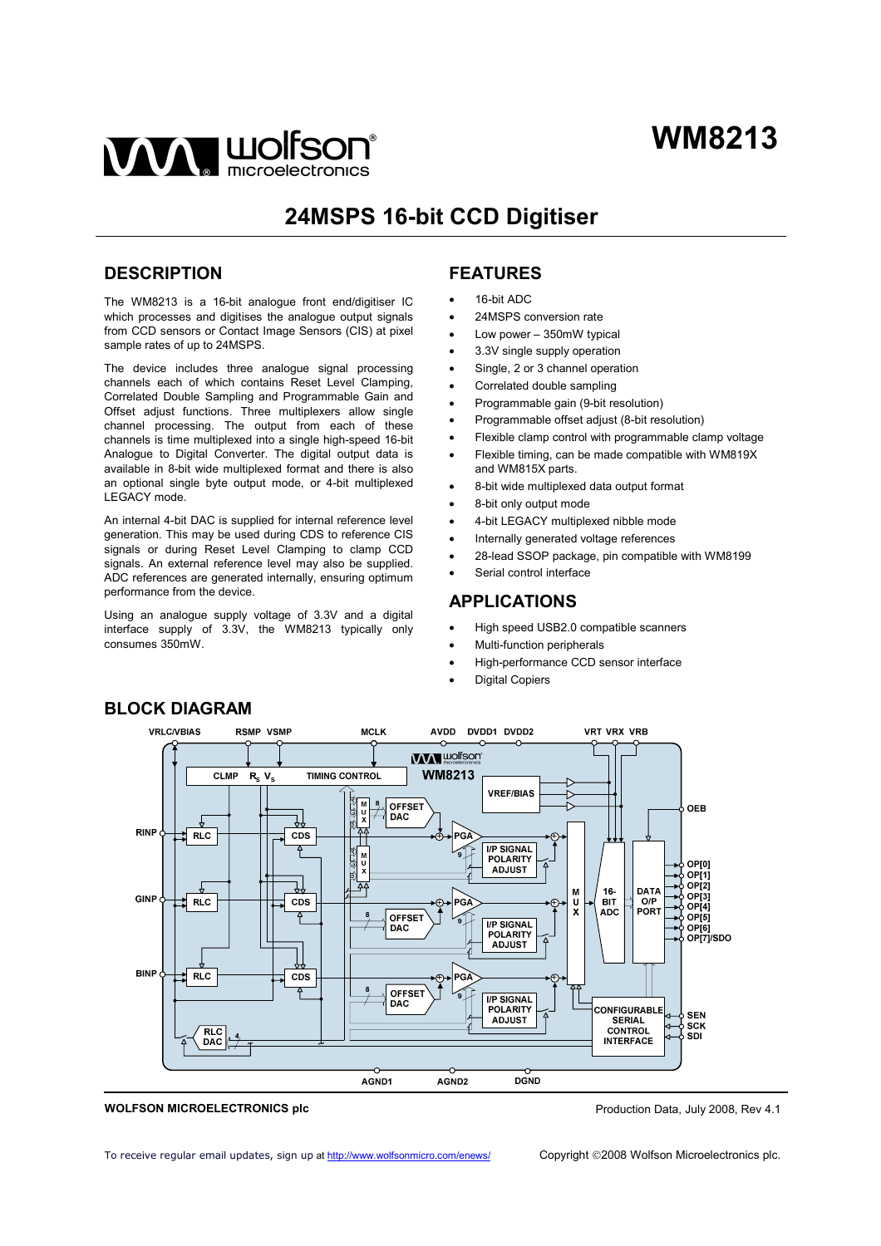

# **24MSPS 16-bit CCD Digitiser**

## **DESCRIPTION**

The WM8213 is a 16-bit analogue front end/digitiser IC which processes and digitises the analogue output signals from CCD sensors or Contact Image Sensors (CIS) at pixel sample rates of up to 24MSPS.

The device includes three analogue signal processing channels each of which contains Reset Level Clamping, Correlated Double Sampling and Programmable Gain and Offset adjust functions. Three multiplexers allow single channel processing. The output from each of these channels is time multiplexed into a single high-speed 16-bit Analogue to Digital Converter. The digital output data is available in 8-bit wide multiplexed format and there is also an optional single byte output mode, or 4-bit multiplexed LEGACY mode.

An internal 4-bit DAC is supplied for internal reference level generation. This may be used during CDS to reference CIS signals or during Reset Level Clamping to clamp CCD signals. An external reference level may also be supplied. ADC references are generated internally, ensuring optimum performance from the device.

Using an analogue supply voltage of 3.3V and a digital interface supply of 3.3V, the WM8213 typically only consumes 350mW.

# **FEATURES**

- 16-bit ADC
- 24MSPS conversion rate
- Low power 350mW typical
- 3.3V single supply operation
- Single, 2 or 3 channel operation
- Correlated double sampling
- Programmable gain (9-bit resolution)
- Programmable offset adjust (8-bit resolution)
- Flexible clamp control with programmable clamp voltage
- Flexible timing, can be made compatible with WM819X and WM815X parts.
- 8-bit wide multiplexed data output format
- 8-bit only output mode
- 4-bit LEGACY multiplexed nibble mode
- Internally generated voltage references
- 28-lead SSOP package, pin compatible with WM8199
- Serial control interface

## **APPLICATIONS**

- High speed USB2.0 compatible scanners
- Multi-function peripherals
- High-performance CCD sensor interface
- Digital Copiers



#### **WOLFSON MICROELECTRONICS plc**

To receive regular email updates, sign up at<http://www.wolfsonmicro.com/enews/>

# **BLOCK DIAGRAM**

Production Data, July 2008, Rev 4.1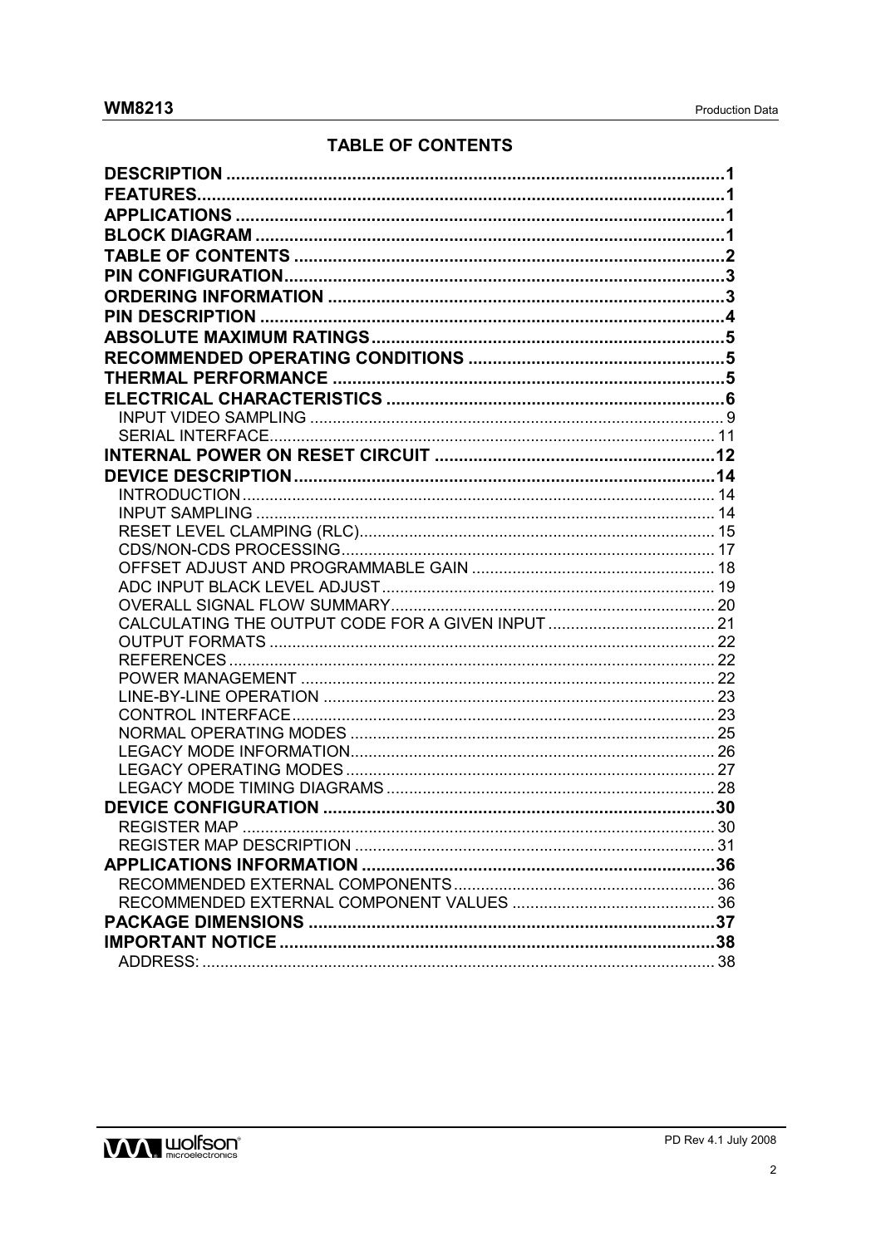# **TABLE OF CONTENTS**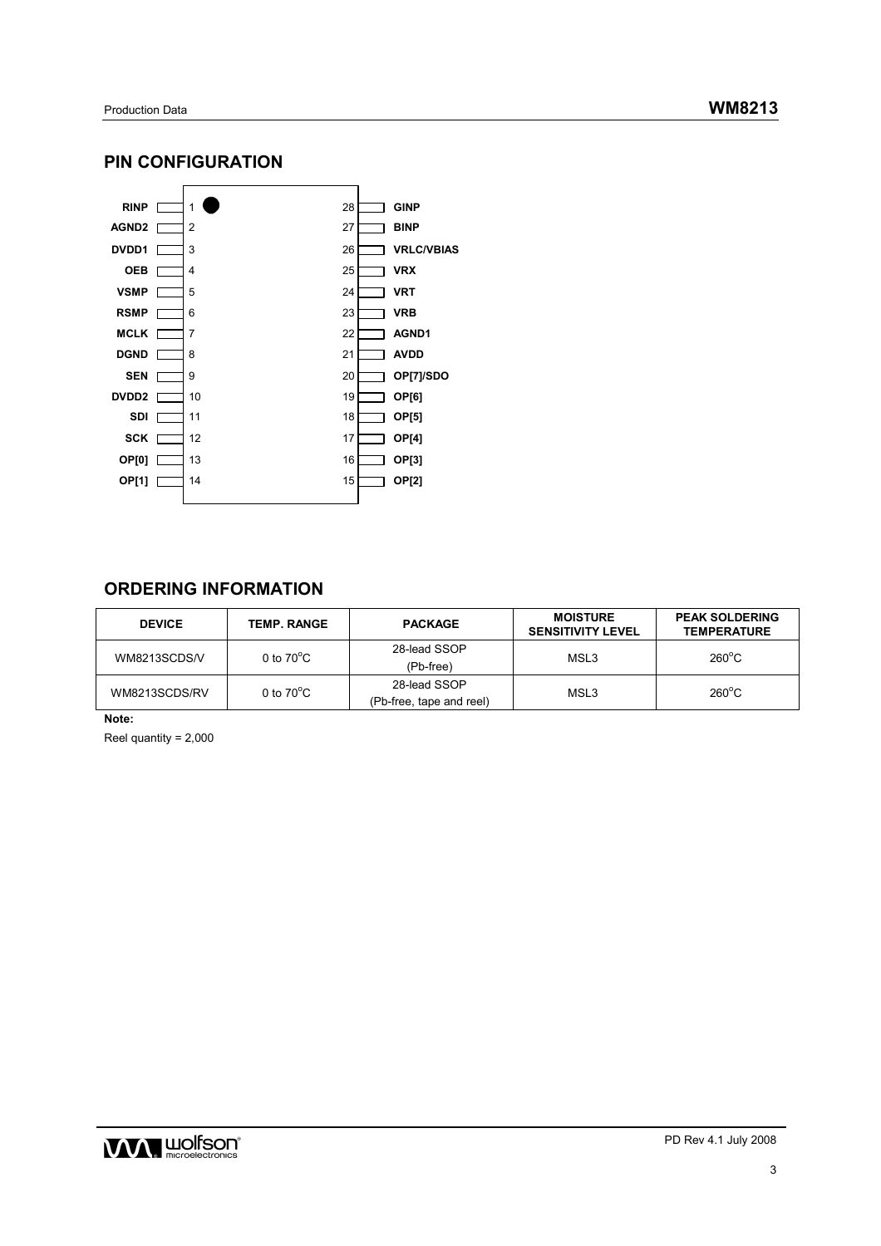# **PIN CONFIGURATION**



# **ORDERING INFORMATION**

| <b>DEVICE</b> | <b>TEMP. RANGE</b>  | <b>PACKAGE</b>                           | <b>MOISTURE</b><br><b>SENSITIVITY LEVEL</b> | <b>PEAK SOLDERING</b><br><b>TEMPERATURE</b> |
|---------------|---------------------|------------------------------------------|---------------------------------------------|---------------------------------------------|
| WM8213SCDS/V  | 0 to $70^{\circ}$ C | 28-lead SSOP<br>(Pb-free)                | MSL3                                        | $260^{\circ}$ C                             |
| WM8213SCDS/RV | 0 to $70^{\circ}$ C | 28-lead SSOP<br>(Pb-free, tape and reel) | MSL3                                        | $260^{\circ}$ C                             |

**Note:** 

Reel quantity = 2,000

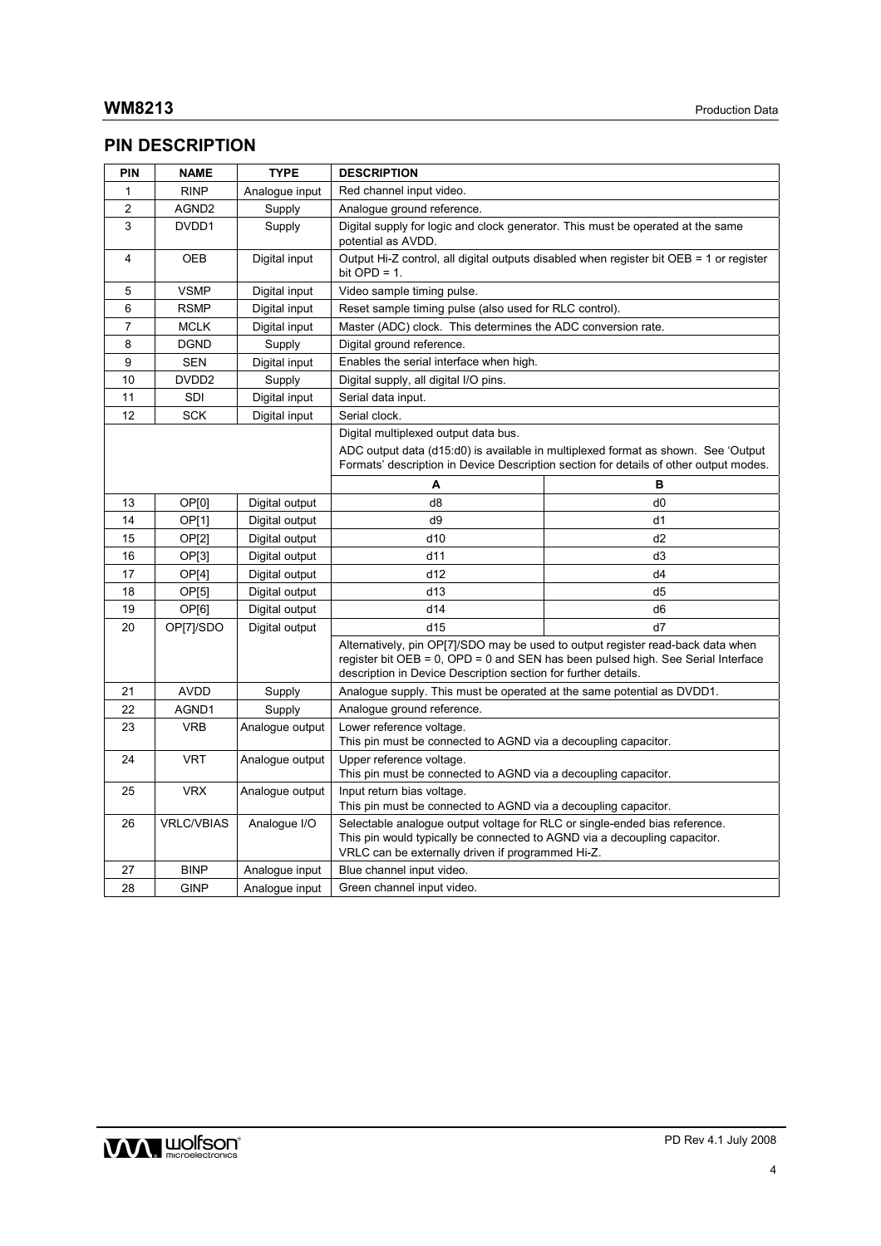# **PIN DESCRIPTION**

| PIN            | <b>NAME</b>       | <b>TYPE</b>     | <b>DESCRIPTION</b>                                                                                                                                                                                           |                                                                                                                                                                          |  |  |  |
|----------------|-------------------|-----------------|--------------------------------------------------------------------------------------------------------------------------------------------------------------------------------------------------------------|--------------------------------------------------------------------------------------------------------------------------------------------------------------------------|--|--|--|
| 1              | <b>RINP</b>       | Analogue input  | Red channel input video.                                                                                                                                                                                     |                                                                                                                                                                          |  |  |  |
| $\overline{2}$ | AGND2             | Supply          | Analogue ground reference.                                                                                                                                                                                   |                                                                                                                                                                          |  |  |  |
| 3              | DVDD1             | Supply          | Digital supply for logic and clock generator. This must be operated at the same<br>potential as AVDD.                                                                                                        |                                                                                                                                                                          |  |  |  |
| 4              | OEB               | Digital input   | bit $OPD = 1$ .                                                                                                                                                                                              | Output Hi-Z control, all digital outputs disabled when register bit OEB = 1 or register                                                                                  |  |  |  |
| 5              | <b>VSMP</b>       | Digital input   | Video sample timing pulse.                                                                                                                                                                                   |                                                                                                                                                                          |  |  |  |
| 6              | <b>RSMP</b>       | Digital input   | Reset sample timing pulse (also used for RLC control).                                                                                                                                                       |                                                                                                                                                                          |  |  |  |
| $\overline{7}$ | <b>MCLK</b>       | Digital input   | Master (ADC) clock. This determines the ADC conversion rate.                                                                                                                                                 |                                                                                                                                                                          |  |  |  |
| 8              | <b>DGND</b>       | Supply          | Digital ground reference.                                                                                                                                                                                    |                                                                                                                                                                          |  |  |  |
| 9              | <b>SEN</b>        | Digital input   | Enables the serial interface when high.                                                                                                                                                                      |                                                                                                                                                                          |  |  |  |
| 10             | DVDD <sub>2</sub> | Supply          | Digital supply, all digital I/O pins.                                                                                                                                                                        |                                                                                                                                                                          |  |  |  |
| 11             | SDI               | Digital input   | Serial data input.                                                                                                                                                                                           |                                                                                                                                                                          |  |  |  |
| 12             | <b>SCK</b>        | Digital input   | Serial clock.                                                                                                                                                                                                |                                                                                                                                                                          |  |  |  |
|                |                   |                 | Digital multiplexed output data bus.                                                                                                                                                                         |                                                                                                                                                                          |  |  |  |
|                |                   |                 | ADC output data (d15:d0) is available in multiplexed format as shown. See 'Output<br>Formats' description in Device Description section for details of other output modes.                                   |                                                                                                                                                                          |  |  |  |
|                |                   |                 | А                                                                                                                                                                                                            | в                                                                                                                                                                        |  |  |  |
| 13             | OP[0]             | Digital output  | d8                                                                                                                                                                                                           | d0                                                                                                                                                                       |  |  |  |
| 14             | OP[1]             | Digital output  | d9                                                                                                                                                                                                           | d1                                                                                                                                                                       |  |  |  |
| 15             | <b>OP[2]</b>      | Digital output  | d10                                                                                                                                                                                                          | d2                                                                                                                                                                       |  |  |  |
| 16             | OP[3]             | Digital output  | d11                                                                                                                                                                                                          | d3                                                                                                                                                                       |  |  |  |
| 17             | OP[4]             | Digital output  | d12                                                                                                                                                                                                          | d4                                                                                                                                                                       |  |  |  |
| 18             | OP[5]             | Digital output  | d13                                                                                                                                                                                                          | d5                                                                                                                                                                       |  |  |  |
| 19             | OP[6]             | Digital output  | d14                                                                                                                                                                                                          | d6                                                                                                                                                                       |  |  |  |
| 20             | OP[7]/SDO         | Digital output  | d15                                                                                                                                                                                                          | d7                                                                                                                                                                       |  |  |  |
|                |                   |                 | description in Device Description section for further details.                                                                                                                                               | Alternatively, pin OP[7]/SDO may be used to output register read-back data when<br>register bit $OEB = 0$ , $OPD = 0$ and SEN has been pulsed high. See Serial Interface |  |  |  |
| 21             | <b>AVDD</b>       | Supply          | Analogue supply. This must be operated at the same potential as DVDD1.                                                                                                                                       |                                                                                                                                                                          |  |  |  |
| 22             | AGND1             | Supply          | Analogue ground reference.                                                                                                                                                                                   |                                                                                                                                                                          |  |  |  |
| 23             | <b>VRB</b>        | Analogue output | Lower reference voltage.<br>This pin must be connected to AGND via a decoupling capacitor.                                                                                                                   |                                                                                                                                                                          |  |  |  |
| 24             | <b>VRT</b>        | Analogue output | Upper reference voltage.<br>This pin must be connected to AGND via a decoupling capacitor.                                                                                                                   |                                                                                                                                                                          |  |  |  |
| 25             | <b>VRX</b>        | Analogue output | Input return bias voltage.                                                                                                                                                                                   | This pin must be connected to AGND via a decoupling capacitor.                                                                                                           |  |  |  |
| 26             | <b>VRLC/VBIAS</b> | Analogue I/O    | Selectable analogue output voltage for RLC or single-ended bias reference.<br>This pin would typically be connected to AGND via a decoupling capacitor.<br>VRLC can be externally driven if programmed Hi-Z. |                                                                                                                                                                          |  |  |  |
| 27             | <b>BINP</b>       | Analogue input  | Blue channel input video.                                                                                                                                                                                    |                                                                                                                                                                          |  |  |  |
| 28             | GINP              | Analoque input  | Green channel input video.                                                                                                                                                                                   |                                                                                                                                                                          |  |  |  |

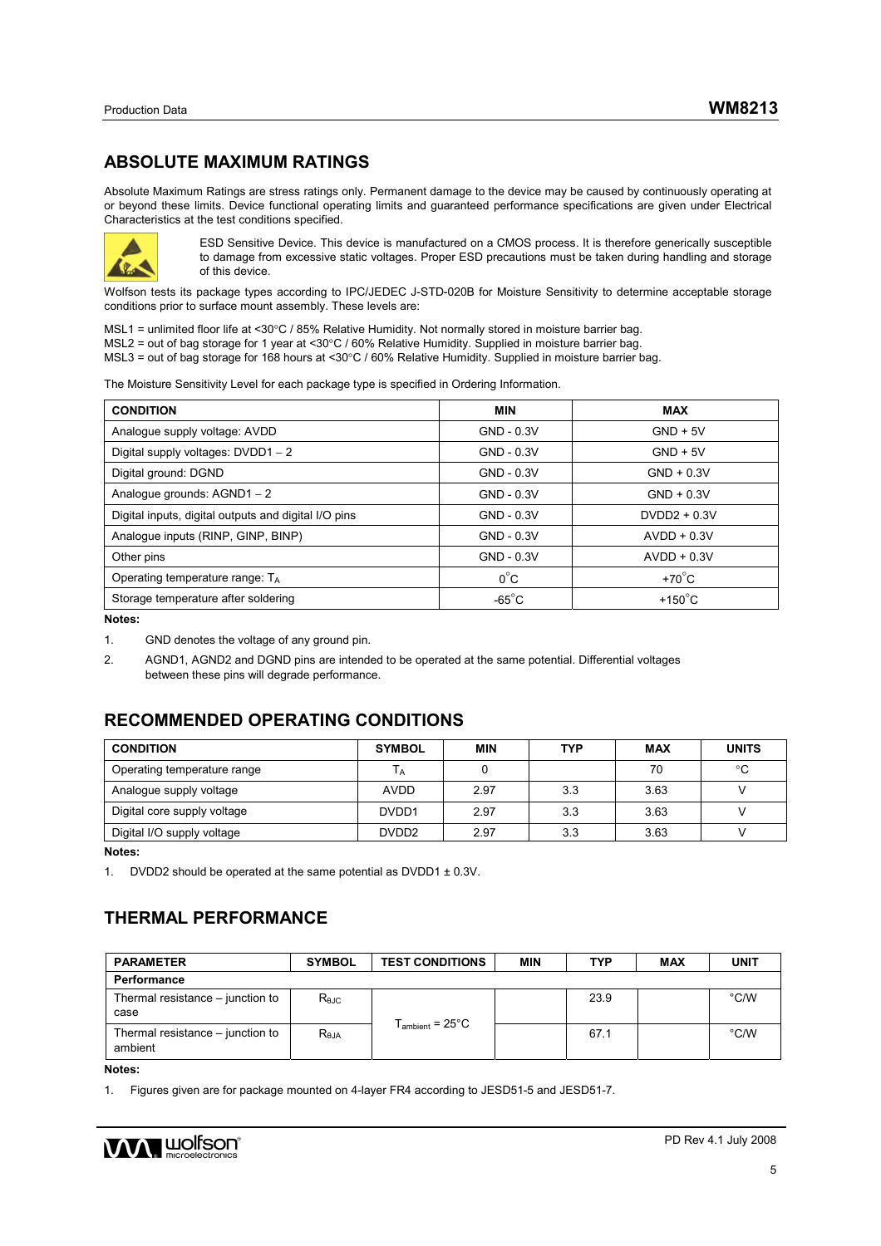# **ABSOLUTE MAXIMUM RATINGS**

Absolute Maximum Ratings are stress ratings only. Permanent damage to the device may be caused by continuously operating at or beyond these limits. Device functional operating limits and guaranteed performance specifications are given under Electrical Characteristics at the test conditions specified.



ESD Sensitive Device. This device is manufactured on a CMOS process. It is therefore generically susceptible to damage from excessive static voltages. Proper ESD precautions must be taken during handling and storage of this device.

Wolfson tests its package types according to IPC/JEDEC J-STD-020B for Moisture Sensitivity to determine acceptable storage conditions prior to surface mount assembly. These levels are:

MSL1 = unlimited floor life at <30°C / 85% Relative Humidity. Not normally stored in moisture barrier bag. MSL2 = out of bag storage for 1 year at <30°C / 60% Relative Humidity. Supplied in moisture barrier bag.

MSL3 = out of bag storage for 168 hours at <30°C / 60% Relative Humidity. Supplied in moisture barrier bag.

The Moisture Sensitivity Level for each package type is specified in Ordering Information.

| <b>CONDITION</b>                                     | <b>MIN</b>      | <b>MAX</b>        |
|------------------------------------------------------|-----------------|-------------------|
| Analogue supply voltage: AVDD                        | GND - 0.3V      | $GND + 5V$        |
| Digital supply voltages: DVDD1 - 2                   | GND - 0.3V      | $GND + 5V$        |
| Digital ground: DGND                                 | GND - 0.3V      | $GND + 0.3V$      |
| Analogue grounds: AGND1 - 2                          | GND - 0.3V      | $GND + 0.3V$      |
| Digital inputs, digital outputs and digital I/O pins | GND - 0.3V      | $DVDD2 + 0.3V$    |
| Analogue inputs (RINP, GINP, BINP)                   | GND - 0.3V      | $AVDD + 0.3V$     |
| Other pins                                           | GND - 0.3V      | $AVDD + 0.3V$     |
| Operating temperature range: $T_A$                   | $0^{\circ}$ C   | $+70^{\circ}$ C   |
| Storage temperature after soldering                  | $-65^{\circ}$ C | +150 $^{\circ}$ C |

**Notes:**

2. AGND1, AGND2 and DGND pins are intended to be operated at the same potential. Differential voltages between these pins will degrade performance.

# **RECOMMENDED OPERATING CONDITIONS**

| <b>CONDITION</b>            | <b>SYMBOL</b>     | <b>MIN</b> | TYP | <b>MAX</b> | <b>UNITS</b> |
|-----------------------------|-------------------|------------|-----|------------|--------------|
| Operating temperature range | l A               |            |     | 70         | °C           |
| Analogue supply voltage     | <b>AVDD</b>       | 2.97       | 3.3 | 3.63       |              |
| Digital core supply voltage | DVDD1             | 2.97       | 3.3 | 3.63       |              |
| Digital I/O supply voltage  | DVDD <sub>2</sub> | 2.97       | 3.3 | 3.63       |              |

**Notes:**

1. DVDD2 should be operated at the same potential as DVDD1 ± 0.3V.

# **THERMAL PERFORMANCE**

| <b>PARAMETER</b>                            | <b>SYMBOL</b>  | <b>TEST CONDITIONS</b>      | <b>MIN</b> | TYP  | <b>MAX</b> | <b>UNIT</b>   |
|---------------------------------------------|----------------|-----------------------------|------------|------|------------|---------------|
| Performance                                 |                |                             |            |      |            |               |
| Thermal resistance – junction to<br>case    | $R_{\theta$ JC |                             |            | 23.9 |            | $\degree$ C/W |
| Thermal resistance – junction to<br>ambient | $R_{\theta$ JA | $T_{\text{ambient}}$ = 25°C |            | 67.1 |            | $\degree$ C/W |

**Notes:** 

1. Figures given are for package mounted on 4-layer FR4 according to JESD51-5 and JESD51-7.



<sup>1.</sup> GND denotes the voltage of any ground pin.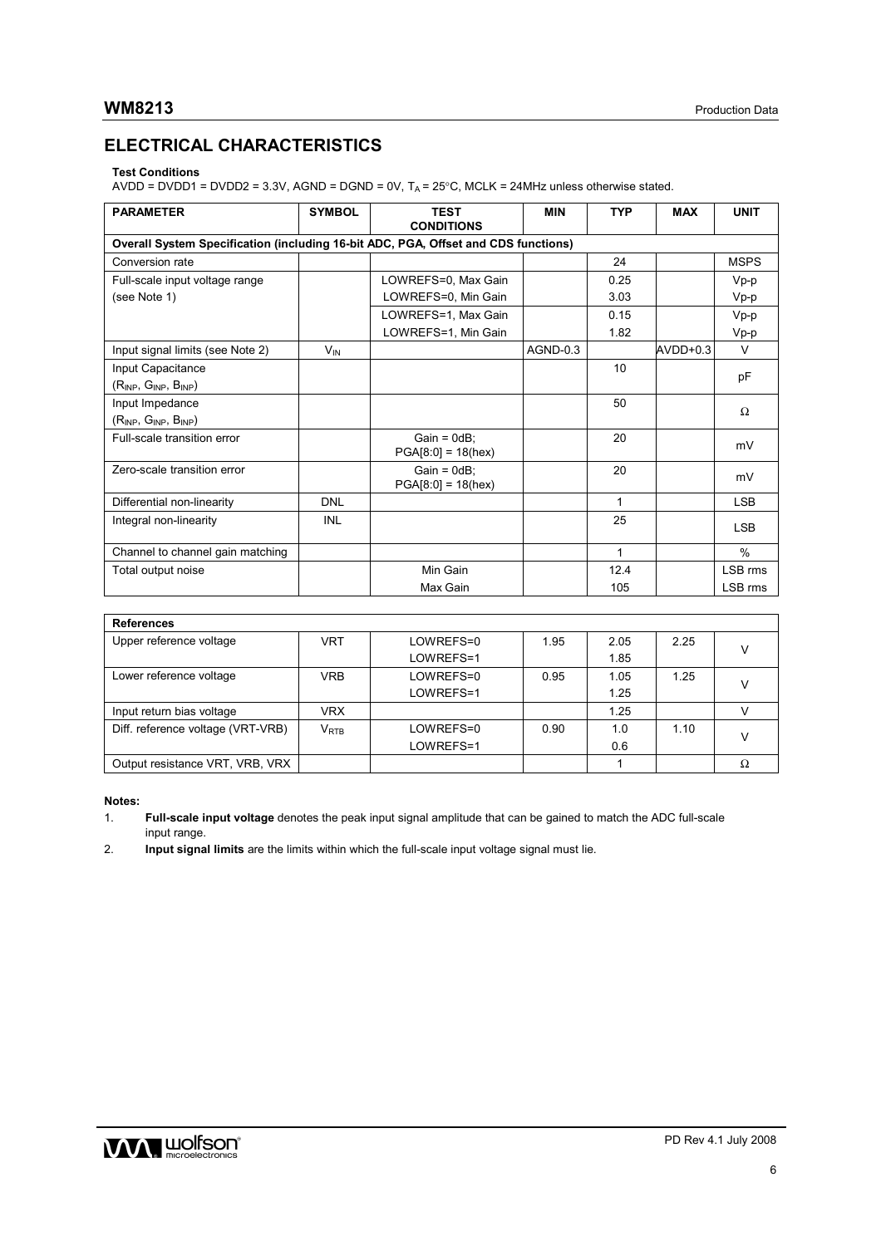# **ELECTRICAL CHARACTERISTICS**

### **Test Conditions**

AVDD = DVDD1 = DVDD2 = 3.3V, AGND = DGND = 0V,  $T_A$  = 25°C, MCLK = 24MHz unless otherwise stated.

| <b>PARAMETER</b>                                                                   | <b>SYMBOL</b>         | <b>TEST</b><br><b>CONDITIONS</b>       | <b>MIN</b> | <b>TYP</b>   | <b>MAX</b> | <b>UNIT</b> |
|------------------------------------------------------------------------------------|-----------------------|----------------------------------------|------------|--------------|------------|-------------|
| Overall System Specification (including 16-bit ADC, PGA, Offset and CDS functions) |                       |                                        |            |              |            |             |
| Conversion rate                                                                    |                       |                                        |            | 24           |            | <b>MSPS</b> |
| Full-scale input voltage range                                                     |                       | LOWREFS=0, Max Gain                    |            | 0.25         |            | Vp-p        |
| (see Note 1)                                                                       |                       | LOWREFS=0, Min Gain                    |            | 3.03         |            | Vp-p        |
|                                                                                    |                       | LOWREFS=1, Max Gain                    |            | 0.15         |            | $Vp-p$      |
|                                                                                    |                       | LOWREFS=1, Min Gain                    |            | 1.82         |            | Vp-p        |
| Input signal limits (see Note 2)                                                   | <b>V<sub>IN</sub></b> |                                        | AGND-0.3   |              | $AVDD+0.3$ | $\vee$      |
| Input Capacitance                                                                  |                       |                                        |            | 10           |            |             |
| $(R_{INP}, G_{INP}, B_{INP})$                                                      |                       |                                        |            |              |            | рF          |
| Input Impedance                                                                    |                       |                                        |            | 50           |            | Ω           |
| $(R_{INP}, G_{INP}, B_{INP})$                                                      |                       |                                        |            |              |            |             |
| Full-scale transition error                                                        |                       | $Gain = 0dB$ :<br>$PGA[8:0] = 18(hex)$ |            | 20           |            | mV          |
| Zero-scale transition error                                                        |                       | $Gain = 0dB$ :<br>$PGA[8:0] = 18(hex)$ |            | 20           |            | mV          |
| Differential non-linearity                                                         | <b>DNL</b>            |                                        |            | $\mathbf{1}$ |            | <b>LSB</b>  |
| Integral non-linearity                                                             | <b>INL</b>            |                                        |            | 25           |            | <b>LSB</b>  |
| Channel to channel gain matching                                                   |                       |                                        |            | $\mathbf{1}$ |            | $\%$        |
| Total output noise                                                                 |                       | Min Gain                               |            | 12.4         |            | LSB rms     |
|                                                                                    |                       | Max Gain                               |            | 105          |            | LSB rms     |

| <b>References</b>                 |            |           |      |      |      |  |
|-----------------------------------|------------|-----------|------|------|------|--|
| Upper reference voltage           | VRT        | LOWREFS=0 | 1.95 | 2.05 | 2.25 |  |
|                                   |            | LOWREFS=1 |      | 1.85 |      |  |
| Lower reference voltage           | <b>VRB</b> | LOWREFS=0 | 0.95 | 1.05 | 1.25 |  |
|                                   |            | LOWREFS=1 |      | 1.25 |      |  |
| Input return bias voltage         | <b>VRX</b> |           |      | 1.25 |      |  |
| Diff. reference voltage (VRT-VRB) | $V_{RTB}$  | LOWREFS=0 | 0.90 | 1.0  | 1.10 |  |
|                                   |            | LOWREFS=1 |      | 0.6  |      |  |
| Output resistance VRT, VRB, VRX   |            |           |      |      |      |  |

#### **Notes:**

2. **Input signal limits** are the limits within which the full-scale input voltage signal must lie.



<sup>1.</sup> **Full-scale input voltage** denotes the peak input signal amplitude that can be gained to match the ADC full-scale input range.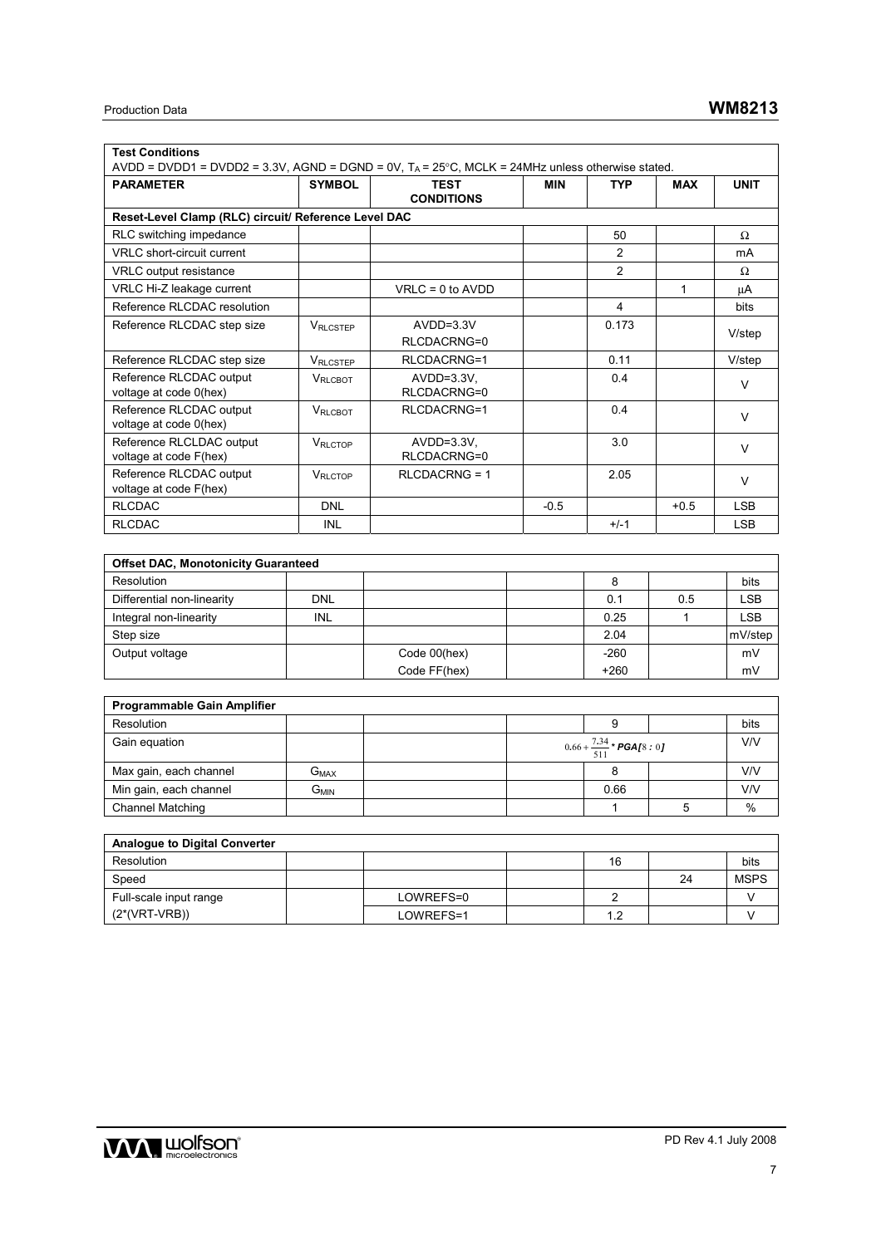| <b>Test Conditions</b>                                                                             |                  |                      |            |                |            |             |  |  |  |
|----------------------------------------------------------------------------------------------------|------------------|----------------------|------------|----------------|------------|-------------|--|--|--|
| AVDD = DVDD1 = DVDD2 = 3.3V, AGND = DGND = 0V, $T_A$ = 25°C, MCLK = 24MHz unless otherwise stated. |                  |                      |            |                |            |             |  |  |  |
| <b>PARAMETER</b>                                                                                   | <b>SYMBOL</b>    | <b>TEST</b>          | <b>MIN</b> | <b>TYP</b>     | <b>MAX</b> | <b>UNIT</b> |  |  |  |
|                                                                                                    |                  | <b>CONDITIONS</b>    |            |                |            |             |  |  |  |
| Reset-Level Clamp (RLC) circuit/ Reference Level DAC                                               |                  |                      |            |                |            |             |  |  |  |
| RLC switching impedance                                                                            |                  |                      |            | 50             |            | Ω           |  |  |  |
| VRLC short-circuit current                                                                         |                  |                      |            | 2              |            | mA          |  |  |  |
| <b>VRLC</b> output resistance                                                                      |                  |                      |            | $\mathfrak{p}$ |            | $\Omega$    |  |  |  |
| VRLC Hi-Z leakage current                                                                          |                  | $VRLC = 0$ to $AVDD$ |            |                | 1          | μA          |  |  |  |
| Reference RLCDAC resolution                                                                        |                  |                      |            | 4              |            | <b>bits</b> |  |  |  |
| Reference RLCDAC step size                                                                         | <b>VRLCSTEP</b>  | $AVDD=3.3V$          |            | 0.173          |            |             |  |  |  |
|                                                                                                    |                  | RLCDACRNG=0          |            |                |            | V/step      |  |  |  |
| Reference RLCDAC step size                                                                         | <b>VRLCSTEP</b>  | RLCDACRNG=1          |            | 0.11           |            | V/step      |  |  |  |
| Reference RLCDAC output                                                                            | <b>VRLCBOT</b>   | $AVDD=3.3V$ .        |            | 0.4            |            | $\vee$      |  |  |  |
| voltage at code 0(hex)                                                                             |                  | RLCDACRNG=0          |            |                |            |             |  |  |  |
| Reference RLCDAC output                                                                            | <b>VRLCBOT</b>   | RLCDACRNG=1          |            | 0.4            |            | $\vee$      |  |  |  |
| voltage at code 0(hex)                                                                             |                  |                      |            |                |            |             |  |  |  |
| Reference RLCLDAC output                                                                           | <b>V</b> RI CTOP | $AVDD=3.3V$ .        |            | 3.0            |            | $\vee$      |  |  |  |
| voltage at code F(hex)                                                                             |                  | RLCDACRNG=0          |            |                |            |             |  |  |  |
| Reference RLCDAC output                                                                            | VRLCTOP          | $RLCDACRNG = 1$      |            | 2.05           |            | $\vee$      |  |  |  |
| voltage at code F(hex)                                                                             |                  |                      |            |                |            |             |  |  |  |
| <b>RLCDAC</b>                                                                                      | <b>DNL</b>       |                      | $-0.5$     |                | $+0.5$     | <b>LSB</b>  |  |  |  |
| <b>RLCDAC</b>                                                                                      | <b>INL</b>       |                      |            | $+/-1$         |            | <b>LSB</b>  |  |  |  |
|                                                                                                    |                  |                      |            |                |            |             |  |  |  |
|                                                                                                    |                  |                      |            |                |            |             |  |  |  |

| <b>Offset DAC, Monotonicity Guaranteed</b> |            |              |  |        |     |            |  |  |  |
|--------------------------------------------|------------|--------------|--|--------|-----|------------|--|--|--|
| <b>Resolution</b>                          |            |              |  | 8      |     | bits       |  |  |  |
| Differential non-linearity                 | <b>DNL</b> |              |  | 0.1    | 0.5 | <b>LSB</b> |  |  |  |
| Integral non-linearity                     | <b>INL</b> |              |  | 0.25   |     | <b>LSB</b> |  |  |  |
| Step size                                  |            |              |  | 2.04   |     | mV/step    |  |  |  |
| Output voltage                             |            | Code 00(hex) |  | $-260$ |     | mV         |  |  |  |
|                                            |            | Code FF(hex) |  | $+260$ |     | mV         |  |  |  |

| Programmable Gain Amplifier |                             |  |                                      |      |  |      |  |  |
|-----------------------------|-----------------------------|--|--------------------------------------|------|--|------|--|--|
| Resolution                  |                             |  |                                      |      |  | bits |  |  |
| Gain equation               |                             |  | $0.66 + \frac{7.34}{511} * PGA[8:0]$ |      |  | V/V  |  |  |
| Max gain, each channel      | $\mathsf{G}_{\textsf{MAX}}$ |  |                                      |      |  | V/V  |  |  |
| Min gain, each channel      | G <sub>MIN</sub>            |  |                                      | 0.66 |  | V/V  |  |  |
| <b>Channel Matching</b>     |                             |  |                                      |      |  | $\%$ |  |  |

| <b>Analogue to Digital Converter</b> |  |           |  |     |    |             |  |  |
|--------------------------------------|--|-----------|--|-----|----|-------------|--|--|
| Resolution                           |  |           |  | 16  |    | bits        |  |  |
| Speed                                |  |           |  |     | 24 | <b>MSPS</b> |  |  |
| Full-scale input range               |  | LOWREFS=0 |  |     |    |             |  |  |
| (2*(VRT-VRB))                        |  | LOWREFS=1 |  | 1.2 |    |             |  |  |

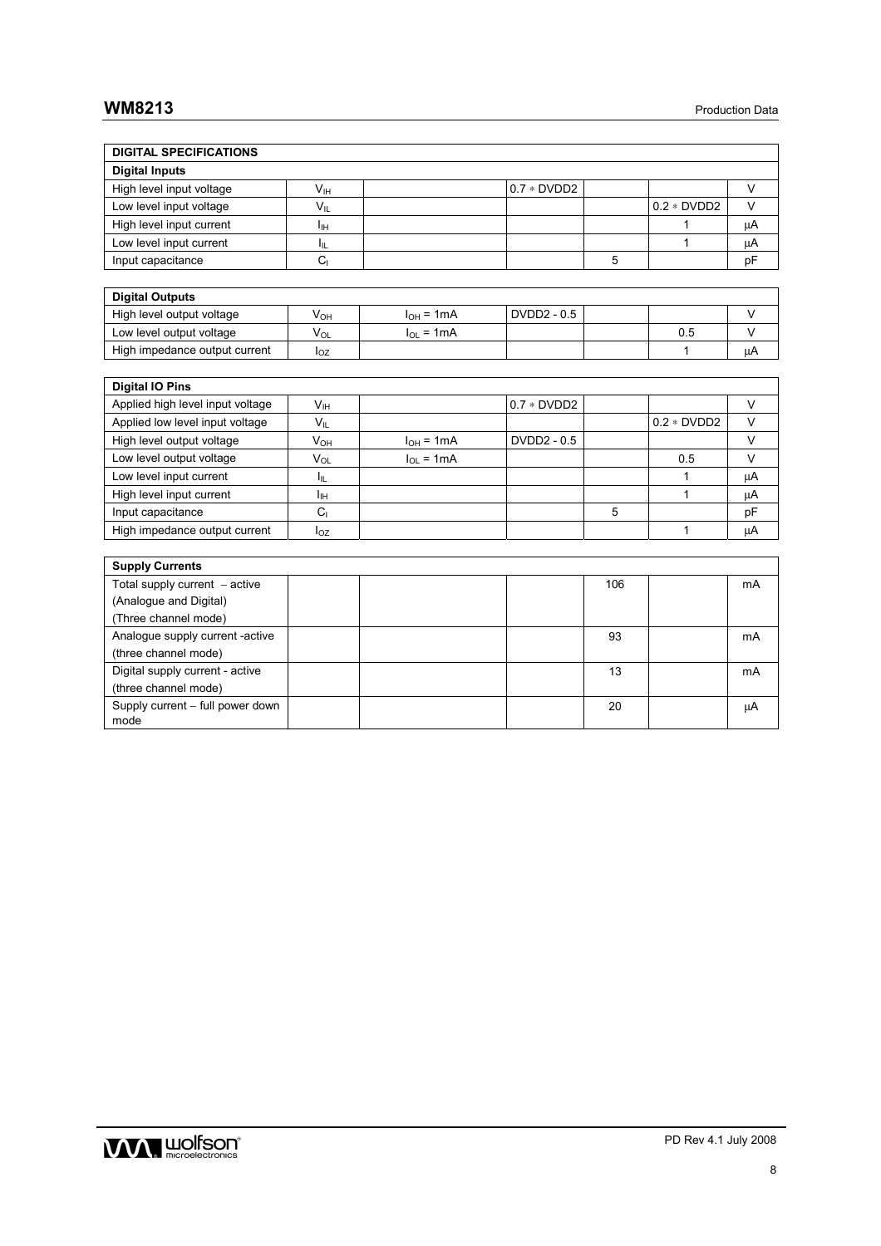# **WM8213** Production Data

| <b>DIGITAL SPECIFICATIONS</b>            |                            |                |              |     |              |        |
|------------------------------------------|----------------------------|----------------|--------------|-----|--------------|--------|
| <b>Digital Inputs</b>                    |                            |                |              |     |              |        |
| High level input voltage                 | $\mathsf{V}_{\mathsf{IH}}$ |                | $0.7 * DVD2$ |     |              | $\vee$ |
| Low level input voltage                  | $V_{\parallel}$            |                |              |     | $0.2 * DVD2$ | $\vee$ |
| High level input current                 | Īш                         |                |              |     | 1            | μA     |
| Low level input current                  | $\mathsf{I}_{\mathsf{IL}}$ |                |              |     | 1            | μA     |
| Input capacitance                        | C <sub>1</sub>             |                |              | 5   |              | pF     |
|                                          |                            |                |              |     |              |        |
| <b>Digital Outputs</b>                   |                            |                |              |     |              |        |
| High level output voltage                | <b>V<sub>OH</sub></b>      | $I_{OH} = 1mA$ | DVDD2 - 0.5  |     |              | $\vee$ |
| Low level output voltage                 | $V_{OL}$                   | $I_{OL}$ = 1mA |              |     | 0.5          | $\vee$ |
| High impedance output current            | $I_{OZ}$                   |                |              |     | 1            | μA     |
|                                          |                            |                |              |     |              |        |
| <b>Digital IO Pins</b>                   |                            |                |              |     |              |        |
| Applied high level input voltage         | V <sub>IH</sub>            |                | $0.7 * DVD2$ |     |              | $\vee$ |
| Applied low level input voltage          | $V_{IL}$                   |                |              |     | $0.2 * DVD2$ | $\vee$ |
| High level output voltage                | <b>V<sub>OH</sub></b>      | $I_{OH} = 1mA$ | DVDD2 - 0.5  |     |              | $\vee$ |
| Low level output voltage                 | V <sub>OL</sub>            | $I_{OL}$ = 1mA |              |     | 0.5          | $\vee$ |
| Low level input current                  | Iμ.                        |                |              |     | 1            | μA     |
| High level input current                 | Iн                         |                |              |     | 1            | μA     |
| Input capacitance                        | C <sub>1</sub>             |                |              | 5   |              | pF     |
| High impedance output current            | $I_{OZ}$                   |                |              |     | 1            | μA     |
|                                          |                            |                |              |     |              |        |
| <b>Supply Currents</b>                   |                            |                |              |     |              |        |
| Total supply current $-$ active          |                            |                |              | 106 |              | mA     |
| (Analogue and Digital)                   |                            |                |              |     |              |        |
| (Three channel mode)                     |                            |                |              |     |              |        |
| Analogue supply current -active          |                            |                |              | 93  |              | mA     |
| (three channel mode)                     |                            |                |              |     |              |        |
| Digital supply current - active          |                            |                |              | 13  |              | mA     |
| (three channel mode)                     |                            |                |              |     |              |        |
| Supply current - full power down<br>mode |                            |                |              | 20  |              | μA     |

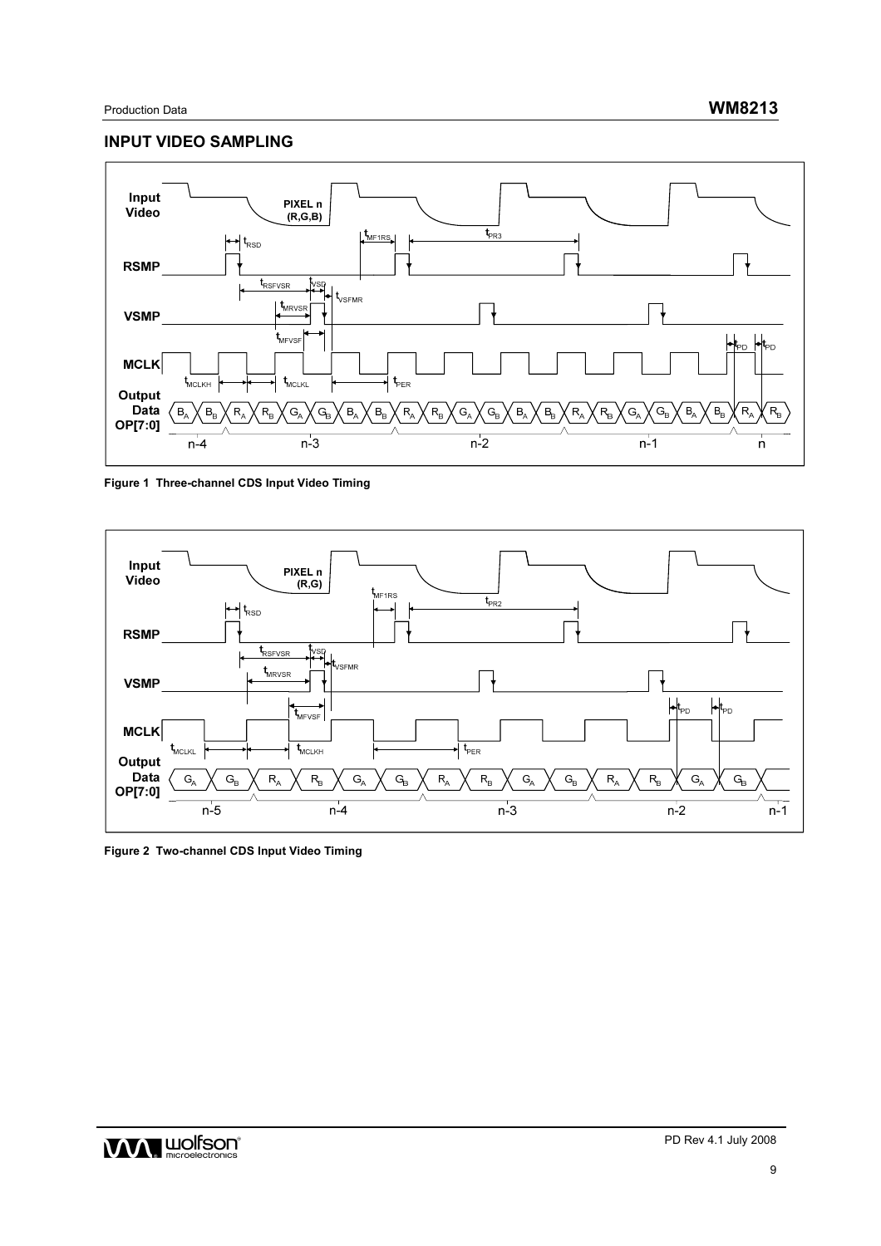# **INPUT VIDEO SAMPLING**



## **Figure 1 Three-channel CDS Input Video Timing**



**Figure 2 Two-channel CDS Input Video Timing**

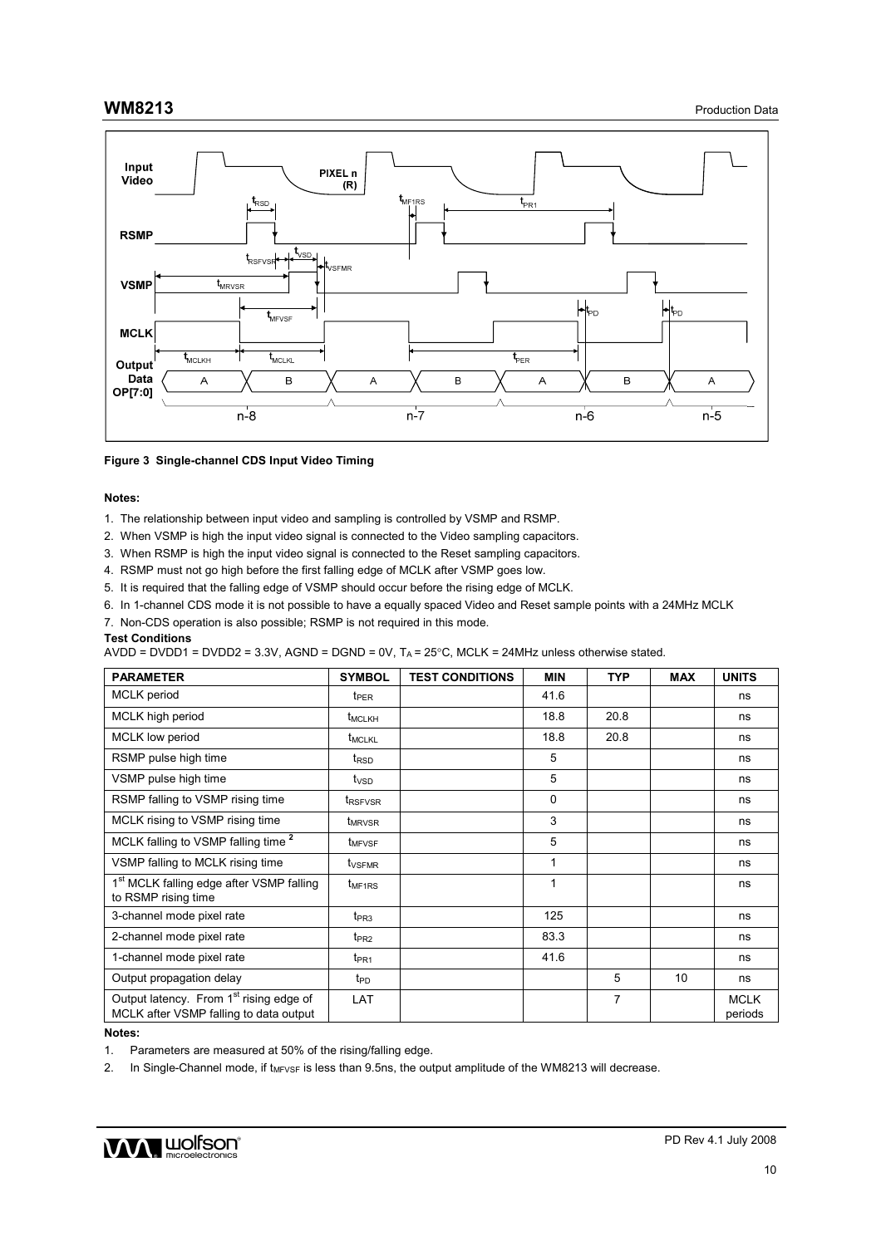

**Figure 3 Single-channel CDS Input Video Timing** 

#### **Notes:**

- 1. The relationship between input video and sampling is controlled by VSMP and RSMP.
- 2. When VSMP is high the input video signal is connected to the Video sampling capacitors.
- 3. When RSMP is high the input video signal is connected to the Reset sampling capacitors.
- 4. RSMP must not go high before the first falling edge of MCLK after VSMP goes low.
- 5. It is required that the falling edge of VSMP should occur before the rising edge of MCLK.
- 6. In 1-channel CDS mode it is not possible to have a equally spaced Video and Reset sample points with a 24MHz MCLK
- 7. Non-CDS operation is also possible; RSMP is not required in this mode.

#### **Test Conditions**

AVDD = DVDD1 = DVDD2 = 3.3V, AGND = DGND = 0V,  $T_A$  = 25°C, MCLK = 24MHz unless otherwise stated.

| <b>PARAMETER</b>                                                                              | <b>SYMBOL</b>              | <b>TEST CONDITIONS</b> | <b>MIN</b> | <b>TYP</b>     | <b>MAX</b> | <b>UNITS</b>           |
|-----------------------------------------------------------------------------------------------|----------------------------|------------------------|------------|----------------|------------|------------------------|
| <b>MCLK</b> period                                                                            | <b>t</b> <sub>PER</sub>    |                        | 41.6       |                |            | ns                     |
| MCLK high period                                                                              | t <sub>MCLKH</sub>         |                        | 18.8       | 20.8           |            | ns                     |
| <b>MCLK</b> low period                                                                        | <b>t<sub>MCLKL</sub></b>   |                        | 18.8       | 20.8           |            | ns                     |
| RSMP pulse high time                                                                          | t <sub>RSD</sub>           |                        | 5          |                |            | ns                     |
| VSMP pulse high time                                                                          | t <sub>vsp</sub>           |                        | 5          |                |            | ns                     |
| RSMP falling to VSMP rising time                                                              | <b>t</b> <sub>RSFVSR</sub> |                        | $\Omega$   |                |            | ns                     |
| MCLK rising to VSMP rising time                                                               | <b>t</b> <sub>MRVSR</sub>  |                        | 3          |                |            | ns                     |
| MCLK falling to VSMP falling time <sup>2</sup>                                                | <b>L</b> MFVSF             |                        | 5          |                |            | ns                     |
| VSMP falling to MCLK rising time                                                              | t <sub>VSFMR</sub>         |                        | 1          |                |            | ns                     |
| 1 <sup>st</sup> MCLK falling edge after VSMP falling<br>to RSMP rising time                   | $t_{MF1RS}$                |                        | 1          |                |            | ns                     |
| 3-channel mode pixel rate                                                                     | $t_{PR3}$                  |                        | 125        |                |            | ns                     |
| 2-channel mode pixel rate                                                                     | tpR2                       |                        | 83.3       |                |            | ns                     |
| 1-channel mode pixel rate                                                                     | $t_{PR1}$                  |                        | 41.6       |                |            | ns                     |
| Output propagation delay                                                                      | t <sub>PD</sub>            |                        |            | 5              | 10         | ns                     |
| Output latency. From 1 <sup>st</sup> rising edge of<br>MCLK after VSMP falling to data output | LAT                        |                        |            | $\overline{7}$ |            | <b>MCLK</b><br>periods |

#### **Notes:**

1. Parameters are measured at 50% of the rising/falling edge.

2. In Single-Channel mode, if t<sub>MFVSF</sub> is less than 9.5ns, the output amplitude of the WM8213 will decrease.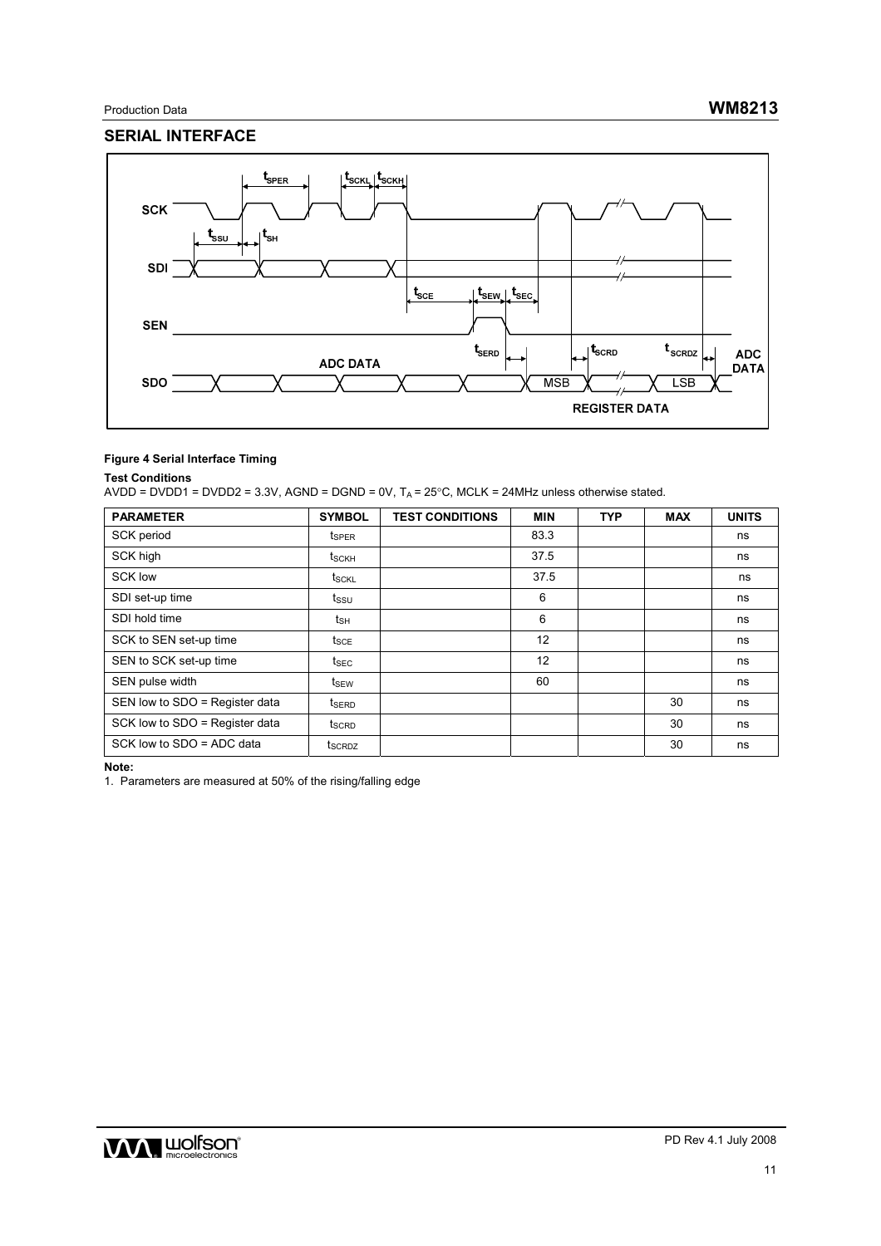# **SERIAL INTERFACE**



### **Figure 4 Serial Interface Timing**

#### **Test Conditions**

AVDD = DVDD1 = DVDD2 = 3.3V, AGND = DGND = 0V,  $T_A$  = 25°C, MCLK = 24MHz unless otherwise stated.

| <b>PARAMETER</b>               | <b>SYMBOL</b>      | <b>TEST CONDITIONS</b> | <b>MIN</b> | <b>TYP</b> | <b>MAX</b> | <b>UNITS</b> |
|--------------------------------|--------------------|------------------------|------------|------------|------------|--------------|
| SCK period                     | t <sub>SPER</sub>  |                        | 83.3       |            |            | ns           |
| SCK high                       | t <sub>sckH</sub>  |                        | 37.5       |            |            | ns           |
| <b>SCK low</b>                 | t <sub>SCKL</sub>  |                        | 37.5       |            |            | ns           |
| SDI set-up time                | t <sub>ssu</sub>   |                        | 6          |            |            | ns           |
| SDI hold time                  | t <sub>SH</sub>    |                        | 6          |            |            | ns           |
| SCK to SEN set-up time         | $t_{\sf SCE}$      |                        | 12         |            |            | ns           |
| SEN to SCK set-up time         | $t_{\text{SEC}}$   |                        | 12         |            |            | ns           |
| SEN pulse width                | $t_{SEW}$          |                        | 60         |            |            | ns           |
| SEN low to SDO = Register data | t <sub>SERD</sub>  |                        |            |            | 30         | ns           |
| SCK low to SDO = Register data | t <sub>scrp</sub>  |                        |            |            | 30         | ns           |
| SCK low to SDO = ADC data      | t <sub>SCRDZ</sub> |                        |            |            | 30         | ns           |

**Note:**

1. Parameters are measured at 50% of the rising/falling edge

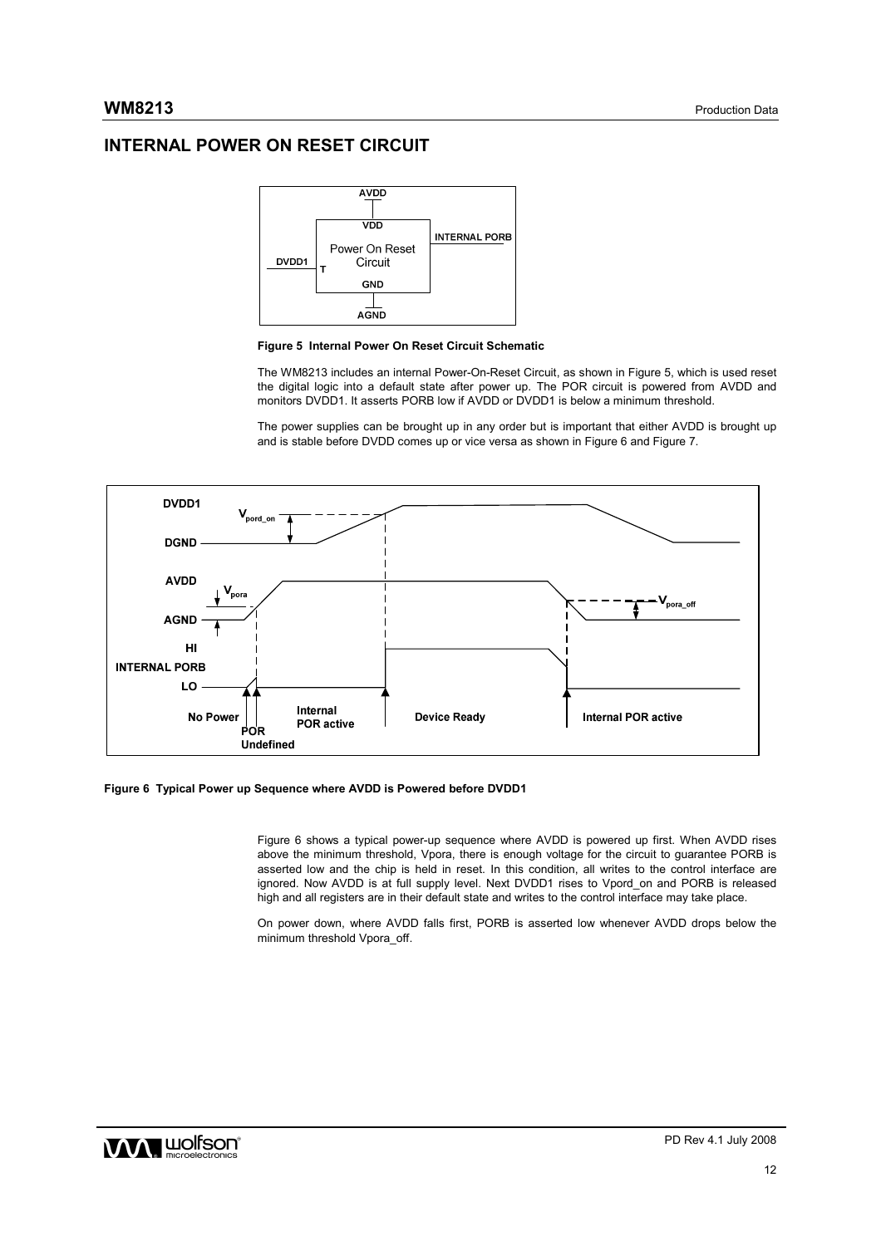# **INTERNAL POWER ON RESET CIRCUIT**





The WM8213 includes an internal Power-On-Reset Circuit, as shown in Figure 5, which is used reset the digital logic into a default state after power up. The POR circuit is powered from AVDD and monitors DVDD1. It asserts PORB low if AVDD or DVDD1 is below a minimum threshold.

The power supplies can be brought up in any order but is important that either AVDD is brought up and is stable before DVDD comes up or vice versa as shown in Figure 6 and Figure 7.



**Figure 6 Typical Power up Sequence where AVDD is Powered before DVDD1** 

Figure 6 shows a typical power-up sequence where AVDD is powered up first. When AVDD rises above the minimum threshold, Vpora, there is enough voltage for the circuit to guarantee PORB is asserted low and the chip is held in reset. In this condition, all writes to the control interface are ignored. Now AVDD is at full supply level. Next DVDD1 rises to Vpord\_on and PORB is released high and all registers are in their default state and writes to the control interface may take place.

On power down, where AVDD falls first, PORB is asserted low whenever AVDD drops below the minimum threshold Vpora\_off.

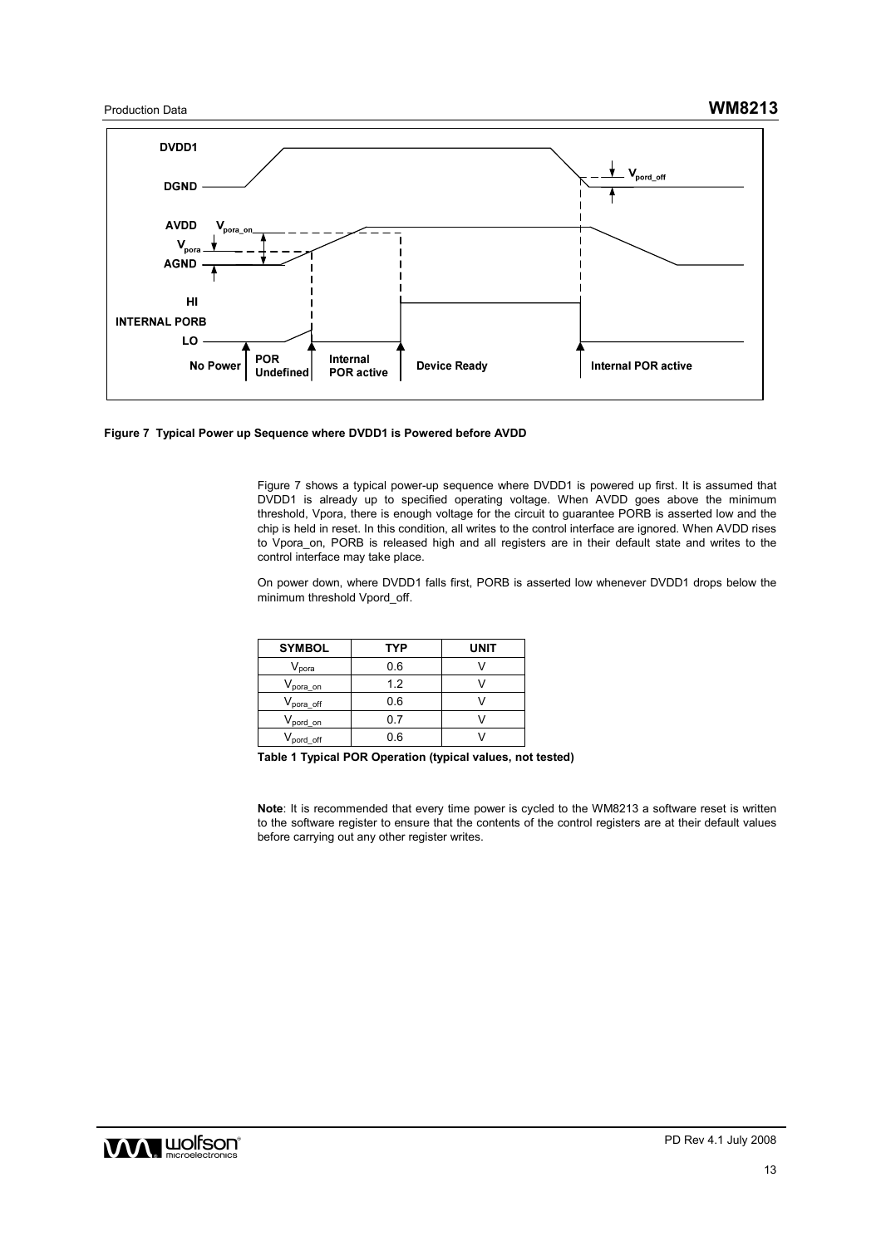



Figure 7 shows a typical power-up sequence where DVDD1 is powered up first. It is assumed that DVDD1 is already up to specified operating voltage. When AVDD goes above the minimum threshold, Vpora, there is enough voltage for the circuit to guarantee PORB is asserted low and the chip is held in reset. In this condition, all writes to the control interface are ignored. When AVDD rises to Vpora\_on, PORB is released high and all registers are in their default state and writes to the control interface may take place.

On power down, where DVDD1 falls first, PORB is asserted low whenever DVDD1 drops below the minimum threshold Vpord\_off.

| <b>SYMBOL</b>                | <b>TYP</b> | UNIT |
|------------------------------|------------|------|
| $\mathsf{V}_{\mathsf{pora}}$ | 0.6        |      |
| $V_{\text{pora\_on}}$        | 1.2        |      |
| $V_{\text{pora off}}$        | 0.6        |      |
| V <sub>pord_on</sub>         | ი 7        |      |
| V <sub>pord</sub> off        | 0.6        |      |

**Table 1 Typical POR Operation (typical values, not tested)** 

**Note**: It is recommended that every time power is cycled to the WM8213 a software reset is written to the software register to ensure that the contents of the control registers are at their default values before carrying out any other register writes.

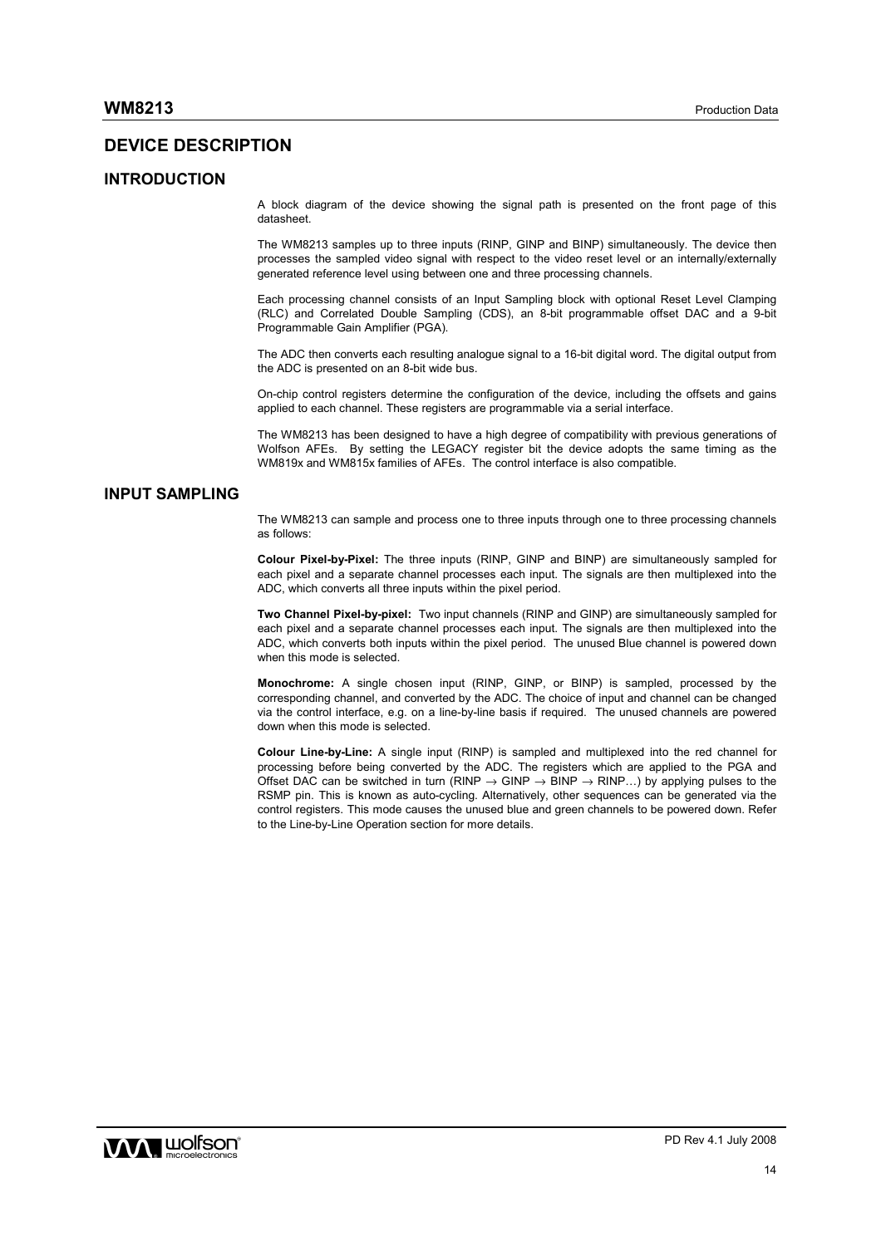## **DEVICE DESCRIPTION**

#### **INTRODUCTION**

A block diagram of the device showing the signal path is presented on the front page of this datasheet.

The WM8213 samples up to three inputs (RINP, GINP and BINP) simultaneously. The device then processes the sampled video signal with respect to the video reset level or an internally/externally generated reference level using between one and three processing channels.

Each processing channel consists of an Input Sampling block with optional Reset Level Clamping (RLC) and Correlated Double Sampling (CDS), an 8-bit programmable offset DAC and a 9-bit Programmable Gain Amplifier (PGA).

The ADC then converts each resulting analogue signal to a 16-bit digital word. The digital output from the ADC is presented on an 8-bit wide bus.

On-chip control registers determine the configuration of the device, including the offsets and gains applied to each channel. These registers are programmable via a serial interface.

The WM8213 has been designed to have a high degree of compatibility with previous generations of Wolfson AFEs. By setting the LEGACY register bit the device adopts the same timing as the WM819x and WM815x families of AFEs. The control interface is also compatible.

## **INPUT SAMPLING**

The WM8213 can sample and process one to three inputs through one to three processing channels as follows:

**Colour Pixel-by-Pixel:** The three inputs (RINP, GINP and BINP) are simultaneously sampled for each pixel and a separate channel processes each input. The signals are then multiplexed into the ADC, which converts all three inputs within the pixel period.

**Two Channel Pixel-by-pixel:** Two input channels (RINP and GINP) are simultaneously sampled for each pixel and a separate channel processes each input. The signals are then multiplexed into the ADC, which converts both inputs within the pixel period. The unused Blue channel is powered down when this mode is selected.

**Monochrome:** A single chosen input (RINP, GINP, or BINP) is sampled, processed by the corresponding channel, and converted by the ADC. The choice of input and channel can be changed via the control interface, e.g. on a line-by-line basis if required. The unused channels are powered down when this mode is selected.

**Colour Line-by-Line:** A single input (RINP) is sampled and multiplexed into the red channel for processing before being converted by the ADC. The registers which are applied to the PGA and Offset DAC can be switched in turn (RINP  $\rightarrow$  GINP  $\rightarrow$  BINP  $\rightarrow$  RINP...) by applying pulses to the RSMP pin. This is known as auto-cycling. Alternatively, other sequences can be generated via the control registers. This mode causes the unused blue and green channels to be powered down. Refer to the Line-by-Line Operation section for more details.

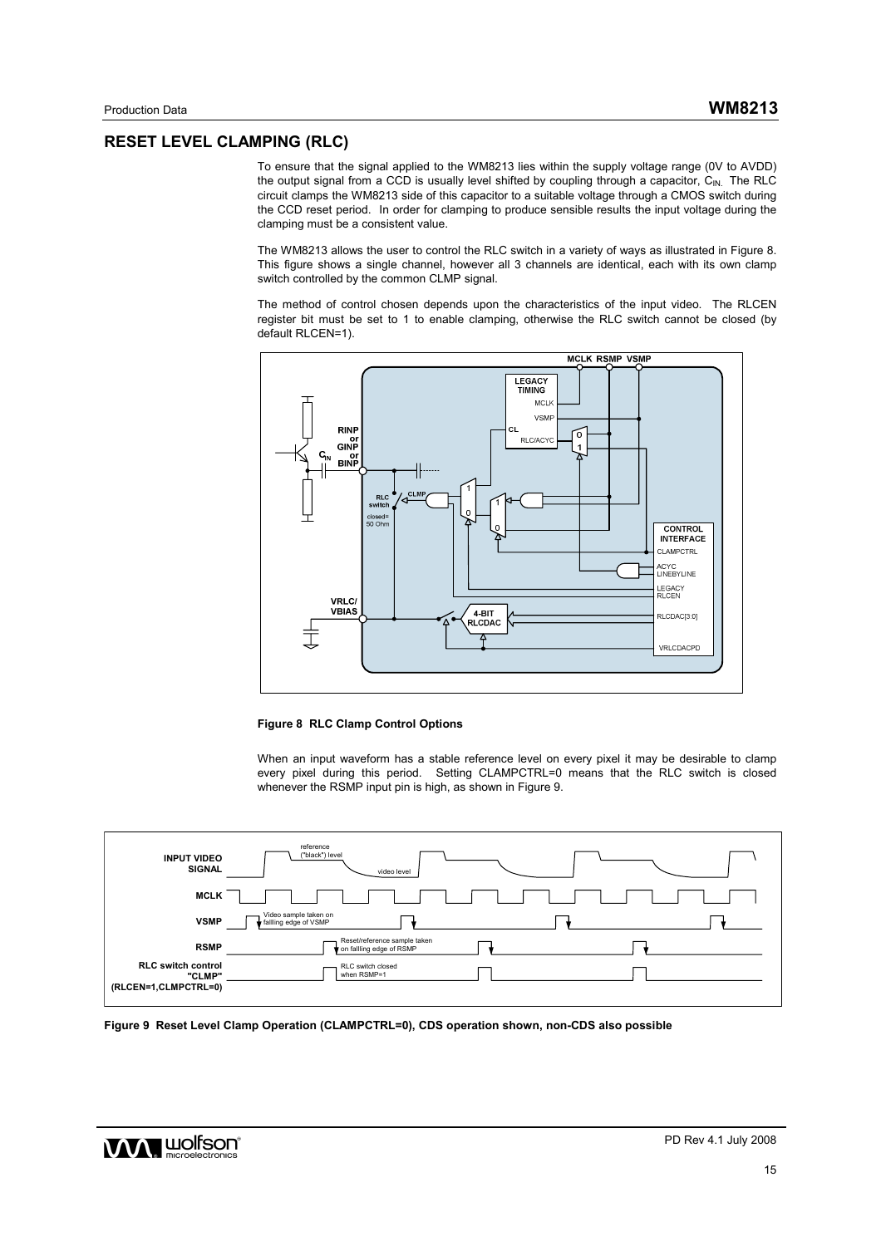# **RESET LEVEL CLAMPING (RLC)**

To ensure that the signal applied to the WM8213 lies within the supply voltage range (0V to AVDD) the output signal from a CCD is usually level shifted by coupling through a capacitor,  $C_{\text{IN}}$ . The RLC circuit clamps the WM8213 side of this capacitor to a suitable voltage through a CMOS switch during the CCD reset period. In order for clamping to produce sensible results the input voltage during the clamping must be a consistent value.

The WM8213 allows the user to control the RLC switch in a variety of ways as illustrated in Figure 8. This figure shows a single channel, however all 3 channels are identical, each with its own clamp switch controlled by the common CLMP signal.

The method of control chosen depends upon the characteristics of the input video. The RLCEN register bit must be set to 1 to enable clamping, otherwise the RLC switch cannot be closed (by default RLCEN=1).



**Figure 8 RLC Clamp Control Options** 

When an input waveform has a stable reference level on every pixel it may be desirable to clamp every pixel during this period. Setting CLAMPCTRL=0 means that the RLC switch is closed whenever the RSMP input pin is high, as shown in Figure 9.



**Figure 9 Reset Level Clamp Operation (CLAMPCTRL=0), CDS operation shown, non-CDS also possible**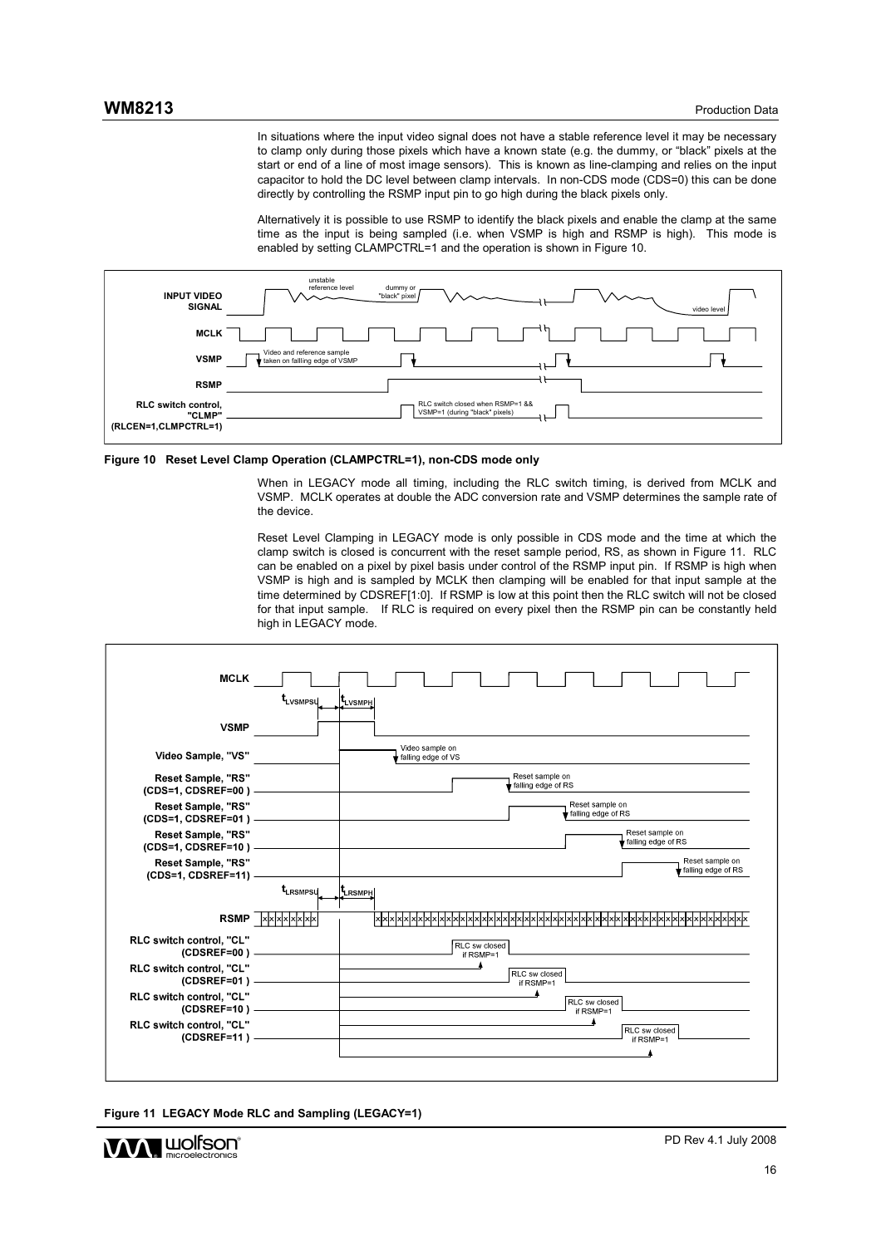In situations where the input video signal does not have a stable reference level it may be necessary to clamp only during those pixels which have a known state (e.g. the dummy, or "black" pixels at the start or end of a line of most image sensors). This is known as line-clamping and relies on the input capacitor to hold the DC level between clamp intervals. In non-CDS mode (CDS=0) this can be done directly by controlling the RSMP input pin to go high during the black pixels only.

Alternatively it is possible to use RSMP to identify the black pixels and enable the clamp at the same time as the input is being sampled (i.e. when VSMP is high and RSMP is high). This mode is enabled by setting CLAMPCTRL=1 and the operation is shown in Figure 10.



**Figure 10 Reset Level Clamp Operation (CLAMPCTRL=1), non-CDS mode only** 

When in LEGACY mode all timing, including the RLC switch timing, is derived from MCLK and VSMP. MCLK operates at double the ADC conversion rate and VSMP determines the sample rate of the device.

Reset Level Clamping in LEGACY mode is only possible in CDS mode and the time at which the clamp switch is closed is concurrent with the reset sample period, RS, as shown in Figure 11. RLC can be enabled on a pixel by pixel basis under control of the RSMP input pin. If RSMP is high when VSMP is high and is sampled by MCLK then clamping will be enabled for that input sample at the time determined by CDSREF[1:0]. If RSMP is low at this point then the RLC switch will not be closed for that input sample. If RLC is required on every pixel then the RSMP pin can be constantly held high in LEGACY mode.





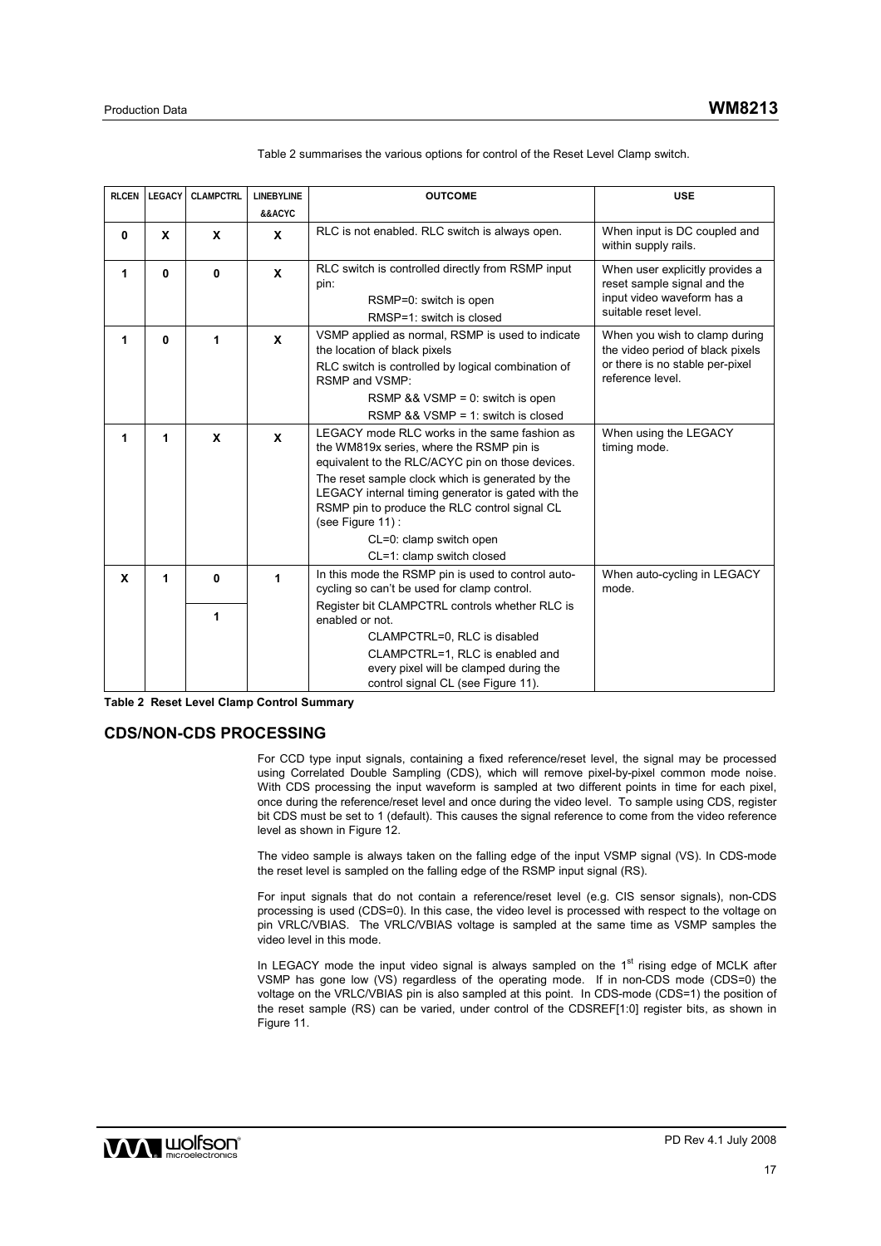| <b>RLCEN</b> | <b>LEGACY</b> | <b>CLAMPCTRL</b> | <b>LINEBYLINE</b><br>&&ACYC | <b>OUTCOME</b>                                                                                                                                                                                                                                                                                                                                                                      | <b>USE</b>                                                                                                               |
|--------------|---------------|------------------|-----------------------------|-------------------------------------------------------------------------------------------------------------------------------------------------------------------------------------------------------------------------------------------------------------------------------------------------------------------------------------------------------------------------------------|--------------------------------------------------------------------------------------------------------------------------|
| $\mathbf 0$  | X             | X                | X                           | RLC is not enabled. RLC switch is always open.                                                                                                                                                                                                                                                                                                                                      | When input is DC coupled and<br>within supply rails.                                                                     |
| 1            | 0             | $\bf{0}$         | $\mathbf{x}$                | RLC switch is controlled directly from RSMP input<br>pin:<br>RSMP=0: switch is open<br>RMSP=1: switch is closed                                                                                                                                                                                                                                                                     | When user explicitly provides a<br>reset sample signal and the<br>input video waveform has a<br>suitable reset level.    |
| 1            | 0             | 1                | $\mathbf{x}$                | VSMP applied as normal, RSMP is used to indicate<br>the location of black pixels<br>RLC switch is controlled by logical combination of<br>RSMP and VSMP:<br>RSMP $88$ VSMP = 0: switch is open<br>RSMP $& 8 \text{ W}$ SMP = 1: switch is closed                                                                                                                                    | When you wish to clamp during<br>the video period of black pixels<br>or there is no stable per-pixel<br>reference level. |
| 1            | 1             | X                | X                           | LEGACY mode RLC works in the same fashion as<br>the WM819x series, where the RSMP pin is<br>equivalent to the RLC/ACYC pin on those devices.<br>The reset sample clock which is generated by the<br>LEGACY internal timing generator is gated with the<br>RSMP pin to produce the RLC control signal CL<br>(see Figure 11):<br>CL=0: clamp switch open<br>CL=1: clamp switch closed | When using the LEGACY<br>timing mode.                                                                                    |
| X            | 1             | 0                | 1                           | In this mode the RSMP pin is used to control auto-<br>cycling so can't be used for clamp control.<br>Register bit CLAMPCTRL controls whether RLC is                                                                                                                                                                                                                                 | When auto-cycling in LEGACY<br>mode.                                                                                     |
|              |               | 1                |                             | enabled or not.<br>CLAMPCTRL=0, RLC is disabled<br>CLAMPCTRL=1, RLC is enabled and<br>every pixel will be clamped during the<br>control signal CL (see Figure 11).                                                                                                                                                                                                                  |                                                                                                                          |

Table 2 summarises the various options for control of the Reset Level Clamp switch.

**Table 2 Reset Level Clamp Control Summary** 

## **CDS/NON-CDS PROCESSING**

For CCD type input signals, containing a fixed reference/reset level, the signal may be processed using Correlated Double Sampling (CDS), which will remove pixel-by-pixel common mode noise. With CDS processing the input waveform is sampled at two different points in time for each pixel, once during the reference/reset level and once during the video level. To sample using CDS, register bit CDS must be set to 1 (default). This causes the signal reference to come from the video reference level as shown in Figure 12.

The video sample is always taken on the falling edge of the input VSMP signal (VS). In CDS-mode the reset level is sampled on the falling edge of the RSMP input signal (RS).

For input signals that do not contain a reference/reset level (e.g. CIS sensor signals), non-CDS processing is used (CDS=0). In this case, the video level is processed with respect to the voltage on pin VRLC/VBIAS. The VRLC/VBIAS voltage is sampled at the same time as VSMP samples the video level in this mode.

In LEGACY mode the input video signal is always sampled on the  $1<sup>st</sup>$  rising edge of MCLK after VSMP has gone low (VS) regardless of the operating mode. If in non-CDS mode (CDS=0) the voltage on the VRLC/VBIAS pin is also sampled at this point. In CDS-mode (CDS=1) the position of the reset sample (RS) can be varied, under control of the CDSREF[1:0] register bits, as shown in Figure 11.

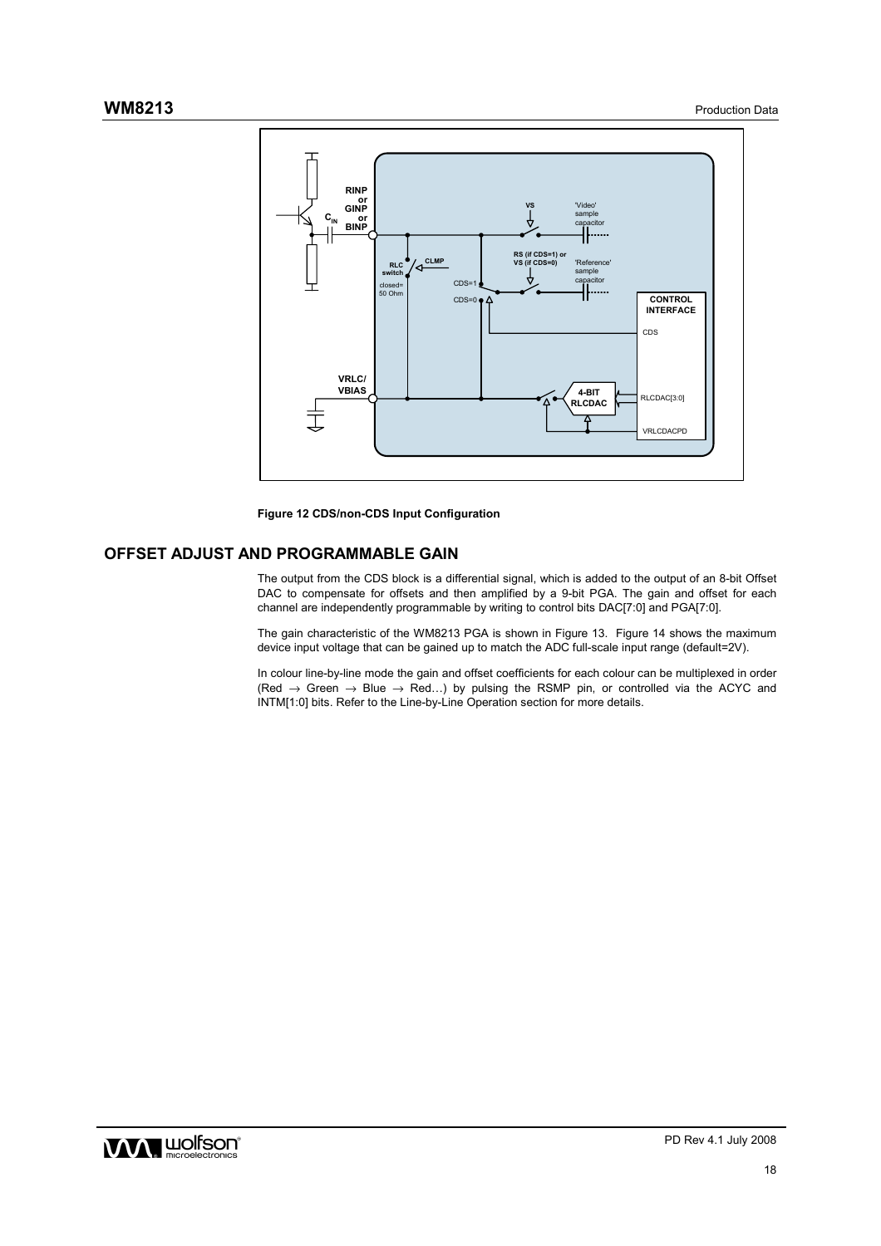

**Figure 12 CDS/non-CDS Input Configuration** 

## **OFFSET ADJUST AND PROGRAMMABLE GAIN**

The output from the CDS block is a differential signal, which is added to the output of an 8-bit Offset DAC to compensate for offsets and then amplified by a 9-bit PGA. The gain and offset for each channel are independently programmable by writing to control bits DAC[7:0] and PGA[7:0].

The gain characteristic of the WM8213 PGA is shown in Figure 13. Figure 14 shows the maximum device input voltage that can be gained up to match the ADC full-scale input range (default=2V).

In colour line-by-line mode the gain and offset coefficients for each colour can be multiplexed in order  $(Red \rightarrow Green \rightarrow Blue \rightarrow Red...)$  by pulsing the RSMP pin, or controlled via the ACYC and INTM[1:0] bits. Refer to the Line-by-Line Operation section for more details.

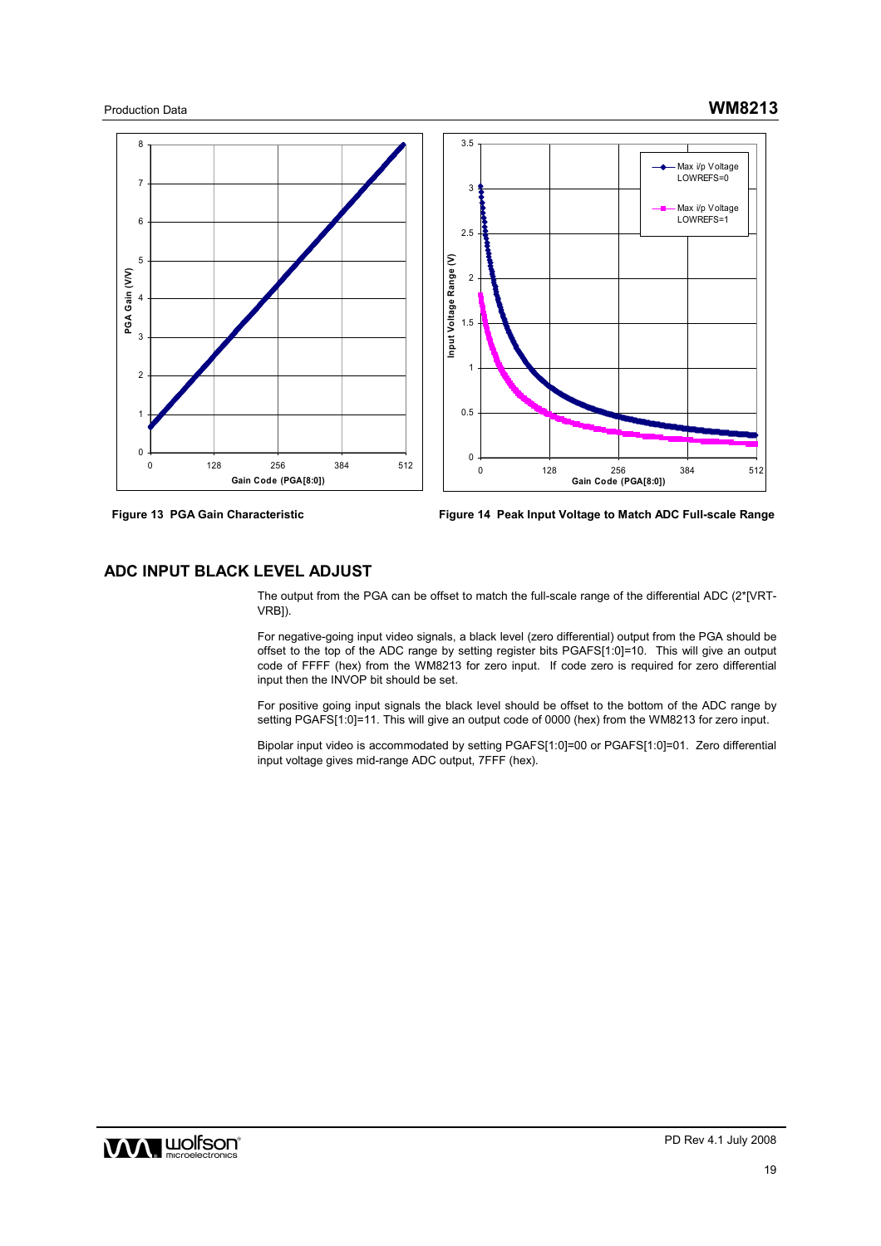



**Figure 13 PGA Gain Characteristic Figure 14 Peak Input Voltage to Match ADC Full-scale Range**

## **ADC INPUT BLACK LEVEL ADJUST**

The output from the PGA can be offset to match the full-scale range of the differential ADC (2\*[VRT-VRB]).

For negative-going input video signals, a black level (zero differential) output from the PGA should be offset to the top of the ADC range by setting register bits PGAFS[1:0]=10. This will give an output code of FFFF (hex) from the WM8213 for zero input. If code zero is required for zero differential input then the INVOP bit should be set.

For positive going input signals the black level should be offset to the bottom of the ADC range by setting PGAFS[1:0]=11. This will give an output code of 0000 (hex) from the WM8213 for zero input.

Bipolar input video is accommodated by setting PGAFS[1:0]=00 or PGAFS[1:0]=01. Zero differential input voltage gives mid-range ADC output, 7FFF (hex).

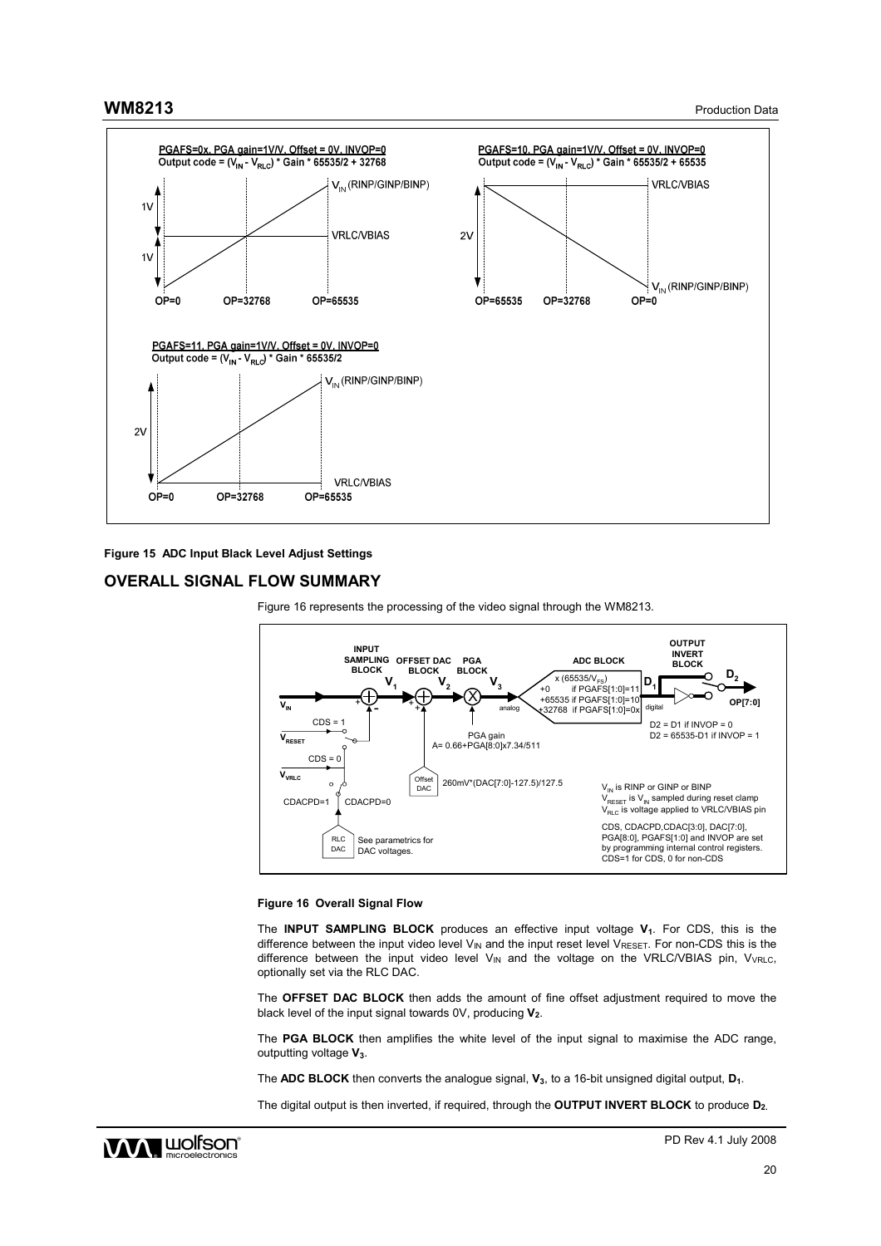



## **OVERALL SIGNAL FLOW SUMMARY**





#### **Figure 16 Overall Signal Flow**

The **INPUT SAMPLING BLOCK** produces an effective input voltage **V1**. For CDS, this is the difference between the input video level  $V_{IN}$  and the input reset level  $V_{RESET}$ . For non-CDS this is the difference between the input video level  $V_{IN}$  and the voltage on the VRLC/VBIAS pin,  $V_{VRLC}$ , optionally set via the RLC DAC.

The **OFFSET DAC BLOCK** then adds the amount of fine offset adjustment required to move the black level of the input signal towards 0V, producing **V2**.

The **PGA BLOCK** then amplifies the white level of the input signal to maximise the ADC range, outputting voltage **V3**.

The **ADC BLOCK** then converts the analogue signal, **V**<sub>3</sub>, to a 16-bit unsigned digital output, **D**<sub>1</sub>.

The digital output is then inverted, if required, through the **OUTPUT INVERT BLOCK** to produce **D2.**

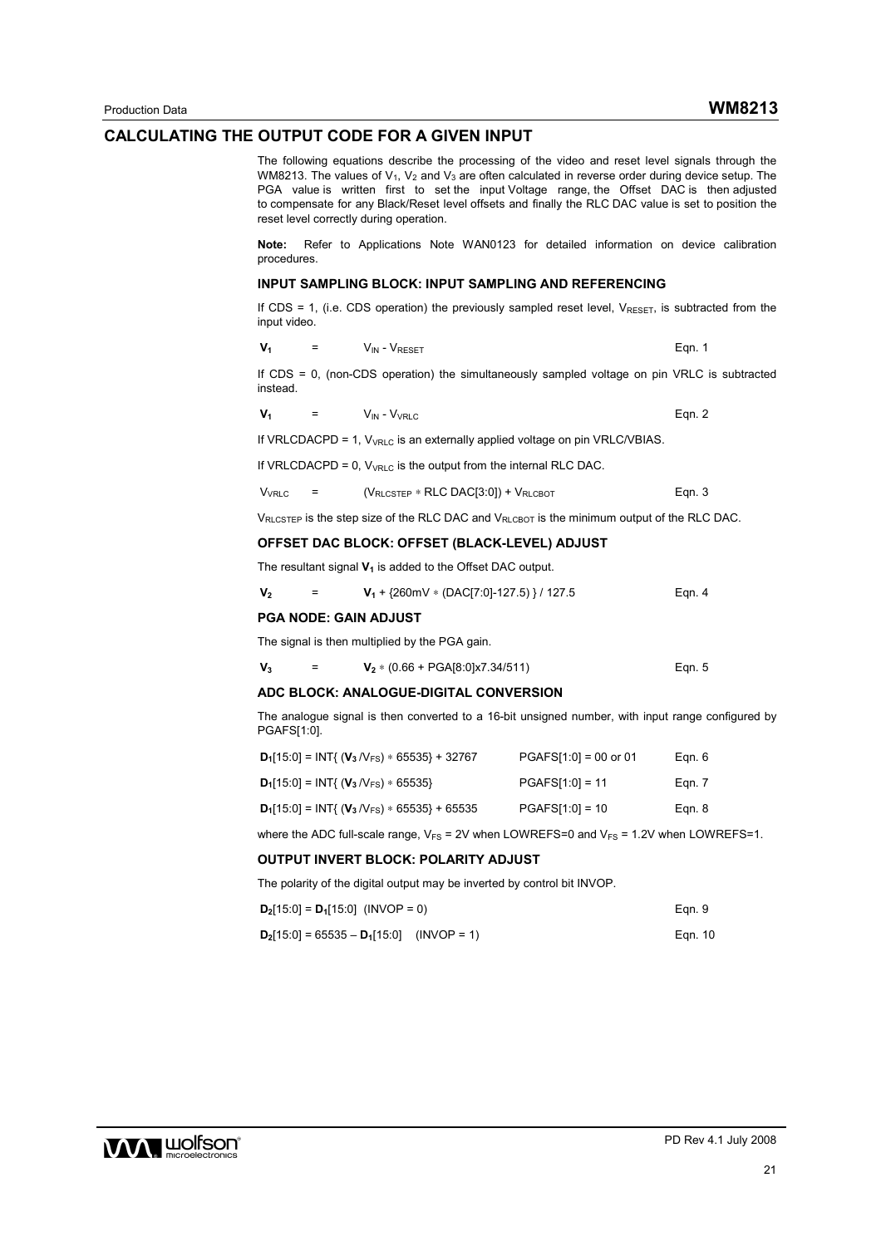#### **CALCULATING THE OUTPUT CODE FOR A GIVEN INPUT**

The following equations describe the processing of the video and reset level signals through the WM8213. The values of  $V_1$ ,  $V_2$  and  $V_3$  are often calculated in reverse order during device setup. The PGA value is written first to set the input Voltage range, the Offset DAC is then adjusted to compensate for any Black/Reset level offsets and finally the RLC DAC value is set to position the reset level correctly during operation.

**Note:** Refer to Applications Note WAN0123 for detailed information on device calibration procedures.

#### **INPUT SAMPLING BLOCK: INPUT SAMPLING AND REFERENCING**

If CDS = 1, (i.e. CDS operation) the previously sampled reset level,  $V_{RESFT}$ , is subtracted from the input video.

$$
V_1 = V_{IN} - V_{RESET} \qquad \qquad \text{Eqn. 1}
$$

If CDS = 0, (non-CDS operation) the simultaneously sampled voltage on pin VRLC is subtracted instead.

 $V_1$  =  $V_{IN} - V_{VRLC}$  Eqn. 2

If VRLCDACPD = 1,  $V_{VRLC}$  is an externally applied voltage on pin VRLC/VBIAS.

If VRLCDACPD = 0,  $V_{VRLC}$  is the output from the internal RLC DAC.

 $V_{\text{VRLC}}$  = ( $V_{\text{RLCSTEP}}$  \* RLC DAC[3:0]) +  $V_{\text{RLCBOT}}$  Eqn. 3

VRLCSTEP is the step size of the RLC DAC and VRLCBOT is the minimum output of the RLC DAC.

## **OFFSET DAC BLOCK: OFFSET (BLACK-LEVEL) ADJUST**

The resultant signal  $V_1$  is added to the Offset DAC output.

| V <sub>2</sub> |  | $V_1$ + {260mV * (DAC[7:0]-127.5) } / 127.5 | Ean. 4 |
|----------------|--|---------------------------------------------|--------|
|----------------|--|---------------------------------------------|--------|

#### **PGA NODE: GAIN ADJUST**

The signal is then multiplied by the PGA gain.

| $V_3$ |  | $V_2$ * (0.66 + PGA[8:0]x7.34/511) | Ean. 5 |
|-------|--|------------------------------------|--------|
|-------|--|------------------------------------|--------|

#### **ADC BLOCK: ANALOGUE-DIGITAL CONVERSION**

The analogue signal is then converted to a 16-bit unsigned number, with input range configured by PGAFS[1:0].

| $D_1[15:0] = INT{ (V_3/V_{FS}) * 65535 } + 32767$ | $PGAFS[1:0] = 00$ or 01 | Egn. 6 |
|---------------------------------------------------|-------------------------|--------|
| $D_1[15:0] = INT{ (V_3/V_{FS}) * 65535 }$         | $PGAFS[1:0] = 11$       | Egn. 7 |
| $D_1[15:0] = INT{ (V_3/V_{FS}) * 65535 } + 65535$ | $PGAFS[1:0] = 10$       | Egn. 8 |

where the ADC full-scale range,  $V_{FS}$  = 2V when LOWREFS=0 and  $V_{FS}$  = 1.2V when LOWREFS=1.

#### **OUTPUT INVERT BLOCK: POLARITY ADJUST**

The polarity of the digital output may be inverted by control bit INVOP.

| $D_2[15:0] = D_1[15:0]$ (INVOP = 0)         | Ean. 9  |
|---------------------------------------------|---------|
| $D_2[15:0] = 65535 - D_1[15:0]$ (INVOP = 1) | Ean. 10 |

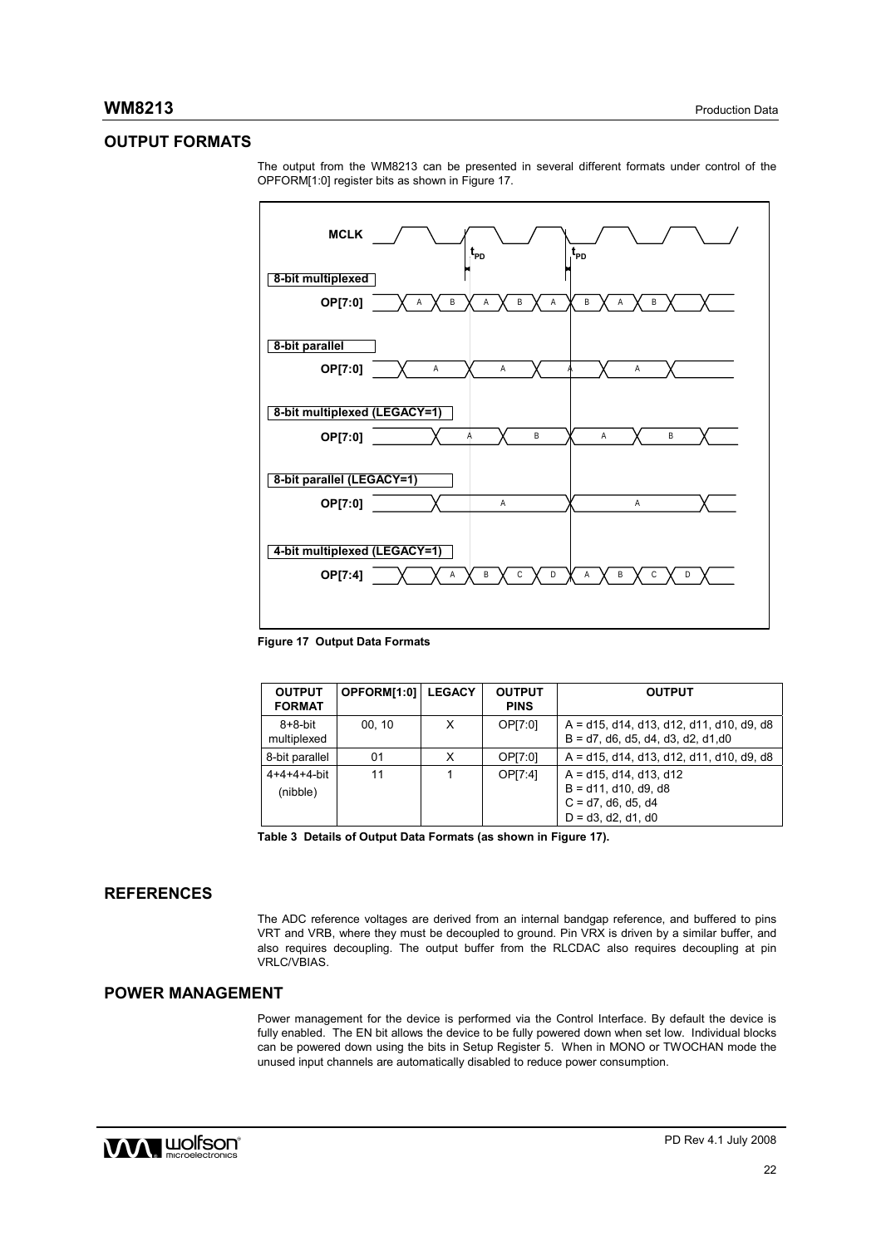# **OUTPUT FORMATS**



The output from the WM8213 can be presented in several different formats under control of the OPFORM[1:0] register bits as shown in Figure 17.

**Figure 17 Output Data Formats** 

| <b>OUTPUT</b><br><b>FORMAT</b> | OPFORM[1:0] | <b>LEGACY</b> | <b>OUTPUT</b><br><b>PINS</b> | <b>OUTPUT</b>                                                                                          |
|--------------------------------|-------------|---------------|------------------------------|--------------------------------------------------------------------------------------------------------|
| $8+8$ -bit<br>multiplexed      | 00, 10      | X             | OP[7:0]                      | $A = d15$ , d14, d13, d12, d11, d10, d9, d8<br>$B = d7$ , d6, d5, d4, d3, d2, d1,d0                    |
| 8-bit parallel                 | 01          | x             | OP[7:0]                      | $A = d15$ , d14, d13, d12, d11, d10, d9, d8                                                            |
| $4+4+4+4$ -bit<br>(nibble)     | 11          |               | OP[7:4]                      | $A = d15$ , d14, d13, d12<br>$B = d11$ , d10, d9, d8<br>$C = d7$ , d6, d5, d4<br>$D = d3$ , d2, d1, d0 |

**Table 3 Details of Output Data Formats (as shown in Figure 17).** 

## **REFERENCES**

The ADC reference voltages are derived from an internal bandgap reference, and buffered to pins VRT and VRB, where they must be decoupled to ground. Pin VRX is driven by a similar buffer, and also requires decoupling. The output buffer from the RLCDAC also requires decoupling at pin VRLC/VBIAS.

# **POWER MANAGEMENT**

Power management for the device is performed via the Control Interface. By default the device is fully enabled. The EN bit allows the device to be fully powered down when set low. Individual blocks can be powered down using the bits in Setup Register 5. When in MONO or TWOCHAN mode the unused input channels are automatically disabled to reduce power consumption.

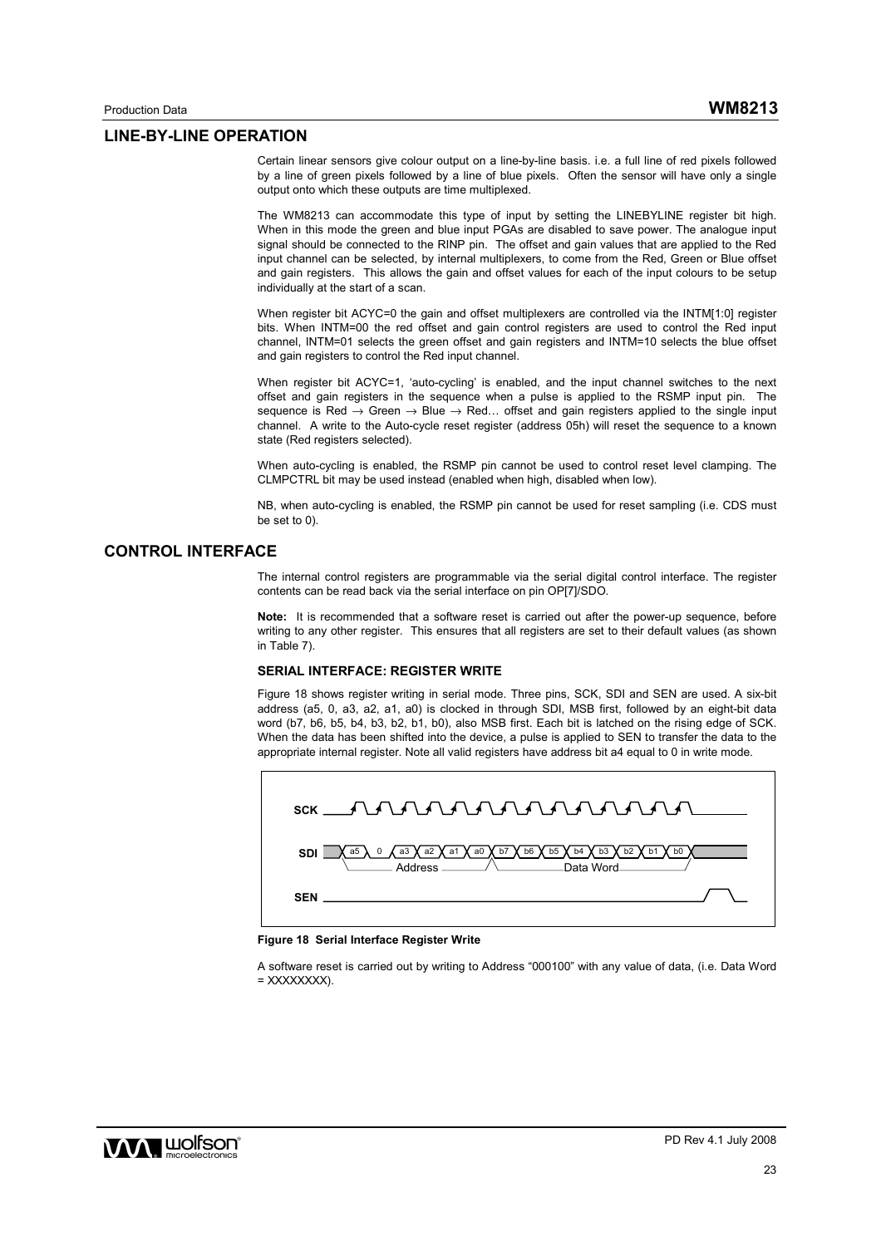#### **LINE-BY-LINE OPERATION**

Certain linear sensors give colour output on a line-by-line basis. i.e. a full line of red pixels followed by a line of green pixels followed by a line of blue pixels. Often the sensor will have only a single output onto which these outputs are time multiplexed.

The WM8213 can accommodate this type of input by setting the LINEBYLINE register bit high. When in this mode the green and blue input PGAs are disabled to save power. The analogue input signal should be connected to the RINP pin. The offset and gain values that are applied to the Red input channel can be selected, by internal multiplexers, to come from the Red, Green or Blue offset and gain registers. This allows the gain and offset values for each of the input colours to be setup individually at the start of a scan.

When register bit ACYC=0 the gain and offset multiplexers are controlled via the INTM[1:0] register bits. When INTM=00 the red offset and gain control registers are used to control the Red input channel, INTM=01 selects the green offset and gain registers and INTM=10 selects the blue offset and gain registers to control the Red input channel.

When register bit ACYC=1, 'auto-cycling' is enabled, and the input channel switches to the next offset and gain registers in the sequence when a pulse is applied to the RSMP input pin. The sequence is Red → Green → Blue → Red... offset and gain registers applied to the single input channel. A write to the Auto-cycle reset register (address 05h) will reset the sequence to a known state (Red registers selected).

When auto-cycling is enabled, the RSMP pin cannot be used to control reset level clamping. The CLMPCTRL bit may be used instead (enabled when high, disabled when low).

NB, when auto-cycling is enabled, the RSMP pin cannot be used for reset sampling (i.e. CDS must be set to 0).

## **CONTROL INTERFACE**

The internal control registers are programmable via the serial digital control interface. The register contents can be read back via the serial interface on pin OP[7]/SDO.

**Note:** It is recommended that a software reset is carried out after the power-up sequence, before writing to any other register. This ensures that all registers are set to their default values (as shown in Table 7).

#### **SERIAL INTERFACE: REGISTER WRITE**

Figure 18 shows register writing in serial mode. Three pins, SCK, SDI and SEN are used. A six-bit address (a5, 0, a3, a2, a1, a0) is clocked in through SDI, MSB first, followed by an eight-bit data word (b7, b6, b5, b4, b3, b2, b1, b0), also MSB first. Each bit is latched on the rising edge of SCK. When the data has been shifted into the device, a pulse is applied to SEN to transfer the data to the appropriate internal register. Note all valid registers have address bit a4 equal to 0 in write mode.



#### **Figure 18 Serial Interface Register Write**

A software reset is carried out by writing to Address "000100" with any value of data, (i.e. Data Word = XXXXXXXX).

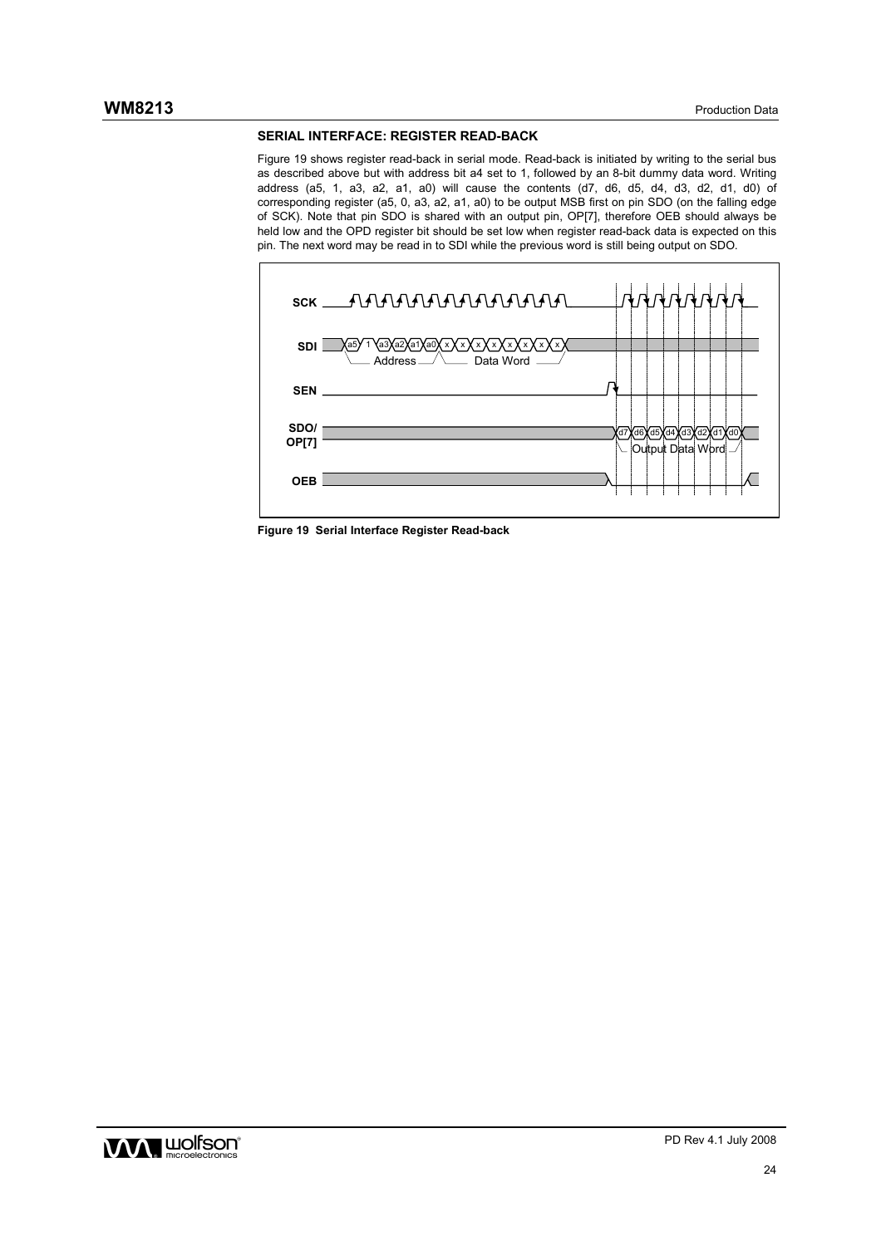#### **SERIAL INTERFACE: REGISTER READ-BACK**

Figure 19 shows register read-back in serial mode. Read-back is initiated by writing to the serial bus as described above but with address bit a4 set to 1, followed by an 8-bit dummy data word. Writing address (a5, 1, a3, a2, a1, a0) will cause the contents (d7, d6, d5, d4, d3, d2, d1, d0) of corresponding register (a5, 0, a3, a2, a1, a0) to be output MSB first on pin SDO (on the falling edge of SCK). Note that pin SDO is shared with an output pin, OP[7], therefore OEB should always be held low and the OPD register bit should be set low when register read-back data is expected on this pin. The next word may be read in to SDI while the previous word is still being output on SDO.





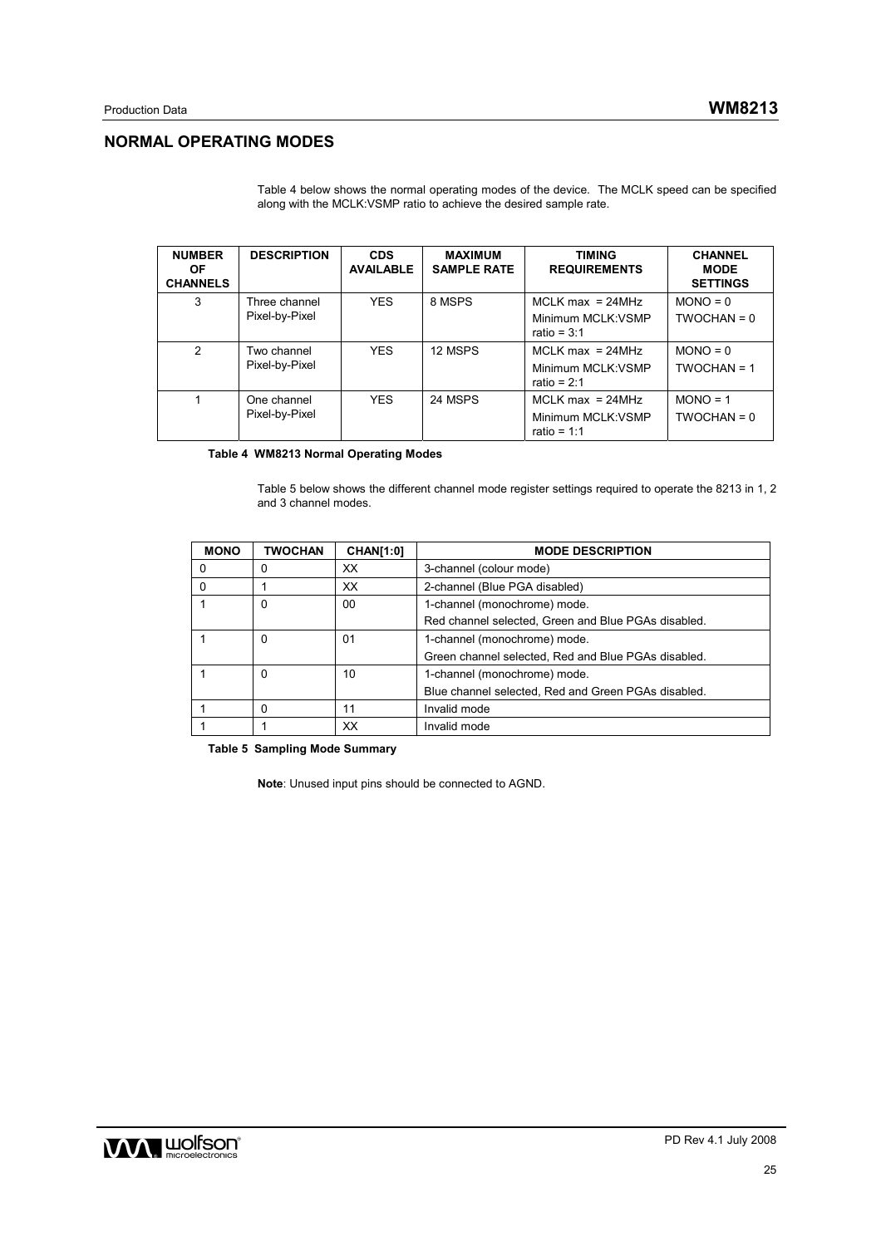# **NORMAL OPERATING MODES**

Table 4 below shows the normal operating modes of the device. The MCLK speed can be specified along with the MCLK:VSMP ratio to achieve the desired sample rate.

| <b>NUMBER</b><br><b>OF</b><br><b>CHANNELS</b> | <b>DESCRIPTION</b>              | <b>CDS</b><br><b>AVAILABLE</b> | <b>MAXIMUM</b><br><b>SAMPLE RATE</b> | <b>TIMING</b><br><b>REQUIREMENTS</b>                      | <b>CHANNEL</b><br><b>MODE</b><br><b>SETTINGS</b> |
|-----------------------------------------------|---------------------------------|--------------------------------|--------------------------------------|-----------------------------------------------------------|--------------------------------------------------|
| 3                                             | Three channel<br>Pixel-by-Pixel | <b>YES</b>                     | 8 MSPS                               | $MCLK$ max = 24MHz<br>Minimum MCLK: VSMP<br>ratio = $3:1$ | $MONO = 0$<br>$TWOCHAN = 0$                      |
| $\mathfrak{p}$                                | Two channel<br>Pixel-by-Pixel   | <b>YES</b>                     | 12 MSPS                              | $MCLK$ max = 24MHz<br>Minimum MCLK: VSMP<br>ratio = $2:1$ | $MONO = 0$<br>$TWOCHAN = 1$                      |
|                                               | One channel<br>Pixel-by-Pixel   | <b>YES</b>                     | 24 MSPS                              | $MCLK$ max = 24MHz<br>Minimum MCLK: VSMP<br>ratio = $1:1$ | $MONO = 1$<br>$TWOCHAN = 0$                      |

 **Table 4 WM8213 Normal Operating Modes** 

Table 5 below shows the different channel mode register settings required to operate the 8213 in 1, 2 and 3 channel modes.

| <b>MONO</b> | <b>TWOCHAN</b> | <b>CHAN[1:0]</b> | <b>MODE DESCRIPTION</b>                             |
|-------------|----------------|------------------|-----------------------------------------------------|
| 0           | 0              | XX               | 3-channel (colour mode)                             |
| $\Omega$    |                | XX               | 2-channel (Blue PGA disabled)                       |
|             | 0              | 00               | 1-channel (monochrome) mode.                        |
|             |                |                  | Red channel selected, Green and Blue PGAs disabled. |
|             | 0              | 01               | 1-channel (monochrome) mode.                        |
|             |                |                  | Green channel selected, Red and Blue PGAs disabled. |
|             | 0              | 10               | 1-channel (monochrome) mode.                        |
|             |                |                  | Blue channel selected, Red and Green PGAs disabled. |
|             | $\Omega$       | 11               | Invalid mode                                        |
|             |                | XХ               | Invalid mode                                        |

**Table 5 Sampling Mode Summary** 

**Note**: Unused input pins should be connected to AGND.

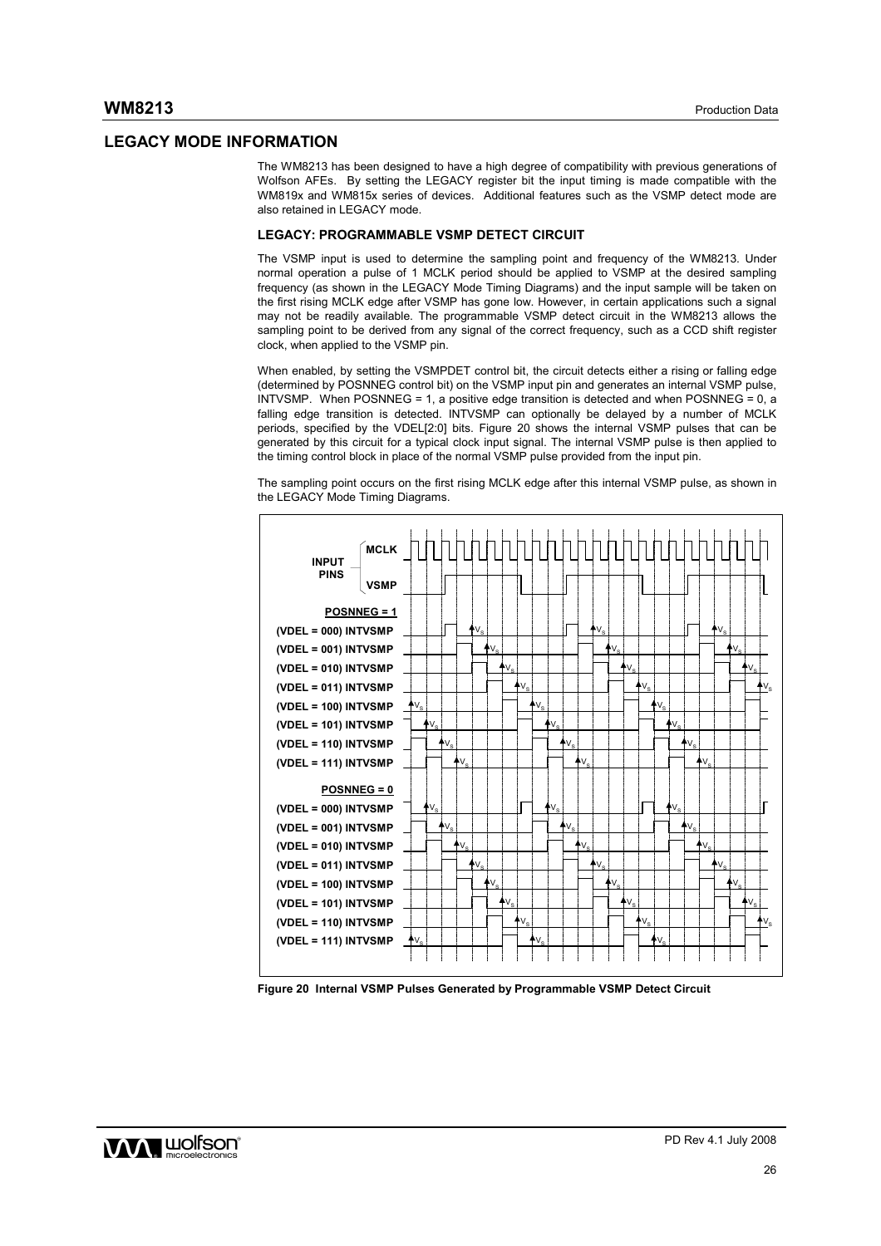## **LEGACY MODE INFORMATION**

The WM8213 has been designed to have a high degree of compatibility with previous generations of Wolfson AFEs. By setting the LEGACY register bit the input timing is made compatible with the WM819x and WM815x series of devices. Additional features such as the VSMP detect mode are also retained in LEGACY mode.

#### **LEGACY: PROGRAMMABLE VSMP DETECT CIRCUIT**

The VSMP input is used to determine the sampling point and frequency of the WM8213. Under normal operation a pulse of 1 MCLK period should be applied to VSMP at the desired sampling frequency (as shown in the LEGACY Mode Timing Diagrams) and the input sample will be taken on the first rising MCLK edge after VSMP has gone low. However, in certain applications such a signal may not be readily available. The programmable VSMP detect circuit in the WM8213 allows the sampling point to be derived from any signal of the correct frequency, such as a CCD shift register clock, when applied to the VSMP pin.

When enabled, by setting the VSMPDET control bit, the circuit detects either a rising or falling edge (determined by POSNNEG control bit) on the VSMP input pin and generates an internal VSMP pulse, INTVSMP. When POSNNEG = 1, a positive edge transition is detected and when POSNNEG = 0, a falling edge transition is detected. INTVSMP can optionally be delayed by a number of MCLK periods, specified by the VDEL[2:0] bits. Figure 20 shows the internal VSMP pulses that can be generated by this circuit for a typical clock input signal. The internal VSMP pulse is then applied to the timing control block in place of the normal VSMP pulse provided from the input pin.

The sampling point occurs on the first rising MCLK edge after this internal VSMP pulse, as shown in the LEGACY Mode Timing Diagrams.



**Figure 20 Internal VSMP Pulses Generated by Programmable VSMP Detect Circuit** 

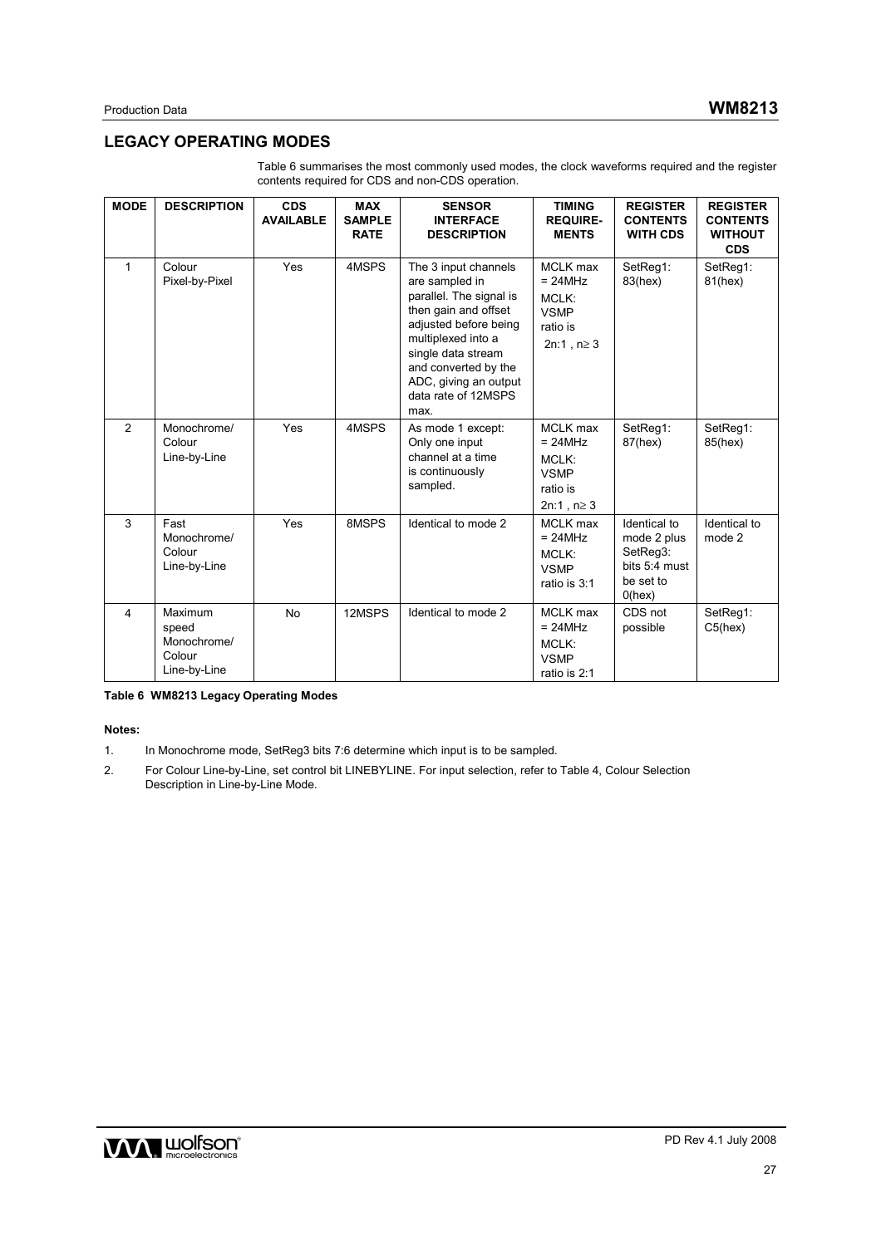# **LEGACY OPERATING MODES**

| <b>MODE</b>             | <b>DESCRIPTION</b>                                        | <b>CDS</b><br><b>AVAILABLE</b> | <b>MAX</b><br><b>SAMPLE</b><br><b>RATE</b> | <b>SENSOR</b><br><b>INTERFACE</b><br><b>DESCRIPTION</b>                                                                                                                                                                                        | <b>TIMING</b><br><b>REQUIRE-</b><br><b>MENTS</b>                                     | <b>REGISTER</b><br><b>CONTENTS</b><br><b>WITH CDS</b>                              | <b>REGISTER</b><br><b>CONTENTS</b><br><b>WITHOUT</b><br><b>CDS</b> |
|-------------------------|-----------------------------------------------------------|--------------------------------|--------------------------------------------|------------------------------------------------------------------------------------------------------------------------------------------------------------------------------------------------------------------------------------------------|--------------------------------------------------------------------------------------|------------------------------------------------------------------------------------|--------------------------------------------------------------------|
| $\mathbf{1}$            | Colour<br>Pixel-by-Pixel                                  | Yes                            | 4MSPS                                      | The 3 input channels<br>are sampled in<br>parallel. The signal is<br>then gain and offset<br>adjusted before being<br>multiplexed into a<br>single data stream<br>and converted by the<br>ADC, giving an output<br>data rate of 12MSPS<br>max. | <b>MCLK</b> max<br>$= 24 MHz$<br>MCLK:<br><b>VSMP</b><br>ratio is<br>$2n:1, n \ge 3$ | SetReg1:<br>83(hex)                                                                | SetReg1:<br>81(hex)                                                |
| $\overline{2}$          | Monochrome/<br>Colour<br>Line-by-Line                     | Yes                            | 4MSPS                                      | As mode 1 except:<br>Only one input<br>channel at a time<br>is continuously<br>sampled.                                                                                                                                                        | MCLK max<br>$= 24 MHz$<br>MCLK:<br><b>VSMP</b><br>ratio is<br>$2n:1, n \ge 3$        | SetReg1:<br>87(hex)                                                                | SetReg1:<br>85(hex)                                                |
| 3                       | Fast<br>Monochrome/<br>Colour<br>Line-by-Line             | Yes                            | 8MSPS                                      | Identical to mode 2                                                                                                                                                                                                                            | <b>MCLK</b> max<br>$= 24MHz$<br>MCLK:<br><b>VSMP</b><br>ratio is 3:1                 | Identical to<br>mode 2 plus<br>SetReg3:<br>bits 5:4 must<br>be set to<br>$0$ (hex) | Identical to<br>mode 2                                             |
| $\overline{\mathbf{4}}$ | Maximum<br>speed<br>Monochrome/<br>Colour<br>Line-by-Line | No                             | 12MSPS                                     | Identical to mode 2                                                                                                                                                                                                                            | MCLK max<br>$= 24 MHz$<br>MCLK:<br><b>VSMP</b><br>ratio is 2:1                       | CDS not<br>possible                                                                | SetReq1:<br>C5(hex)                                                |

Table 6 summarises the most commonly used modes, the clock waveforms required and the register contents required for CDS and non-CDS operation.

**Table 6 WM8213 Legacy Operating Modes** 

#### **Notes:**

- 1. In Monochrome mode, SetReg3 bits 7:6 determine which input is to be sampled.
- 2. For Colour Line-by-Line, set control bit LINEBYLINE. For input selection, refer to Table 4, Colour Selection Description in Line-by-Line Mode.

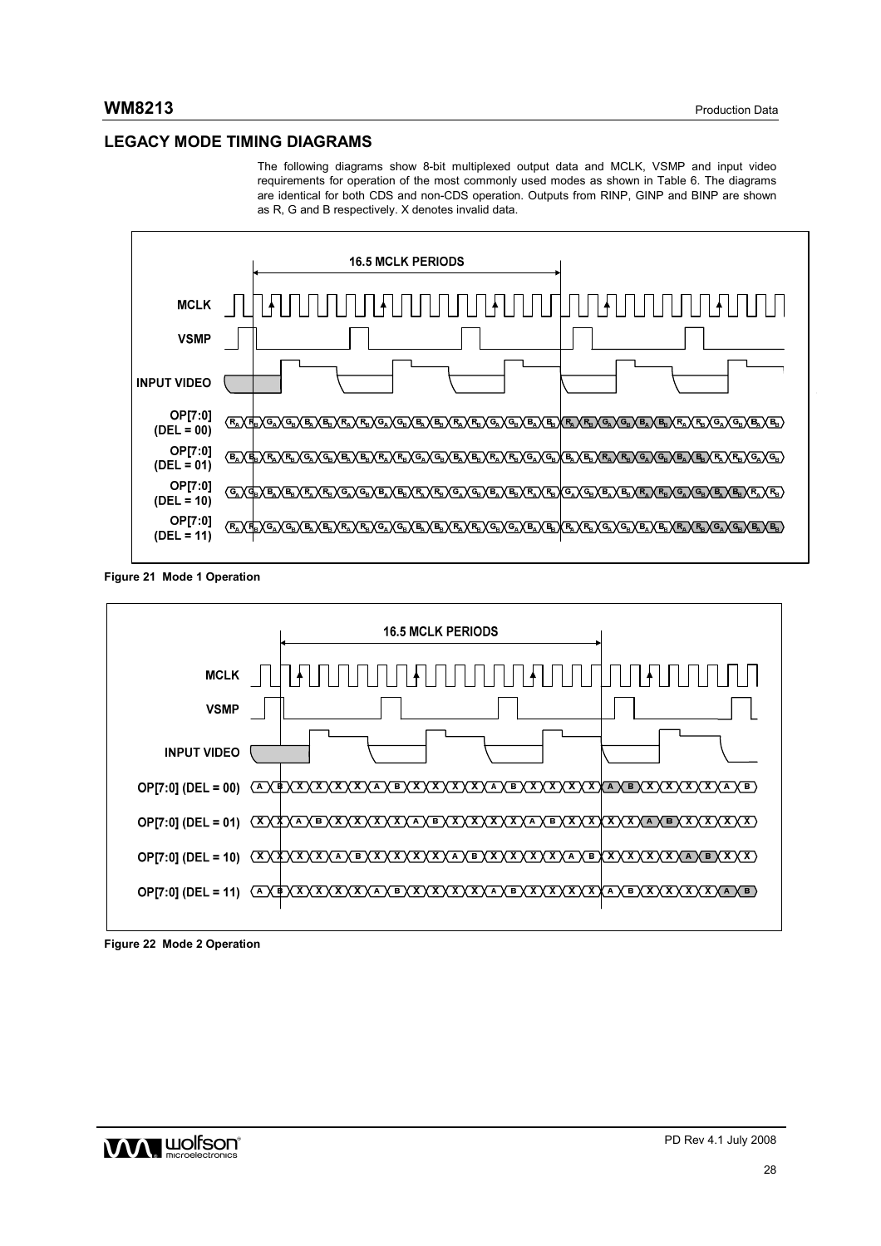# **LEGACY MODE TIMING DIAGRAMS**

The following diagrams show 8-bit multiplexed output data and MCLK, VSMP and input video requirements for operation of the most commonly used modes as shown in Table 6. The diagrams are identical for both CDS and non-CDS operation. Outputs from RINP, GINP and BINP are shown as R, G and B respectively. X denotes invalid data.



**Figure 21 Mode 1 Operation** 



**Figure 22 Mode 2 Operation** 

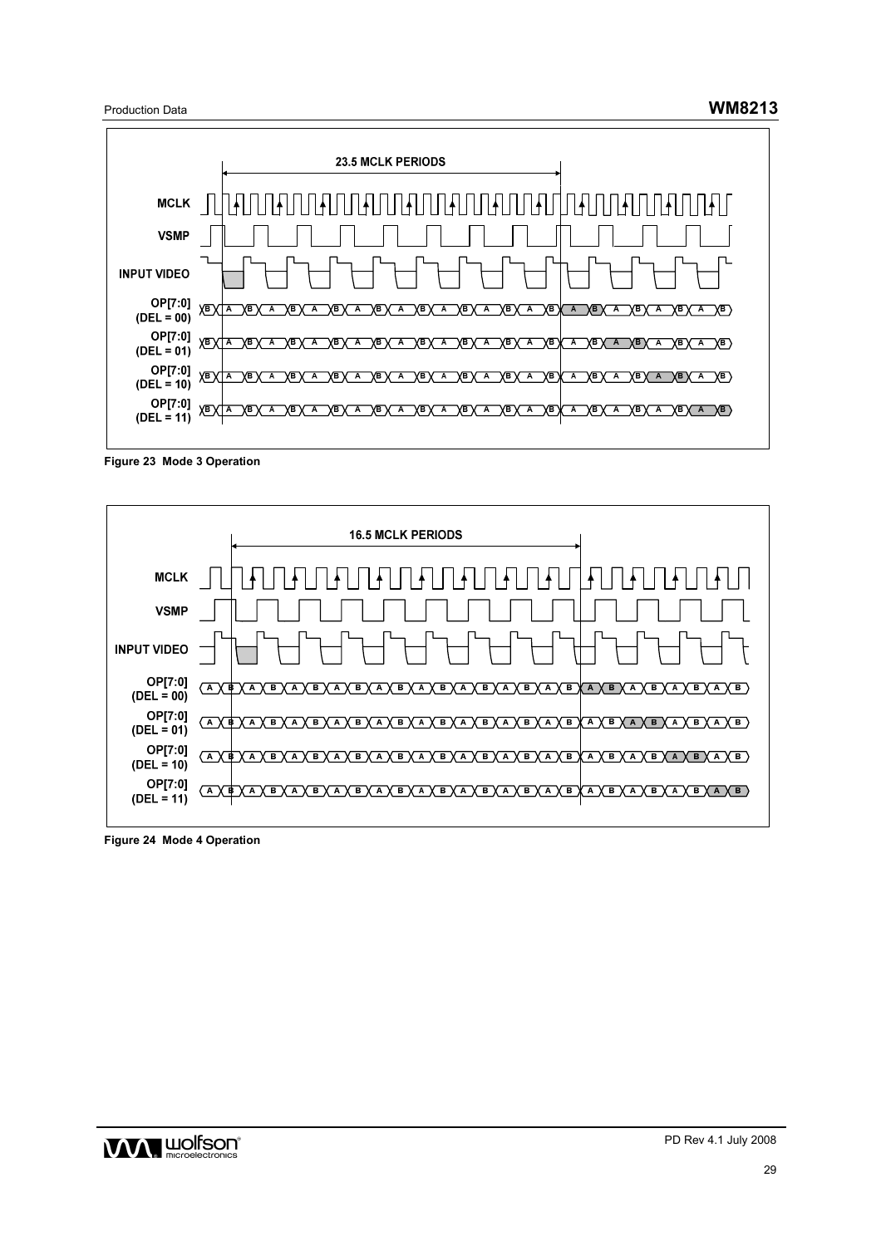Production Data **WM8213**



**Figure 23 Mode 3 Operation** 



**Figure 24 Mode 4 Operation** 

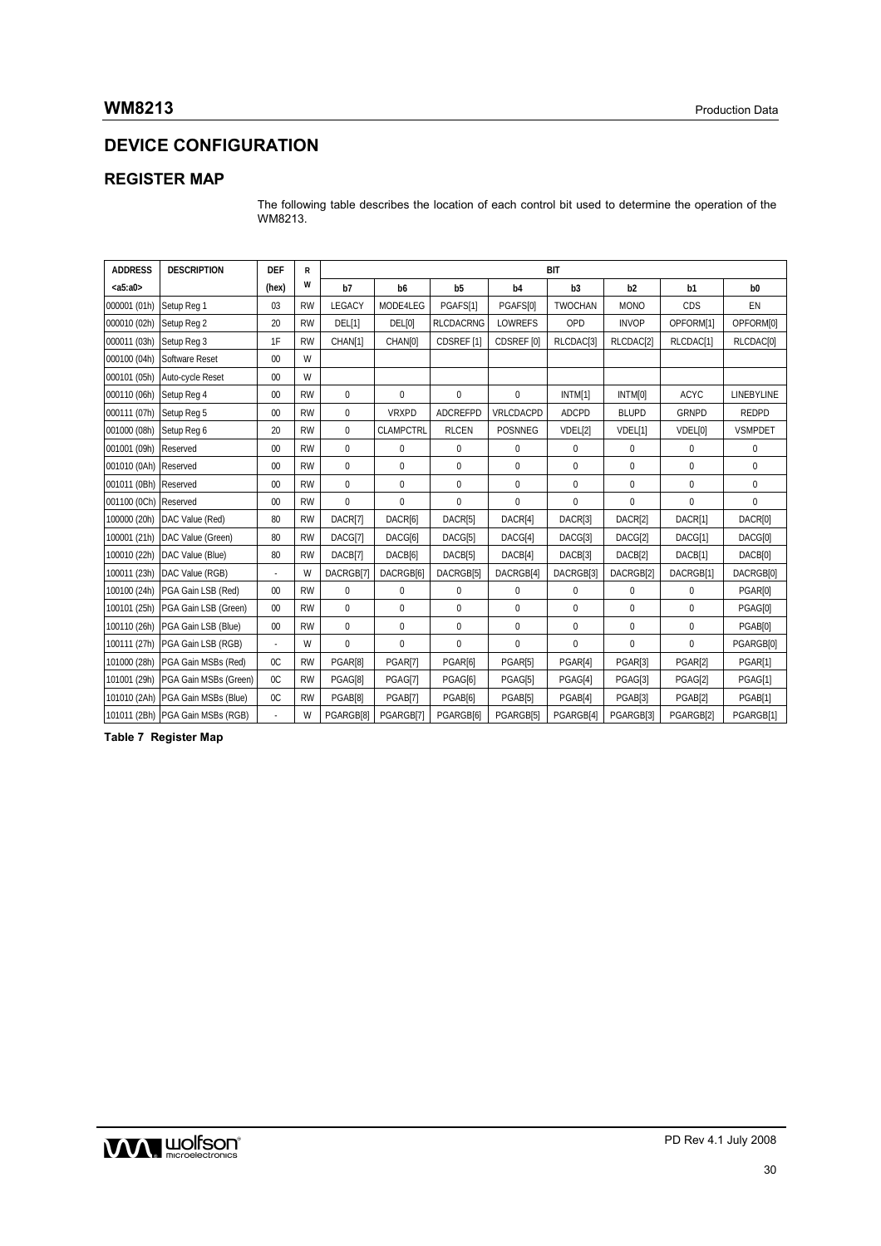# **DEVICE CONFIGURATION**

# **REGISTER MAP**

The following table describes the location of each control bit used to determine the operation of the WM8213.

| <b>ADDRESS</b> | <b>DESCRIPTION</b>               | <b>DEF</b>     | R         | <b>BIT</b>    |                     |                       |                |                |                       |              |                       |
|----------------|----------------------------------|----------------|-----------|---------------|---------------------|-----------------------|----------------|----------------|-----------------------|--------------|-----------------------|
| $a5:a0>$       |                                  | (hex)          | w         | b7            | b <sub>6</sub>      | b <sub>5</sub>        | b4             | b3             | b2                    | b1           | b <sub>0</sub>        |
| 000001 (01h)   | Setup Reg 1                      | 03             | <b>RW</b> | LEGACY        | MODE4LEG            | PGAFS[1]              | PGAFS[0]       | <b>TWOCHAN</b> | <b>MONO</b>           | CDS          | EN                    |
| 000010 (02h)   | Setup Reg 2                      | 20             | <b>RW</b> | <b>DEL[1]</b> | DEL[0]              | <b>RLCDACRNG</b>      | <b>LOWREFS</b> | OPD            | <b>INVOP</b>          | OPFORM[1]    | OPFORM[0]             |
| 000011 (03h)   | Setup Reg 3                      | 1F             | <b>RW</b> | CHAN[1]       | CHAN <sub>[0]</sub> | CDSREF <sub>[1]</sub> | CDSREF [0]     | RLCDAC[3]      | RLCDAC <sup>[2]</sup> | RLCDAC[1]    | RLCDAC <sub>[0]</sub> |
| 000100 (04h)   | <b>Software Reset</b>            | 00             | W         |               |                     |                       |                |                |                       |              |                       |
| 000101 (05h)   | Auto-cycle Reset                 | 00             | W         |               |                     |                       |                |                |                       |              |                       |
| 000110 (06h)   | Setup Reg 4                      | 00             | <b>RW</b> | $\Omega$      | $\Omega$            | 0                     | $\mathbf 0$    | INTM[1]        | INTM[0]               | <b>ACYC</b>  | <b>LINEBYLINE</b>     |
| 000111 (07h)   | Setup Reg 5                      | 00             | <b>RW</b> | $\mathbf 0$   | <b>VRXPD</b>        | ADCREFPD              | VRLCDACPD      | <b>ADCPD</b>   | <b>BLUPD</b>          | <b>GRNPD</b> | <b>REDPD</b>          |
| 001000 (08h)   | Setup Reg 6                      | 20             | <b>RW</b> | $\mathbf 0$   | <b>CLAMPCTRL</b>    | <b>RLCEN</b>          | POSNNEG        | VDEL[2]        | VDEL[1]               | VDEL[0]      | <b>VSMPDET</b>        |
| 001001 (09h)   | Reserved                         | 00             | <b>RW</b> | $\mathbf 0$   | 0                   | 0                     | 0              | $\mathbf{0}$   | $\mathbf 0$           | 0            | 0                     |
| 001010 (0Ah)   | Reserved                         | 00             | <b>RW</b> | $\mathbf{0}$  | $\mathbf 0$         | 0                     | 0              | $\mathbf 0$    | $\pmb{0}$             | $\pmb{0}$    | 0                     |
| 001011 (0Bh)   | Reserved                         | 00             | <b>RW</b> | $\mathbf{0}$  | $\mathbf 0$         | $\pmb{0}$             | $\mathbf 0$    | $\mathbf 0$    | $\pmb{0}$             | $\pmb{0}$    | $\pmb{0}$             |
| 001100 (0Ch)   | Reserved                         | 00             | <b>RW</b> | $\mathbf 0$   | $\mathbf 0$         | 0                     | 0              | 0              | 0                     | $\pmb{0}$    | 0                     |
| 100000 (20h)   | DAC Value (Red)                  | 80             | <b>RW</b> | DACR[7]       | DACR[6]             | DACR[5]               | DACR[4]        | DACR[3]        | DACR[2]               | DACR[1]      | DACR[0]               |
| 100001 (21h)   | DAC Value (Green)                | 80             | <b>RW</b> | DACG[7]       | DACG[6]             | DACG[5]               | DACG[4]        | DACG[3]        | DACG[2]               | DACG[1]      | DACG[0]               |
| 100010 (22h)   | DAC Value (Blue)                 | 80             | <b>RW</b> | DACB[7]       | DACB[6]             | DACB[5]               | DACB[4]        | DACB[3]        | DACB[2]               | DACB[1]      | DACB[0]               |
| 100011 (23h)   | DAC Value (RGB)                  |                | W         | DACRGB[7]     | DACRGB[6]           | DACRGB[5]             | DACRGB[4]      | DACRGB[3]      | DACRGB[2]             | DACRGB[1]    | DACRGB[0]             |
| 100100 (24h)   | PGA Gain LSB (Red)               | 00             | <b>RW</b> | $\mathbf 0$   | $\mathbf 0$         | 0                     | 0              | $\mathbf 0$    | $\pmb{0}$             | $\mathbf{0}$ | PGAR[0]               |
| 100101 (25h)   | PGA Gain LSB (Green)             | 00             | <b>RW</b> | $\Omega$      | $\mathbf 0$         | 0                     | $\mathbf 0$    | $\mathbf{0}$   | $\pmb{0}$             | $\pmb{0}$    | PGAG[0]               |
| 100110 (26h)   | PGA Gain LSB (Blue)              | 00             | <b>RW</b> | $\mathbf 0$   | $\mathbf 0$         | 0                     | 0              | $\mathbf 0$    | $\mathbf 0$           | $\mathbf 0$  | PGAB[0]               |
| 100111 (27h)   | PGA Gain LSB (RGB)               |                | W         | $\Omega$      | $\Omega$            | 0                     | 0              | $\mathbf{0}$   | $\mathbf 0$           | $\mathbf{0}$ | PGARGB[0]             |
| 101000 (28h)   | PGA Gain MSBs (Red)              | $_{0C}$        | <b>RW</b> | PGAR[8]       | PGAR[7]             | PGAR[6]               | PGAR[5]        | PGAR[4]        | PGAR[3]               | PGAR[2]      | PGAR[1]               |
| 101001 (29h)   | PGA Gain MSBs (Green)            | 0 <sup>C</sup> | <b>RW</b> | PGAG[8]       | PGAG[7]             | PGAG[6]               | PGAG[5]        | PGAG[4]        | PGAG[3]               | PGAG[2]      | PGAG[1]               |
| 101010 (2Ah)   | PGA Gain MSBs (Blue)             | OC             | <b>RW</b> | PGAB[8]       | PGAB[7]             | PGAB[6]               | PGAB[5]        | PGAB[4]        | PGAB[3]               | PGAB[2]      | PGAB[1]               |
|                | 101011 (2Bh) PGA Gain MSBs (RGB) |                | W         | PGARGB[8]     | PGARGB[7]           | PGARGB[6]             | PGARGB[5]      | PGARGB[4]      | PGARGB[3]             | PGARGB[2]    | PGARGB[1]             |

**Table 7 Register Map** 

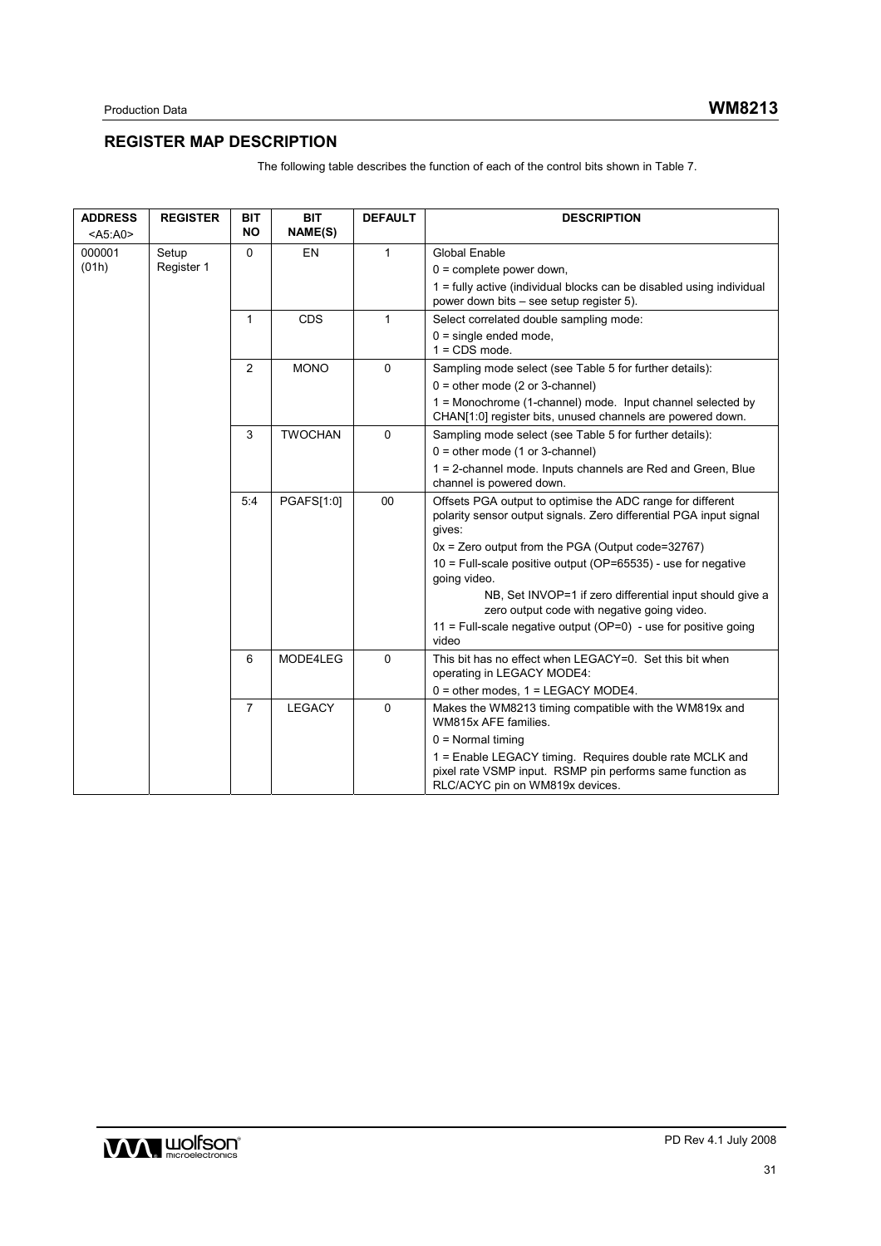# **REGISTER MAP DESCRIPTION**

| <b>ADDRESS</b><br>$<$ A5:A0 $>$ | <b>REGISTER</b> | <b>BIT</b><br><b>NO</b> | <b>BIT</b><br>NAME(S) | <b>DEFAULT</b> | <b>DESCRIPTION</b>                                                                                                                                      |
|---------------------------------|-----------------|-------------------------|-----------------------|----------------|---------------------------------------------------------------------------------------------------------------------------------------------------------|
| 000001                          | Setup           | $\Omega$                | EN                    | 1              | <b>Global Enable</b>                                                                                                                                    |
| (01h)                           | Register 1      |                         |                       |                | $0 =$ complete power down,                                                                                                                              |
|                                 |                 |                         |                       |                | $1 =$ fully active (individual blocks can be disabled using individual<br>power down bits – see setup register 5).                                      |
|                                 |                 | $\mathbf{1}$            | CDS                   | 1              | Select correlated double sampling mode:                                                                                                                 |
|                                 |                 |                         |                       |                | $0 =$ single ended mode,<br>$1 = CDS mode$ .                                                                                                            |
|                                 |                 | 2                       | <b>MONO</b>           | 0              | Sampling mode select (see Table 5 for further details):                                                                                                 |
|                                 |                 |                         |                       |                | $0 =$ other mode (2 or 3-channel)                                                                                                                       |
|                                 |                 |                         |                       |                | 1 = Monochrome (1-channel) mode. Input channel selected by<br>CHAN[1:0] register bits, unused channels are powered down.                                |
|                                 |                 | 3                       | <b>TWOCHAN</b>        | $\mathbf 0$    | Sampling mode select (see Table 5 for further details):                                                                                                 |
|                                 |                 |                         |                       |                | $0 =$ other mode (1 or 3-channel)                                                                                                                       |
|                                 |                 |                         |                       |                | 1 = 2-channel mode. Inputs channels are Red and Green, Blue<br>channel is powered down.                                                                 |
|                                 |                 | 5:4                     | PGAFS[1:0]            | 00             | Offsets PGA output to optimise the ADC range for different<br>polarity sensor output signals. Zero differential PGA input signal<br>gives:              |
|                                 |                 |                         |                       |                | $0x =$ Zero output from the PGA (Output code=32767)                                                                                                     |
|                                 |                 |                         |                       |                | $10$ = Full-scale positive output (OP=65535) - use for negative<br>going video.                                                                         |
|                                 |                 |                         |                       |                | NB, Set INVOP=1 if zero differential input should give a<br>zero output code with negative going video.                                                 |
|                                 |                 |                         |                       |                | 11 = Full-scale negative output ( $OP=0$ ) - use for positive going<br>video                                                                            |
|                                 |                 | 6                       | MODE4LEG              | 0              | This bit has no effect when LEGACY=0. Set this bit when<br>operating in LEGACY MODE4:                                                                   |
|                                 |                 |                         |                       |                | $0 =$ other modes, $1 =$ LEGACY MODE4.                                                                                                                  |
|                                 |                 | $\overline{7}$          | <b>LEGACY</b>         | $\Omega$       | Makes the WM8213 timing compatible with the WM819x and<br>WM815x AFE families.                                                                          |
|                                 |                 |                         |                       |                | $0 =$ Normal timing                                                                                                                                     |
|                                 |                 |                         |                       |                | 1 = Enable LEGACY timing. Requires double rate MCLK and<br>pixel rate VSMP input. RSMP pin performs same function as<br>RLC/ACYC pin on WM819x devices. |

The following table describes the function of each of the control bits shown in Table 7.

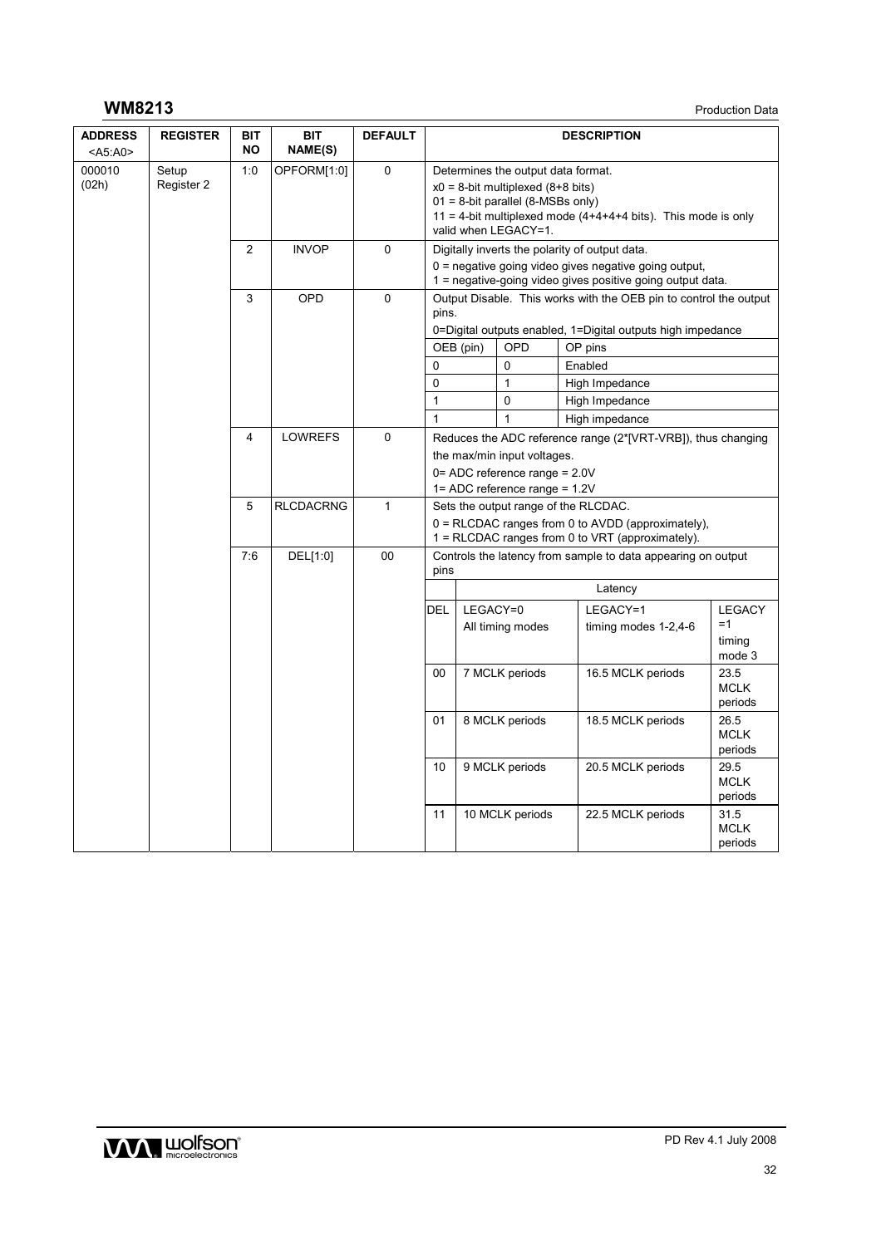# **WM8213** Production Data

| <b>ADDRESS</b><br>$<$ A5:A0> | <b>REGISTER</b>     | BIT<br><b>NO</b> | BIT<br>NAME(S) | <b>DEFAULT</b> |                                                                                                                                                                                                               |           |                  | <b>DESCRIPTION</b>                                                                                                                                                      |                                |
|------------------------------|---------------------|------------------|----------------|----------------|---------------------------------------------------------------------------------------------------------------------------------------------------------------------------------------------------------------|-----------|------------------|-------------------------------------------------------------------------------------------------------------------------------------------------------------------------|--------------------------------|
| 000010<br>(02h)              | Setup<br>Register 2 | 1:0              | OPFORM[1:0]    | 0              | Determines the output data format.<br>$x0 = 8$ -bit multiplexed (8+8 bits)<br>$01 = 8$ -bit parallel (8-MSBs only)<br>11 = 4-bit multiplexed mode $(4+4+4+4$ bits). This mode is only<br>valid when LEGACY=1. |           |                  |                                                                                                                                                                         |                                |
|                              |                     | $\overline{2}$   | <b>INVOP</b>   | 0              |                                                                                                                                                                                                               |           |                  | Digitally inverts the polarity of output data.<br>$0$ = negative going video gives negative going output,<br>1 = negative-going video gives positive going output data. |                                |
|                              |                     | 3                | OPD            | 0              | pins.                                                                                                                                                                                                         |           |                  | Output Disable. This works with the OEB pin to control the output<br>0=Digital outputs enabled, 1=Digital outputs high impedance                                        |                                |
|                              |                     |                  |                |                |                                                                                                                                                                                                               | OEB (pin) | OPD              | OP pins                                                                                                                                                                 |                                |
|                              |                     |                  |                |                | $\mathbf{0}$                                                                                                                                                                                                  |           | $\Omega$         | Enabled                                                                                                                                                                 |                                |
|                              |                     |                  |                |                | $\mathbf 0$                                                                                                                                                                                                   |           | $\mathbf{1}$     | High Impedance                                                                                                                                                          |                                |
|                              |                     |                  |                |                | $\mathbf{1}$                                                                                                                                                                                                  |           | 0                | High Impedance                                                                                                                                                          |                                |
|                              |                     |                  |                |                | $\mathbf{1}$                                                                                                                                                                                                  |           | 1                | High impedance                                                                                                                                                          |                                |
|                              |                     | 4                | <b>LOWREFS</b> | 0              | Reduces the ADC reference range (2*[VRT-VRB]), thus changing                                                                                                                                                  |           |                  |                                                                                                                                                                         |                                |
|                              |                     |                  |                |                | the max/min input voltages.                                                                                                                                                                                   |           |                  |                                                                                                                                                                         |                                |
|                              |                     |                  |                |                | $0 = ADC$ reference range = 2.0V                                                                                                                                                                              |           |                  |                                                                                                                                                                         |                                |
|                              |                     |                  |                |                | $1 = ADC$ reference range = 1.2V                                                                                                                                                                              |           |                  |                                                                                                                                                                         |                                |
|                              |                     | 5                | RLCDACRNG      | 1              | Sets the output range of the RLCDAC.                                                                                                                                                                          |           |                  |                                                                                                                                                                         |                                |
|                              |                     |                  |                |                | $0 =$ RLCDAC ranges from 0 to AVDD (approximately),<br>1 = RLCDAC ranges from 0 to VRT (approximately).                                                                                                       |           |                  |                                                                                                                                                                         |                                |
|                              |                     | 7:6              | DEL[1:0]       | 00             | Controls the latency from sample to data appearing on output<br>pins                                                                                                                                          |           |                  |                                                                                                                                                                         |                                |
|                              |                     |                  |                |                |                                                                                                                                                                                                               |           |                  | Latency                                                                                                                                                                 |                                |
|                              |                     |                  |                |                | DEL                                                                                                                                                                                                           | LEGACY=0  |                  | LEGACY=1                                                                                                                                                                | <b>LEGACY</b>                  |
|                              |                     |                  |                |                |                                                                                                                                                                                                               |           | All timing modes | timing modes 1-2,4-6                                                                                                                                                    | $=1$<br>timing<br>mode 3       |
|                              |                     |                  |                |                | 00                                                                                                                                                                                                            |           | 7 MCLK periods   | 16.5 MCLK periods                                                                                                                                                       | 23.5<br><b>MCLK</b><br>periods |
|                              |                     |                  |                |                | 01                                                                                                                                                                                                            |           | 8 MCLK periods   | 18.5 MCLK periods                                                                                                                                                       | 26.5<br><b>MCLK</b><br>periods |
|                              |                     |                  |                |                | 10                                                                                                                                                                                                            |           | 9 MCLK periods   | 20.5 MCLK periods                                                                                                                                                       | 29.5<br><b>MCLK</b><br>periods |
|                              |                     |                  |                |                | 11                                                                                                                                                                                                            |           | 10 MCLK periods  | 22.5 MCLK periods                                                                                                                                                       | 31.5<br><b>MCLK</b><br>periods |

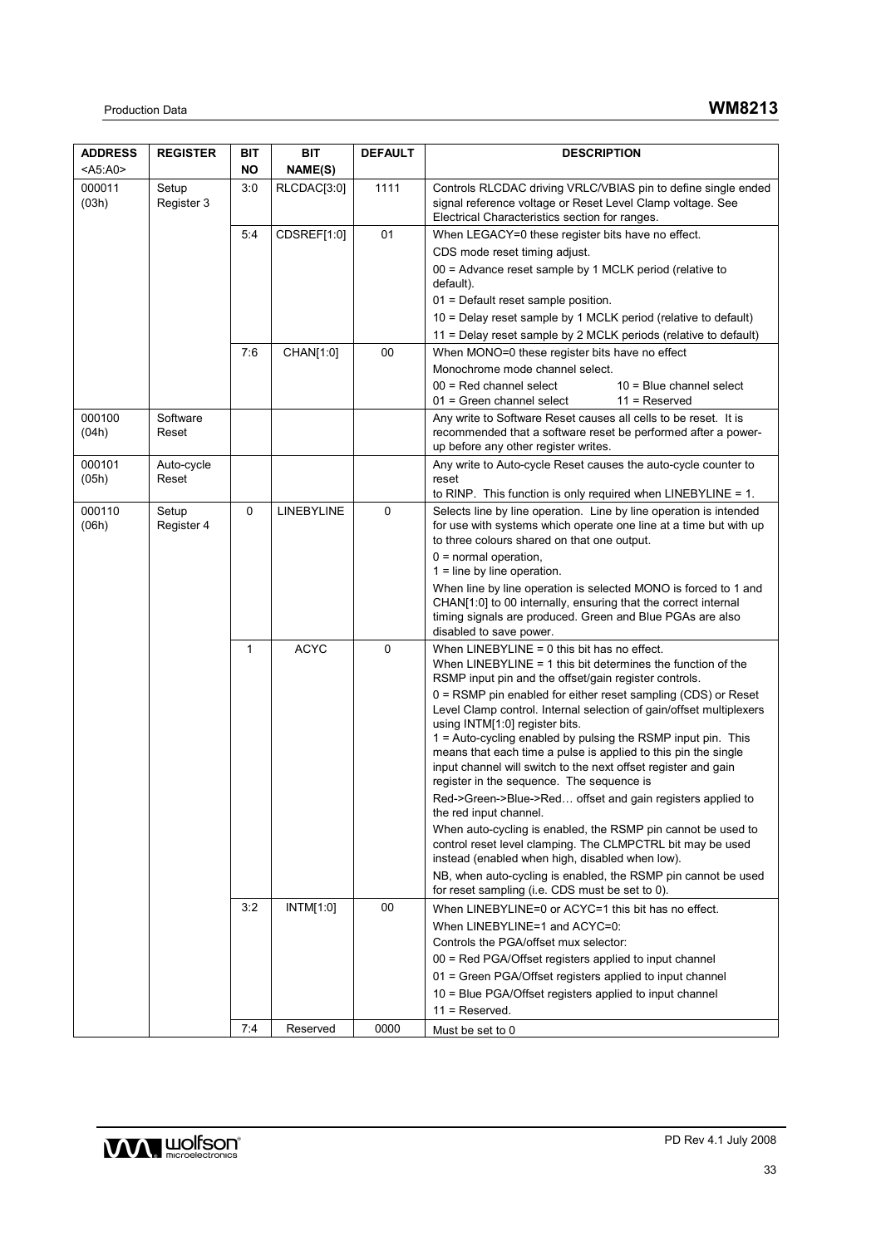| <b>ADDRESS</b>  | <b>REGISTER</b>     | BIT          | <b>BIT</b>  | <b>DEFAULT</b> | <b>DESCRIPTION</b>                                                                                                                                                            |
|-----------------|---------------------|--------------|-------------|----------------|-------------------------------------------------------------------------------------------------------------------------------------------------------------------------------|
| $<$ A5:A0>      |                     | NO           | NAME(S)     |                |                                                                                                                                                                               |
| 000011<br>(03h) | Setup<br>Register 3 | 3:0          | RLCDAC[3:0] | 1111           | Controls RLCDAC driving VRLC/VBIAS pin to define single ended<br>signal reference voltage or Reset Level Clamp voltage. See<br>Electrical Characteristics section for ranges. |
|                 |                     | 5:4          | CDSREF[1:0] | 01             | When LEGACY=0 these register bits have no effect.                                                                                                                             |
|                 |                     |              |             |                | CDS mode reset timing adjust.                                                                                                                                                 |
|                 |                     |              |             |                | 00 = Advance reset sample by 1 MCLK period (relative to<br>default).                                                                                                          |
|                 |                     |              |             |                | 01 = Default reset sample position.                                                                                                                                           |
|                 |                     |              |             |                | 10 = Delay reset sample by 1 MCLK period (relative to default)                                                                                                                |
|                 |                     |              |             |                | 11 = Delay reset sample by 2 MCLK periods (relative to default)                                                                                                               |
|                 |                     | 7:6          | CHAN[1:0]   | 00             | When MONO=0 these register bits have no effect                                                                                                                                |
|                 |                     |              |             |                | Monochrome mode channel select.                                                                                                                                               |
|                 |                     |              |             |                | $00 = Red channel select$<br>$10 =$ Blue channel select<br>$11 =$ Reserved<br>$01$ = Green channel select                                                                     |
| 000100<br>(04h) | Software<br>Reset   |              |             |                | Any write to Software Reset causes all cells to be reset. It is<br>recommended that a software reset be performed after a power-<br>up before any other register writes.      |
| 000101<br>(05h) | Auto-cycle<br>Reset |              |             |                | Any write to Auto-cycle Reset causes the auto-cycle counter to<br>reset                                                                                                       |
| 000110          | Setup               | 0            | LINEBYLINE  | 0              | to RINP. This function is only required when $LINEBYLINE = 1$ .<br>Selects line by line operation. Line by line operation is intended                                         |
| (06h)           | Register 4          |              |             |                | for use with systems which operate one line at a time but with up                                                                                                             |
|                 |                     |              |             |                | to three colours shared on that one output.                                                                                                                                   |
|                 |                     |              |             |                | $0 = normal operation$ ,                                                                                                                                                      |
|                 |                     |              |             |                | $1 =$ line by line operation.                                                                                                                                                 |
|                 |                     |              |             |                | When line by line operation is selected MONO is forced to 1 and<br>CHAN[1:0] to 00 internally, ensuring that the correct internal                                             |
|                 |                     |              |             |                | timing signals are produced. Green and Blue PGAs are also<br>disabled to save power.                                                                                          |
|                 |                     | $\mathbf{1}$ | <b>ACYC</b> | $\mathbf 0$    | When $LINEBYLINE = 0$ this bit has no effect.                                                                                                                                 |
|                 |                     |              |             |                | When $LINEBYLINE = 1$ this bit determines the function of the<br>RSMP input pin and the offset/gain register controls.                                                        |
|                 |                     |              |             |                | 0 = RSMP pin enabled for either reset sampling (CDS) or Reset                                                                                                                 |
|                 |                     |              |             |                | Level Clamp control. Internal selection of gain/offset multiplexers<br>using INTM[1:0] register bits.                                                                         |
|                 |                     |              |             |                | 1 = Auto-cycling enabled by pulsing the RSMP input pin. This                                                                                                                  |
|                 |                     |              |             |                | means that each time a pulse is applied to this pin the single                                                                                                                |
|                 |                     |              |             |                | input channel will switch to the next offset register and gain                                                                                                                |
|                 |                     |              |             |                | register in the sequence. The sequence is<br>Red->Green->Blue->Red offset and gain registers applied to                                                                       |
|                 |                     |              |             |                | the red input channel.                                                                                                                                                        |
|                 |                     |              |             |                | When auto-cycling is enabled, the RSMP pin cannot be used to                                                                                                                  |
|                 |                     |              |             |                | control reset level clamping. The CLMPCTRL bit may be used                                                                                                                    |
|                 |                     |              |             |                | instead (enabled when high, disabled when low).                                                                                                                               |
|                 |                     |              |             |                | NB, when auto-cycling is enabled, the RSMP pin cannot be used<br>for reset sampling (i.e. CDS must be set to 0).                                                              |
|                 |                     | 3:2          | INTM[1:0]   | 00             | When LINEBYLINE=0 or ACYC=1 this bit has no effect.                                                                                                                           |
|                 |                     |              |             |                | When LINEBYLINE=1 and ACYC=0:                                                                                                                                                 |
|                 |                     |              |             |                | Controls the PGA/offset mux selector:<br>00 = Red PGA/Offset registers applied to input channel                                                                               |
|                 |                     |              |             |                | 01 = Green PGA/Offset registers applied to input channel                                                                                                                      |
|                 |                     |              |             |                | 10 = Blue PGA/Offset registers applied to input channel                                                                                                                       |
|                 |                     |              |             |                | $11 =$ Reserved.                                                                                                                                                              |
|                 |                     | 7:4          | Reserved    | 0000           | Must be set to 0                                                                                                                                                              |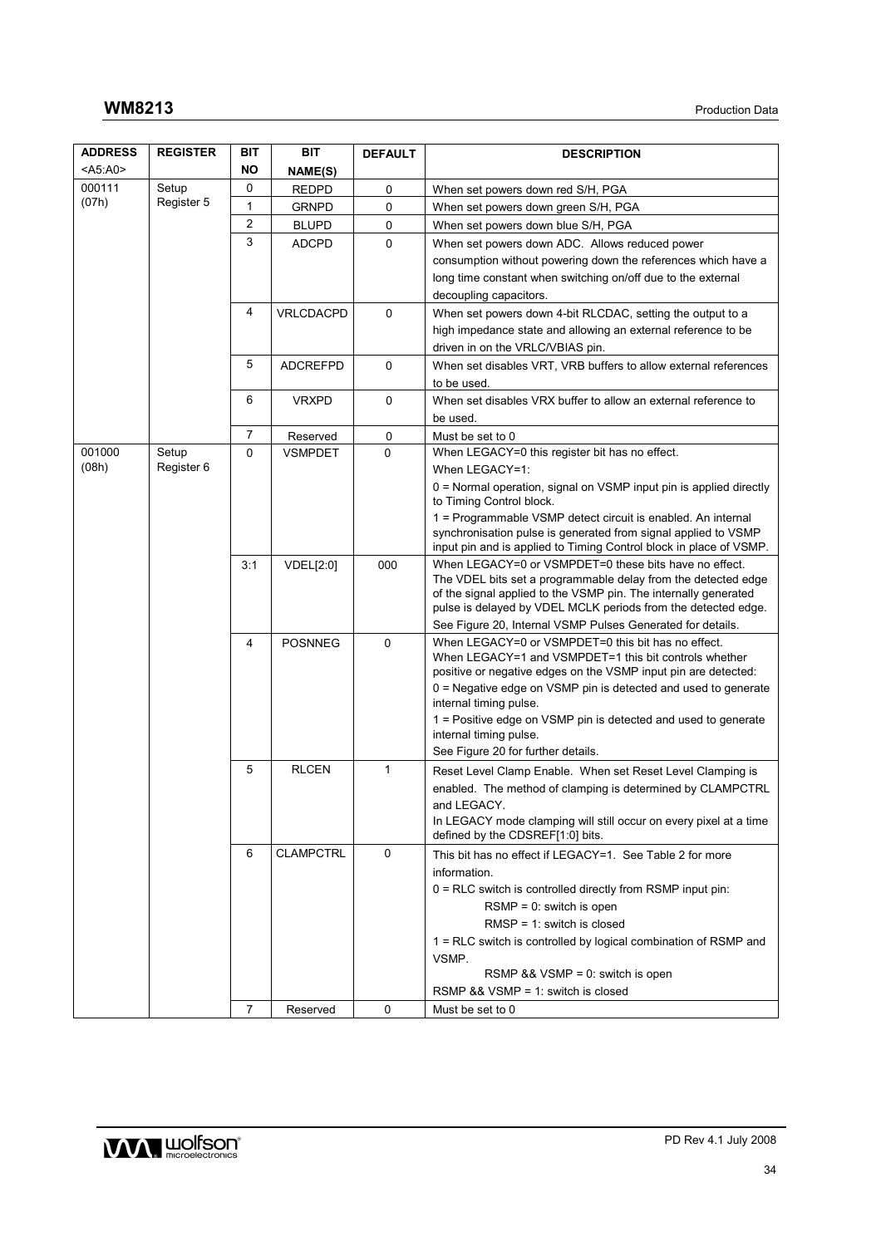| <b>ADDRESS</b>  | <b>REGISTER</b> | BIT            | BIT              | <b>DEFAULT</b> | <b>DESCRIPTION</b>                                                                                                                   |
|-----------------|-----------------|----------------|------------------|----------------|--------------------------------------------------------------------------------------------------------------------------------------|
| <a5:a0></a5:a0> |                 | NO             | NAME(S)          |                |                                                                                                                                      |
| 000111          | Setup           | 0              | <b>REDPD</b>     | 0              | When set powers down red S/H, PGA                                                                                                    |
| (07h)           | Register 5      | 1              | <b>GRNPD</b>     | 0              | When set powers down green S/H, PGA                                                                                                  |
|                 |                 | $\overline{2}$ | <b>BLUPD</b>     | 0              | When set powers down blue S/H, PGA                                                                                                   |
|                 |                 | 3              | <b>ADCPD</b>     | $\mathbf 0$    | When set powers down ADC. Allows reduced power                                                                                       |
|                 |                 |                |                  |                | consumption without powering down the references which have a                                                                        |
|                 |                 |                |                  |                | long time constant when switching on/off due to the external                                                                         |
|                 |                 |                |                  |                | decoupling capacitors.                                                                                                               |
|                 |                 | 4              | VRLCDACPD        | $\mathbf 0$    | When set powers down 4-bit RLCDAC, setting the output to a                                                                           |
|                 |                 |                |                  |                | high impedance state and allowing an external reference to be                                                                        |
|                 |                 |                |                  |                | driven in on the VRLC/VBIAS pin.                                                                                                     |
|                 |                 | 5              | <b>ADCREFPD</b>  | 0              | When set disables VRT, VRB buffers to allow external references                                                                      |
|                 |                 | 6              |                  |                | to be used.                                                                                                                          |
|                 |                 |                | <b>VRXPD</b>     | 0              | When set disables VRX buffer to allow an external reference to                                                                       |
|                 |                 | 7              | Reserved         | 0              | be used.<br>Must be set to 0                                                                                                         |
| 001000          | Setup           | $\mathbf{0}$   | <b>VSMPDET</b>   | 0              | When LEGACY=0 this register bit has no effect.                                                                                       |
| (08h)           | Register 6      |                |                  |                | When LEGACY=1:                                                                                                                       |
|                 |                 |                |                  |                | 0 = Normal operation, signal on VSMP input pin is applied directly                                                                   |
|                 |                 |                |                  |                | to Timing Control block.                                                                                                             |
|                 |                 |                |                  |                | 1 = Programmable VSMP detect circuit is enabled. An internal                                                                         |
|                 |                 |                |                  |                | synchronisation pulse is generated from signal applied to VSMP<br>input pin and is applied to Timing Control block in place of VSMP. |
|                 |                 | 3:1            | <b>VDEL[2:0]</b> | 000            | When LEGACY=0 or VSMPDET=0 these bits have no effect.                                                                                |
|                 |                 |                |                  |                | The VDEL bits set a programmable delay from the detected edge                                                                        |
|                 |                 |                |                  |                | of the signal applied to the VSMP pin. The internally generated                                                                      |
|                 |                 |                |                  |                | pulse is delayed by VDEL MCLK periods from the detected edge.                                                                        |
|                 |                 | $\overline{4}$ | <b>POSNNEG</b>   | $\Omega$       | See Figure 20, Internal VSMP Pulses Generated for details.<br>When LEGACY=0 or VSMPDET=0 this bit has no effect.                     |
|                 |                 |                |                  |                | When LEGACY=1 and VSMPDET=1 this bit controls whether                                                                                |
|                 |                 |                |                  |                | positive or negative edges on the VSMP input pin are detected:                                                                       |
|                 |                 |                |                  |                | $0$ = Negative edge on VSMP pin is detected and used to generate                                                                     |
|                 |                 |                |                  |                | internal timing pulse.                                                                                                               |
|                 |                 |                |                  |                | 1 = Positive edge on VSMP pin is detected and used to generate<br>internal timing pulse.                                             |
|                 |                 |                |                  |                | See Figure 20 for further details.                                                                                                   |
|                 |                 | 5              | <b>RLCEN</b>     | 1              | Reset Level Clamp Enable. When set Reset Level Clamping is                                                                           |
|                 |                 |                |                  |                | enabled. The method of clamping is determined by CLAMPCTRL                                                                           |
|                 |                 |                |                  |                | and LEGACY.                                                                                                                          |
|                 |                 |                |                  |                | In LEGACY mode clamping will still occur on every pixel at a time                                                                    |
|                 |                 |                |                  |                | defined by the CDSREF[1:0] bits.                                                                                                     |
|                 |                 | 6              | <b>CLAMPCTRL</b> | $\mathbf 0$    | This bit has no effect if LEGACY=1. See Table 2 for more                                                                             |
|                 |                 |                |                  |                | information.                                                                                                                         |
|                 |                 |                |                  |                | 0 = RLC switch is controlled directly from RSMP input pin:                                                                           |
|                 |                 |                |                  |                | $RSMP = 0$ : switch is open                                                                                                          |
|                 |                 |                |                  |                | $RMSP = 1$ : switch is closed<br>1 = RLC switch is controlled by logical combination of RSMP and                                     |
|                 |                 |                |                  |                | VSMP.                                                                                                                                |
|                 |                 |                |                  |                | RSMP $88$ VSMP = 0: switch is open                                                                                                   |
|                 |                 |                |                  |                | RSMP $88$ VSMP = 1: switch is closed                                                                                                 |
|                 |                 | $\overline{7}$ | Reserved         | 0              | Must be set to 0                                                                                                                     |

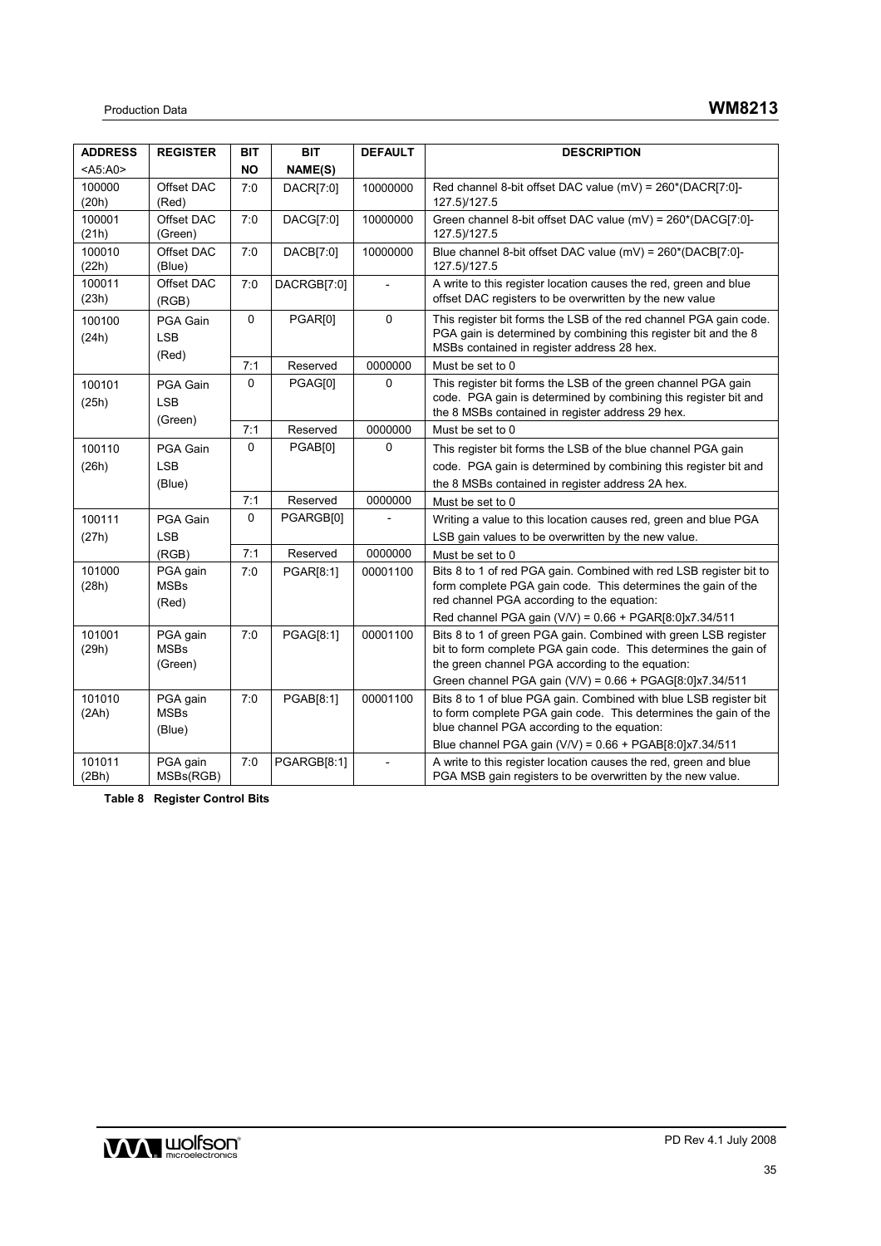| <b>ADDRESS</b>  | <b>REGISTER</b>                    | <b>BIT</b> | <b>BIT</b>         | <b>DEFAULT</b> | <b>DESCRIPTION</b>                                                                                                                                                                     |
|-----------------|------------------------------------|------------|--------------------|----------------|----------------------------------------------------------------------------------------------------------------------------------------------------------------------------------------|
| $<$ A5:A0>      |                                    | <b>NO</b>  | NAME(S)            |                |                                                                                                                                                                                        |
| 100000<br>(20h) | Offset DAC<br>(Red)                | 7:0        | DACR[7:0]          | 10000000       | Red channel 8-bit offset DAC value (mV) = 260*(DACR[7:0]-<br>127.5)/127.5                                                                                                              |
| 100001<br>(21h) | Offset DAC<br>(Green)              | 7:0        | DACG[7:0]          | 10000000       | Green channel 8-bit offset DAC value (mV) = 260*(DACG[7:0]-<br>127.5)/127.5                                                                                                            |
| 100010<br>(22h) | Offset DAC<br>(Blue)               | 7:0        | DACB[7:0]          | 10000000       | Blue channel 8-bit offset DAC value (mV) = 260*(DACB[7:0]-<br>127.5)/127.5                                                                                                             |
| 100011<br>(23h) | Offset DAC<br>(RGB)                | 7:0        | DACRGB[7:0]        |                | A write to this register location causes the red, green and blue<br>offset DAC registers to be overwritten by the new value                                                            |
| 100100<br>(24h) | PGA Gain<br><b>LSB</b><br>(Red)    | 0          | PGAR[0]            | $\Omega$       | This register bit forms the LSB of the red channel PGA gain code.<br>PGA gain is determined by combining this register bit and the 8<br>MSBs contained in register address 28 hex.     |
|                 |                                    | 7:1        | Reserved           | 0000000        | Must be set to 0                                                                                                                                                                       |
| 100101<br>(25h) | PGA Gain<br><b>LSB</b><br>(Green)  | 0          | PGAG[0]            | 0              | This register bit forms the LSB of the green channel PGA gain<br>code. PGA gain is determined by combining this register bit and<br>the 8 MSBs contained in register address 29 hex.   |
|                 |                                    | 7:1        | Reserved           | 0000000        | Must be set to 0                                                                                                                                                                       |
| 100110          | PGA Gain                           | $\Omega$   | PGAB[0]            | $\mathbf{0}$   | This register bit forms the LSB of the blue channel PGA gain                                                                                                                           |
| (26h)           | <b>LSB</b>                         |            |                    |                | code. PGA gain is determined by combining this register bit and                                                                                                                        |
|                 | (Blue)                             |            |                    |                | the 8 MSBs contained in register address 2A hex.                                                                                                                                       |
|                 |                                    | 7:1        | Reserved           | 0000000        | Must be set to 0                                                                                                                                                                       |
| 100111          | PGA Gain                           | 0          | PGARGB[0]          |                | Writing a value to this location causes red, green and blue PGA                                                                                                                        |
| (27h)           | <b>LSB</b>                         |            |                    |                | LSB gain values to be overwritten by the new value.                                                                                                                                    |
|                 | (RGB)                              | 7:1        | Reserved           | 0000000        | Must be set to 0                                                                                                                                                                       |
| 101000<br>(28h) | PGA gain<br><b>MSBs</b><br>(Red)   | 7:0        | PGAR[8:1]          | 00001100       | Bits 8 to 1 of red PGA gain. Combined with red LSB register bit to<br>form complete PGA gain code. This determines the gain of the<br>red channel PGA according to the equation:       |
|                 |                                    |            |                    |                | Red channel PGA gain (V/V) = 0.66 + PGAR[8:0]x7.34/511                                                                                                                                 |
| 101001<br>(29h) | PGA gain<br><b>MSBs</b><br>(Green) | 7:0        | PGAG[8:1]          | 00001100       | Bits 8 to 1 of green PGA gain. Combined with green LSB register<br>bit to form complete PGA gain code. This determines the gain of<br>the green channel PGA according to the equation: |
|                 |                                    |            |                    |                | Green channel PGA gain (V/V) = $0.66 + PGAG[8:0]x7.34/511$                                                                                                                             |
| 101010<br>(2Ah) | PGA gain<br><b>MSBs</b><br>(Blue)  | 7:0        | PGAB[8:1]          | 00001100       | Bits 8 to 1 of blue PGA gain. Combined with blue LSB register bit<br>to form complete PGA gain code. This determines the gain of the<br>blue channel PGA according to the equation:    |
|                 |                                    |            |                    |                | Blue channel PGA gain (V/V) = 0.66 + PGAB[8:0]x7.34/511                                                                                                                                |
| 101011<br>(2Bh) | PGA gain<br>MSBs(RGB)              | 7:0        | <b>PGARGB[8:1]</b> |                | A write to this register location causes the red, green and blue<br>PGA MSB gain registers to be overwritten by the new value.                                                         |

**Table 8 Register Control Bits** 

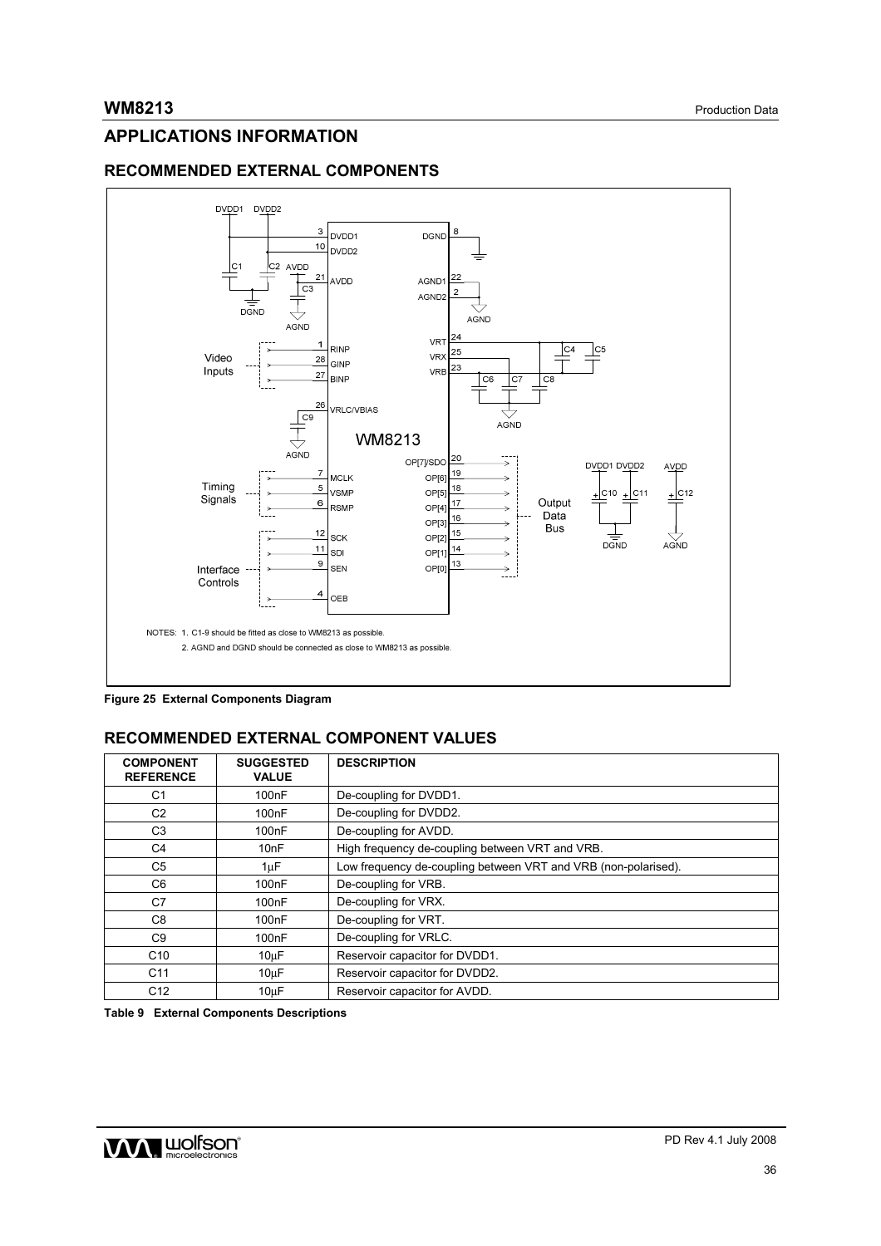# **APPLICATIONS INFORMATION**

# **RECOMMENDED EXTERNAL COMPONENTS**



**Figure 25 External Components Diagram** 

# **RECOMMENDED EXTERNAL COMPONENT VALUES**

| <b>COMPONENT</b><br><b>REFERENCE</b> | <b>SUGGESTED</b><br><b>VALUE</b> | <b>DESCRIPTION</b>                                             |  |  |  |
|--------------------------------------|----------------------------------|----------------------------------------------------------------|--|--|--|
| C <sub>1</sub>                       | 100 <sub>n</sub> F               | De-coupling for DVDD1.                                         |  |  |  |
| C <sub>2</sub>                       | 100nF                            | De-coupling for DVDD2.                                         |  |  |  |
| C <sub>3</sub>                       | 100 <sub>n</sub> F               | De-coupling for AVDD.                                          |  |  |  |
| C <sub>4</sub>                       | 10nF                             | High frequency de-coupling between VRT and VRB.                |  |  |  |
| C <sub>5</sub>                       | 1uF                              | Low frequency de-coupling between VRT and VRB (non-polarised). |  |  |  |
| C <sub>6</sub>                       | 100 <sub>n</sub> F               | De-coupling for VRB.                                           |  |  |  |
| C7                                   | 100 <sub>n</sub> F               | De-coupling for VRX.                                           |  |  |  |
| C <sub>8</sub>                       | 100nF                            | De-coupling for VRT.                                           |  |  |  |
| C <sub>9</sub>                       | 100 <sub>n</sub> F               | De-coupling for VRLC.                                          |  |  |  |
| C <sub>10</sub>                      | $10\mu F$                        | Reservoir capacitor for DVDD1.                                 |  |  |  |
| C <sub>11</sub>                      | 10 <sub>u</sub> F                | Reservoir capacitor for DVDD2.                                 |  |  |  |
| C <sub>12</sub>                      | 10 <sub>u</sub> F                | Reservoir capacitor for AVDD.                                  |  |  |  |

**Table 9 External Components Descriptions** 

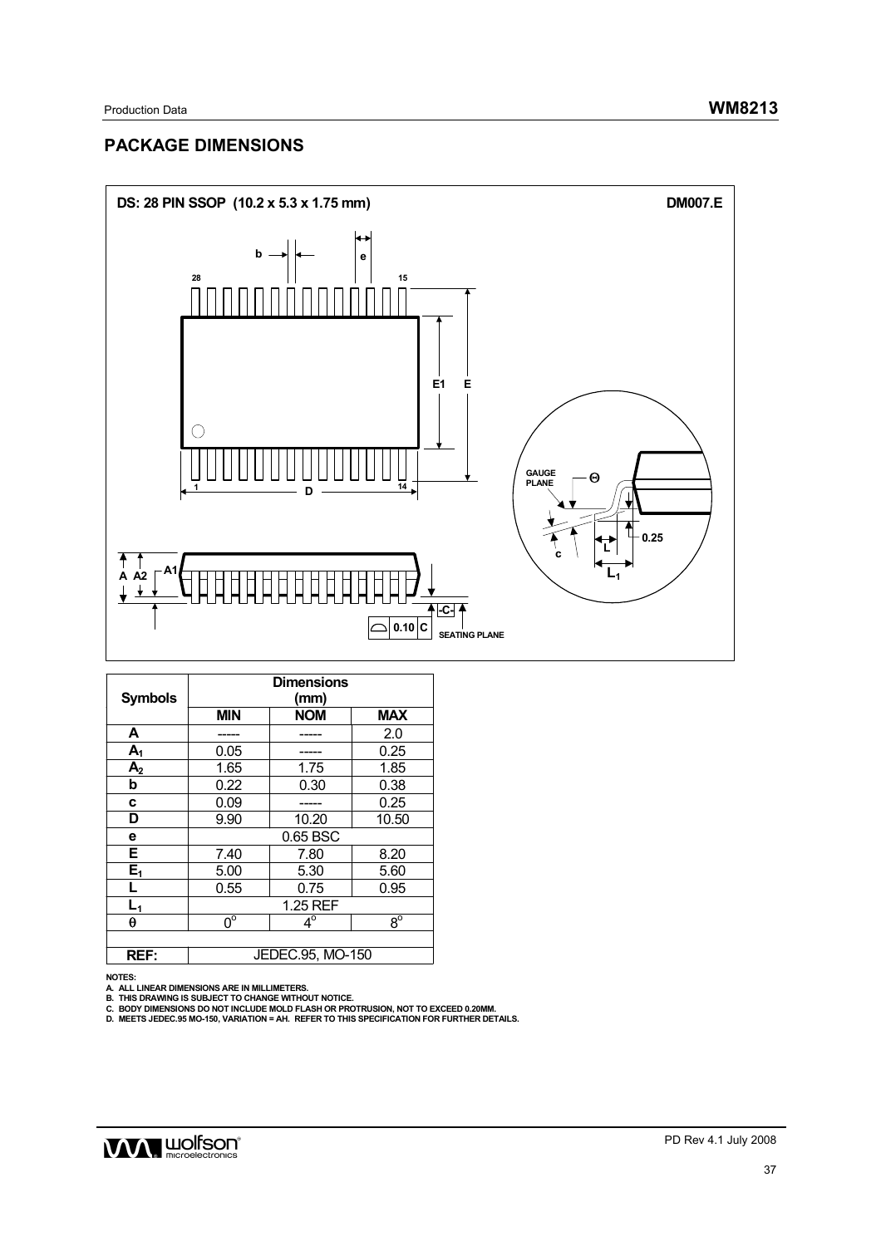# **PACKAGE DIMENSIONS**



| <b>Symbols</b> | <b>Dimensions</b><br>(mm) |                  |             |  |  |  |  |  |  |
|----------------|---------------------------|------------------|-------------|--|--|--|--|--|--|
|                | <b>MIN</b>                | <b>NOM</b>       | <b>MAX</b>  |  |  |  |  |  |  |
| Α              |                           |                  | 2.0         |  |  |  |  |  |  |
| $A_1$          | 0.05                      |                  | 0.25        |  |  |  |  |  |  |
| A <sub>2</sub> | 1.65                      | 1.75             | 1.85        |  |  |  |  |  |  |
| b              | 0.22                      | 0.30             | 0.38        |  |  |  |  |  |  |
| c              | 0.09                      |                  | 0.25        |  |  |  |  |  |  |
| D              | 9.90                      | 10.20            | 10.50       |  |  |  |  |  |  |
| е              | 0.65 BSC                  |                  |             |  |  |  |  |  |  |
| E              | 7.40                      | 8.20             |             |  |  |  |  |  |  |
| $E_1$          | 5.00                      | 5.30             | 5.60        |  |  |  |  |  |  |
| L              | 0.55                      | 0.75             | 0.95        |  |  |  |  |  |  |
| $L_1$          | 1.25 REF                  |                  |             |  |  |  |  |  |  |
| θ              | $\overline{0^{\circ}}$    | $4^\circ$        | $8^{\circ}$ |  |  |  |  |  |  |
|                |                           |                  |             |  |  |  |  |  |  |
| <b>REF:</b>    |                           | JEDEC.95, MO-150 |             |  |  |  |  |  |  |

NOTES:<br>A. ALL LINEAR DIMENSIONS ARE IN MILLIMETERS.<br>B. THIS DRAWING IS SUBJECT TO CHANGE WITHOUT NOTICE.<br>C. BODY DIMENSIONS DO NOT INCLUDE MOLD FLASH OR PROTRUSION, NOT TO EXCEED 0.20MM.<br>D. MEETS JEDEC.95 MO-150, VARIAT